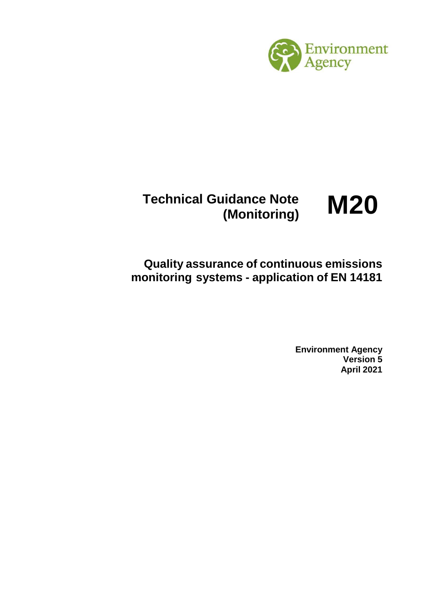

**Technical Guidance Note (Monitoring) M20**

**Quality assurance of continuous emissions monitoring systems - application of EN 14181** 

> **Environment Agency Version 5 April 2021**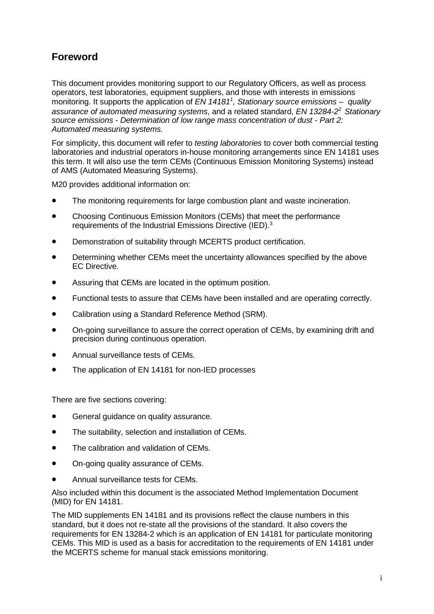# **Foreword**

This document provides monitoring support to our Regulatory Officers, as well as process operators, test laboratories, equipment suppliers, and those with interests in emissions monitoring. It supports the application of *EN 141811 , Stationary source emissions – quality assurance of automated measuring systems*, and a related standard, *EN 13284-22 Stationary source emissions - Determination of low range mass concentration of dust - Part 2: Automated measuring systems.*

For simplicity, this document will refer to *testing laboratories* to cover both commercial testing laboratories and industrial operators in-house monitoring arrangements since EN 14181 uses this term. It will also use the term CEMs (Continuous Emission Monitoring Systems) instead of AMS (Automated Measuring Systems).

M20 provides additional information on:

- The monitoring requirements for large combustion plant and waste incineration.
- Choosing Continuous Emission Monitors (CEMs) that meet the performance requirements of the Industrial Emissions Directive (IED).3
- Demonstration of suitability through MCERTS product certification.
- Determining whether CEMs meet the uncertainty allowances specified by the above EC Directive.
- Assuring that CEMs are located in the optimum position.
- Functional tests to assure that CEMs have been installed and are operating correctly.
- Calibration using a Standard Reference Method (SRM).
- On-going surveillance to assure the correct operation of CEMs, by examining drift and precision during continuous operation.
- Annual surveillance tests of CEMs.
- The application of EN 14181 for non-IED processes

There are five sections covering:

- General guidance on quality assurance.
- The suitability, selection and installation of CEMs.
- The calibration and validation of CEMs.
- On-going quality assurance of CEMs.
- Annual surveillance tests for CEMs.

Also included within this document is the associated Method Implementation Document (MID) for EN 14181.

The MID supplements EN 14181 and its provisions reflect the clause numbers in this standard, but it does not re-state all the provisions of the standard. It also covers the requirements for EN 13284-2 which is an application of EN 14181 for particulate monitoring CEMs. This MID is used as a basis for accreditation to the requirements of EN 14181 under the MCERTS scheme for manual stack emissions monitoring.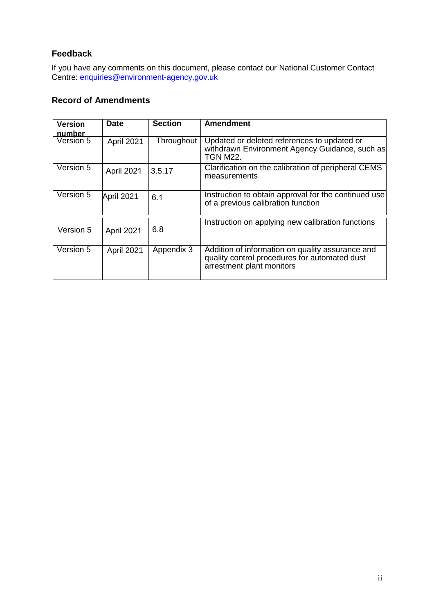# **Feedback**

If you have any comments on this document, please contact our National Customer Contact Centre: [enquiries@environment-agency.gov.uk](mailto:enquiries@environment-agency.gov.uk)

# **Record of Amendments**

| <b>Version</b>      | <b>Date</b> | <b>Section</b> | <b>Amendment</b>                                                                                                               |
|---------------------|-------------|----------------|--------------------------------------------------------------------------------------------------------------------------------|
| number<br>Version 5 | April 2021  | Throughout     | Updated or deleted references to updated or<br>withdrawn Environment Agency Guidance, such as<br><b>TGN M22.</b>               |
| Version 5           | April 2021  | 3.5.17         | Clarification on the calibration of peripheral CEMS<br>measurements                                                            |
| Version 5           | April 2021  | 6.1            | Instruction to obtain approval for the continued use<br>of a previous calibration function                                     |
| Version 5           | April 2021  | 6.8            | Instruction on applying new calibration functions                                                                              |
| Version 5           | April 2021  | Appendix 3     | Addition of information on quality assurance and<br>quality control procedures for automated dust<br>arrestment plant monitors |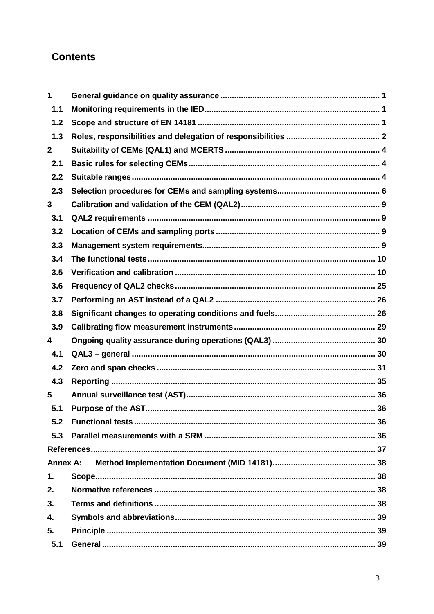# **Contents**

| 1               |  |
|-----------------|--|
| 1.1             |  |
| 1.2             |  |
| 1.3             |  |
| $\mathbf 2$     |  |
| 2.1             |  |
| 2.2             |  |
| 2.3             |  |
| 3               |  |
| 3.1             |  |
| 3.2             |  |
| 3.3             |  |
| 3.4             |  |
| 3.5             |  |
| 3.6             |  |
| 3.7             |  |
| 3.8             |  |
| 3.9             |  |
| 4               |  |
| 4.1             |  |
| 4.2             |  |
| 4.3             |  |
| 5               |  |
| 5.1             |  |
| 5.2             |  |
| 5.3             |  |
|                 |  |
| <b>Annex A:</b> |  |
| 1.              |  |
| 2.              |  |
| 3.              |  |
| 4.              |  |
| 5.              |  |
| 5.1             |  |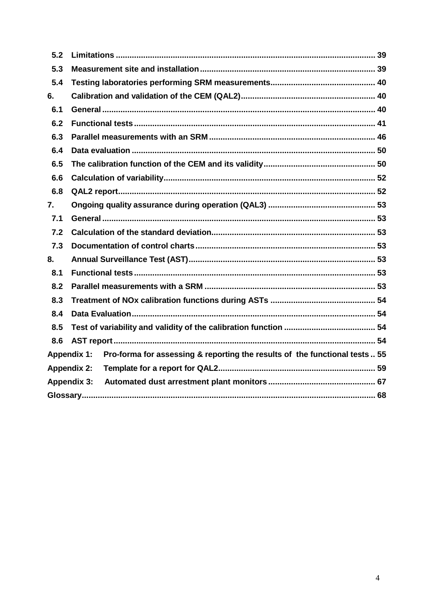| 5.2 |                                                                                                  |  |
|-----|--------------------------------------------------------------------------------------------------|--|
| 5.3 |                                                                                                  |  |
| 5.4 |                                                                                                  |  |
| 6.  |                                                                                                  |  |
| 6.1 |                                                                                                  |  |
| 6.2 |                                                                                                  |  |
| 6.3 |                                                                                                  |  |
| 6.4 |                                                                                                  |  |
| 6.5 |                                                                                                  |  |
| 6.6 |                                                                                                  |  |
| 6.8 |                                                                                                  |  |
| 7.  |                                                                                                  |  |
| 7.1 |                                                                                                  |  |
| 7.2 |                                                                                                  |  |
| 7.3 |                                                                                                  |  |
| 8.  |                                                                                                  |  |
| 8.1 |                                                                                                  |  |
| 8.2 |                                                                                                  |  |
| 8.3 |                                                                                                  |  |
| 8.4 |                                                                                                  |  |
| 8.5 |                                                                                                  |  |
| 8.6 |                                                                                                  |  |
|     | <b>Appendix 1:</b><br>Pro-forma for assessing & reporting the results of the functional tests 55 |  |
|     | <b>Appendix 2:</b>                                                                               |  |
|     | <b>Appendix 3:</b>                                                                               |  |
|     |                                                                                                  |  |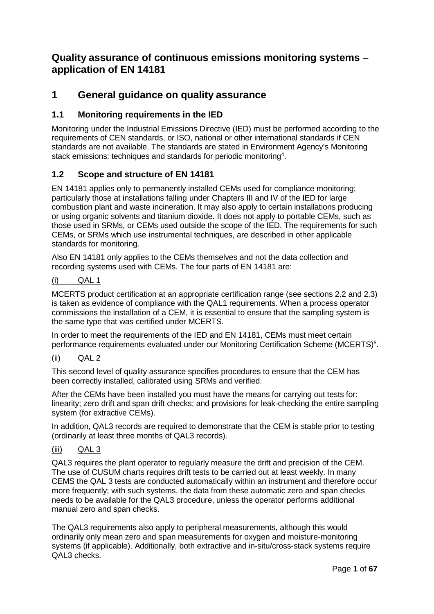# **Quality assurance of continuous emissions monitoring systems – application of EN 14181**

# <span id="page-5-0"></span>**1 General guidance on quality assurance**

# <span id="page-5-1"></span>**1.1 Monitoring requirements in the IED**

Monitoring under the Industrial Emissions Directive (IED) must be performed according to the requirements of CEN standards, or ISO, national or other international standards if CEN standards are not available. The standards are stated in Environment Agency's Monitoring stack emissions: techniques and standards for periodic monitoring<sup>4</sup>.

# <span id="page-5-2"></span>**1.2 Scope and structure of EN 14181**

EN 14181 applies only to permanently installed CEMs used for compliance monitoring; particularly those at installations falling under Chapters III and IV of the IED for large combustion plant and waste incineration. It may also apply to certain installations producing or using organic solvents and titanium dioxide. It does not apply to portable CEMs, such as those used in SRMs, or CEMs used outside the scope of the IED. The requirements for such CEMs, or SRMs which use instrumental techniques, are described in other applicable standards for monitoring.

Also EN 14181 only applies to the CEMs themselves and not the data collection and recording systems used with CEMs. The four parts of EN 14181 are:

#### (i) QAL 1

MCERTS product certification at an appropriate certification range (see sections 2.2 and 2.3) is taken as evidence of compliance with the QAL1 requirements. When a process operator commissions the installation of a CEM, it is essential to ensure that the sampling system is the same type that was certified under MCERTS.

In order to meet the requirements of the IED and EN 14181, CEMs must meet certain performance requirements evaluated under our Monitoring Certification Scheme (MCERTS)<sup>5</sup>.

#### (ii) QAL 2

This second level of quality assurance specifies procedures to ensure that the CEM has been correctly installed, calibrated using SRMs and verified.

After the CEMs have been installed you must have the means for carrying out tests for: linearity; zero drift and span drift checks; and provisions for leak-checking the entire sampling system (for extractive CEMs).

In addition, QAL3 records are required to demonstrate that the CEM is stable prior to testing (ordinarily at least three months of QAL3 records).

#### (iii) QAL 3

QAL3 requires the plant operator to regularly measure the drift and precision of the CEM. The use of CUSUM charts requires drift tests to be carried out at least weekly. In many CEMS the QAL 3 tests are conducted automatically within an instrument and therefore occur more frequently; with such systems, the data from these automatic zero and span checks needs to be available for the QAL3 procedure, unless the operator performs additional manual zero and span checks.

The QAL3 requirements also apply to peripheral measurements, although this would ordinarily only mean zero and span measurements for oxygen and moisture-monitoring systems (if applicable). Additionally, both extractive and in-situ/cross-stack systems require QAL3 checks.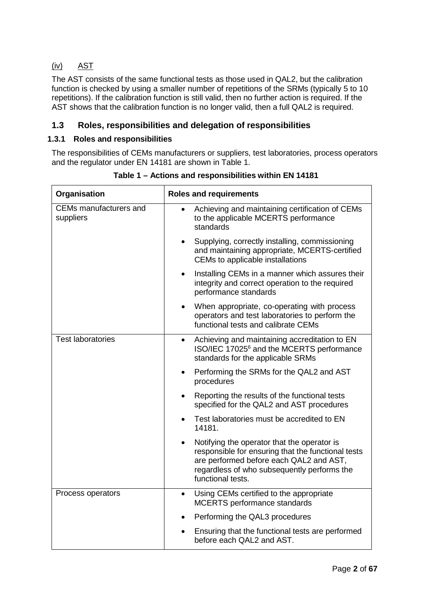# (iv) AST

 $\mathbf{r}$ 

The AST consists of the same functional tests as those used in QAL2, but the calibration function is checked by using a smaller number of repetitions of the SRMs (typically 5 to 10 repetitions). If the calibration function is still valid, then no further action is required. If the AST shows that the calibration function is no longer valid, then a full QAL2 is required.

# <span id="page-6-0"></span>**1.3 Roles, responsibilities and delegation of responsibilities**

## **1.3.1 Roles and responsibilities**

The responsibilities of CEMs manufacturers or suppliers, test laboratories, process operators and the regulator under EN 14181 are shown in Table 1.

| Organisation                        | <b>Roles and requirements</b>                                                                                                                                                                                                 |  |  |  |
|-------------------------------------|-------------------------------------------------------------------------------------------------------------------------------------------------------------------------------------------------------------------------------|--|--|--|
| CEMs manufacturers and<br>suppliers | Achieving and maintaining certification of CEMs<br>to the applicable MCERTS performance<br>standards                                                                                                                          |  |  |  |
|                                     | Supplying, correctly installing, commissioning<br>$\bullet$<br>and maintaining appropriate, MCERTS-certified<br>CEMs to applicable installations                                                                              |  |  |  |
|                                     | Installing CEMs in a manner which assures their<br>$\bullet$<br>integrity and correct operation to the required<br>performance standards                                                                                      |  |  |  |
|                                     | When appropriate, co-operating with process<br>$\bullet$<br>operators and test laboratories to perform the<br>functional tests and calibrate CEMs                                                                             |  |  |  |
| <b>Test laboratories</b>            | Achieving and maintaining accreditation to EN<br>$\bullet$<br>ISO/IEC 17025 <sup>6</sup> and the MCERTS performance<br>standards for the applicable SRMs                                                                      |  |  |  |
|                                     | Performing the SRMs for the QAL2 and AST<br>$\bullet$<br>procedures                                                                                                                                                           |  |  |  |
|                                     | Reporting the results of the functional tests<br>$\bullet$<br>specified for the QAL2 and AST procedures                                                                                                                       |  |  |  |
|                                     | Test laboratories must be accredited to EN<br>14181.                                                                                                                                                                          |  |  |  |
|                                     | Notifying the operator that the operator is<br>$\bullet$<br>responsible for ensuring that the functional tests<br>are performed before each QAL2 and AST,<br>regardless of who subsequently performs the<br>functional tests. |  |  |  |
| Process operators                   | Using CEMs certified to the appropriate<br>$\bullet$<br><b>MCERTS</b> performance standards                                                                                                                                   |  |  |  |
|                                     | Performing the QAL3 procedures                                                                                                                                                                                                |  |  |  |
|                                     | Ensuring that the functional tests are performed<br>$\bullet$<br>before each QAL2 and AST.                                                                                                                                    |  |  |  |

**Table 1 – Actions and responsibilities within EN 14181**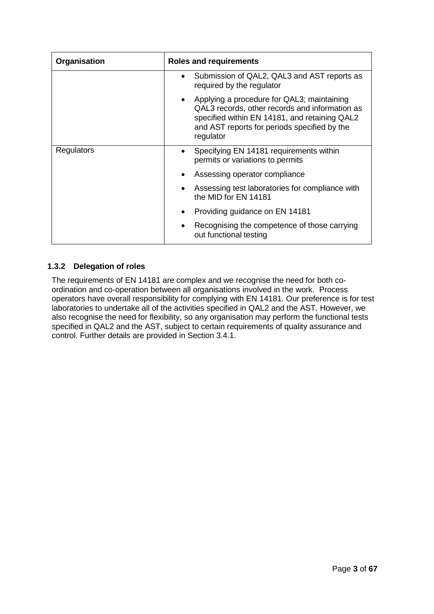| Organisation      | <b>Roles and requirements</b>                                                                                                                                                                                |  |  |
|-------------------|--------------------------------------------------------------------------------------------------------------------------------------------------------------------------------------------------------------|--|--|
|                   | Submission of QAL2, QAL3 and AST reports as<br>required by the regulator                                                                                                                                     |  |  |
|                   | • Applying a procedure for QAL3; maintaining<br>QAL3 records, other records and information as<br>specified within EN 14181, and retaining QAL2<br>and AST reports for periods specified by the<br>regulator |  |  |
| <b>Regulators</b> | Specifying EN 14181 requirements within<br>$\bullet$<br>permits or variations to permits                                                                                                                     |  |  |
|                   | Assessing operator compliance                                                                                                                                                                                |  |  |
|                   | Assessing test laboratories for compliance with<br>the MID for EN 14181                                                                                                                                      |  |  |
|                   | Providing guidance on EN 14181                                                                                                                                                                               |  |  |
|                   | Recognising the competence of those carrying<br>out functional testing                                                                                                                                       |  |  |

# **1.3.2 Delegation of roles**

The requirements of EN 14181 are complex and we recognise the need for both coordination and co-operation between all organisations involved in the work. Process operators have overall responsibility for complying with EN 14181. Our preference is for test laboratories to undertake all of the activities specified in QAL2 and the AST. However, we also recognise the need for flexibility, so any organisation may perform the functional tests specified in QAL2 and the AST, subject to certain requirements of quality assurance and control. Further details are provided in Section 3.4.1.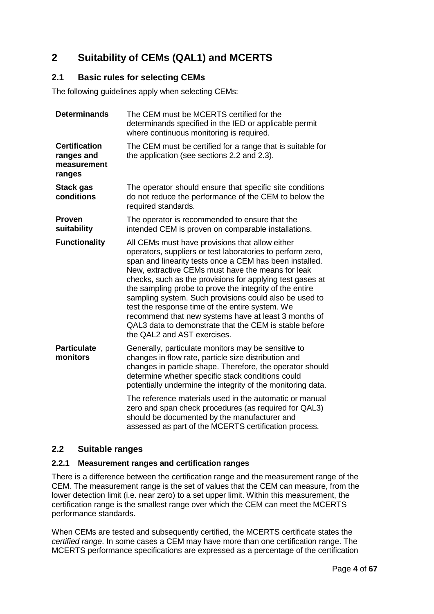# <span id="page-8-0"></span>**2 Suitability of CEMs (QAL1) and MCERTS**

# <span id="page-8-1"></span>**2.1 Basic rules for selecting CEMs**

The following guidelines apply when selecting CEMs:

| <b>Determinands</b>                                         | The CEM must be MCERTS certified for the<br>determinands specified in the IED or applicable permit<br>where continuous monitoring is required.                                                                                                                                                                                                                                                                                                                                                                                                                                                                      |  |  |  |
|-------------------------------------------------------------|---------------------------------------------------------------------------------------------------------------------------------------------------------------------------------------------------------------------------------------------------------------------------------------------------------------------------------------------------------------------------------------------------------------------------------------------------------------------------------------------------------------------------------------------------------------------------------------------------------------------|--|--|--|
| <b>Certification</b><br>ranges and<br>measurement<br>ranges | The CEM must be certified for a range that is suitable for<br>the application (see sections 2.2 and 2.3).                                                                                                                                                                                                                                                                                                                                                                                                                                                                                                           |  |  |  |
| <b>Stack gas</b><br>conditions                              | The operator should ensure that specific site conditions<br>do not reduce the performance of the CEM to below the<br>required standards.                                                                                                                                                                                                                                                                                                                                                                                                                                                                            |  |  |  |
| <b>Proven</b><br>suitability                                | The operator is recommended to ensure that the<br>intended CEM is proven on comparable installations.                                                                                                                                                                                                                                                                                                                                                                                                                                                                                                               |  |  |  |
| <b>Functionality</b>                                        | All CEMs must have provisions that allow either<br>operators, suppliers or test laboratories to perform zero,<br>span and linearity tests once a CEM has been installed.<br>New, extractive CEMs must have the means for leak<br>checks, such as the provisions for applying test gases at<br>the sampling probe to prove the integrity of the entire<br>sampling system. Such provisions could also be used to<br>test the response time of the entire system. We<br>recommend that new systems have at least 3 months of<br>QAL3 data to demonstrate that the CEM is stable before<br>the QAL2 and AST exercises. |  |  |  |
| <b>Particulate</b><br>monitors                              | Generally, particulate monitors may be sensitive to<br>changes in flow rate, particle size distribution and<br>changes in particle shape. Therefore, the operator should<br>determine whether specific stack conditions could<br>potentially undermine the integrity of the monitoring data.<br>The reference materials used in the automatic or manual<br>zero and span check procedures (as required for QAL3)                                                                                                                                                                                                    |  |  |  |
|                                                             | should be documented by the manufacturer and<br>assessed as part of the MCERTS certification process.                                                                                                                                                                                                                                                                                                                                                                                                                                                                                                               |  |  |  |

# <span id="page-8-2"></span>**2.2 Suitable ranges**

# **2.2.1 Measurement ranges and certification ranges**

There is a difference between the certification range and the measurement range of the CEM. The measurement range is the set of values that the CEM can measure, from the lower detection limit (i.e. near zero) to a set upper limit. Within this measurement, the certification range is the smallest range over which the CEM can meet the MCERTS performance standards.

When CEMs are tested and subsequently certified, the MCERTS certificate states the *certified range*. In some cases a CEM may have more than one certification range. The MCERTS performance specifications are expressed as a percentage of the certification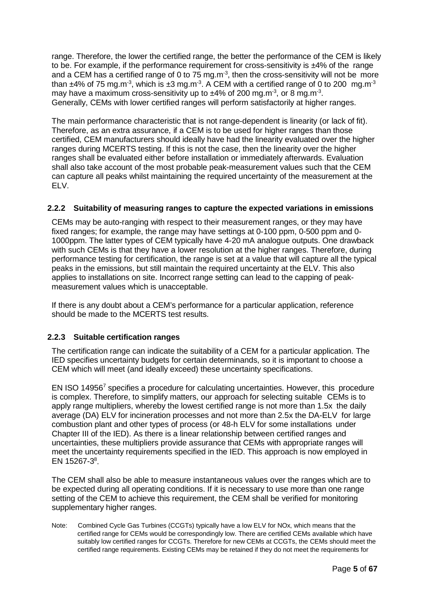range. Therefore, the lower the certified range, the better the performance of the CEM is likely to be. For example, if the performance requirement for cross-sensitivity is  $\pm$ 4% of the range and a CEM has a certified range of 0 to 75 mg.m<sup>-3</sup>, then the cross-sensitivity will not be more than  $\pm$ 4% of 75 mg.m<sup>-3</sup>, which is  $\pm$ 3 mg.m<sup>-3</sup>. A CEM with a certified range of 0 to 200 mg.m<sup>-3</sup> may have a maximum cross-sensitivity up to  $\pm 4\%$  of 200 mg.m<sup>-3</sup>, or 8 mg.m<sup>-3</sup>. Generally, CEMs with lower certified ranges will perform satisfactorily at higher ranges.

The main performance characteristic that is not range-dependent is linearity (or lack of fit). Therefore, as an extra assurance, if a CEM is to be used for higher ranges than those certified, CEM manufacturers should ideally have had the linearity evaluated over the higher ranges during MCERTS testing. If this is not the case, then the linearity over the higher ranges shall be evaluated either before installation or immediately afterwards. Evaluation shall also take account of the most probable peak-measurement values such that the CEM can capture all peaks whilst maintaining the required uncertainty of the measurement at the ELV.

# **2.2.2 Suitability of measuring ranges to capture the expected variations in emissions**

CEMs may be auto-ranging with respect to their measurement ranges, or they may have fixed ranges; for example, the range may have settings at 0-100 ppm, 0-500 ppm and 0- 1000ppm. The latter types of CEM typically have 4-20 mA analogue outputs. One drawback with such CEMs is that they have a lower resolution at the higher ranges. Therefore, during performance testing for certification, the range is set at a value that will capture all the typical peaks in the emissions, but still maintain the required uncertainty at the ELV. This also applies to installations on site. Incorrect range setting can lead to the capping of peakmeasurement values which is unacceptable.

If there is any doubt about a CEM's performance for a particular application, reference should be made to the MCERTS test results.

# **2.2.3 Suitable certification ranges**

The certification range can indicate the suitability of a CEM for a particular application. The IED specifies uncertainty budgets for certain determinands, so it is important to choose a CEM which will meet (and ideally exceed) these uncertainty specifications.

EN ISO 149567 specifies a procedure for calculating uncertainties. However, this procedure is complex. Therefore, to simplify matters, our approach for selecting suitable CEMs is to apply range multipliers, whereby the lowest certified range is not more than 1.5x the daily average (DA) ELV for incineration processes and not more than 2.5x the DA-ELV for large combustion plant and other types of process (or 48-h ELV for some installations under Chapter III of the IED). As there is a linear relationship between certified ranges and uncertainties, these multipliers provide assurance that CEMs with appropriate ranges will meet the uncertainty requirements specified in the IED. This approach is now employed in EN 15267-3 $^8$ .

The CEM shall also be able to measure instantaneous values over the ranges which are to be expected during all operating conditions. If it is necessary to use more than one range setting of the CEM to achieve this requirement, the CEM shall be verified for monitoring supplementary higher ranges.

Note: Combined Cycle Gas Turbines (CCGTs) typically have a low ELV for NOx, which means that the certified range for CEMs would be correspondingly low. There are certified CEMs available which have suitably low certified ranges for CCGTs. Therefore for new CEMs at CCGTs, the CEMs should meet the certified range requirements. Existing CEMs may be retained if they do not meet the requirements for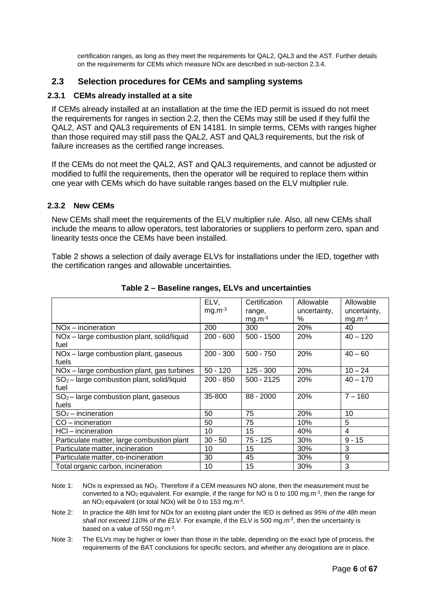certification ranges, as long as they meet the requirements for QAL2, QAL3 and the AST. Further details on the requirements for CEMs which measure NOx are described in sub-section 2.3.4.

# <span id="page-10-0"></span>**2.3 Selection procedures for CEMs and sampling systems**

#### **2.3.1 CEMs already installed at a site**

If CEMs already installed at an installation at the time the IED permit is issued do not meet the requirements for ranges in section 2.2, then the CEMs may still be used if they fulfil the QAL2, AST and QAL3 requirements of EN 14181. In simple terms, CEMs with ranges higher than those required may still pass the QAL2, AST and QAL3 requirements, but the risk of failure increases as the certified range increases.

If the CEMs do not meet the QAL2, AST and QAL3 requirements, and cannot be adjusted or modified to fulfil the requirements, then the operator will be required to replace them within one year with CEMs which do have suitable ranges based on the ELV multiplier rule.

#### **2.3.2 New CEMs**

New CEMs shall meet the requirements of the ELV multiplier rule. Also, all new CEMs shall include the means to allow operators, test laboratories or suppliers to perform zero, span and linearity tests once the CEMs have been installed.

Table 2 shows a selection of daily average ELVs for installations under the IED, together with the certification ranges and allowable uncertainties.

|                                              | ELV,        | Certification | Allowable    | Allowable    |
|----------------------------------------------|-------------|---------------|--------------|--------------|
|                                              | $mg.m-3$    | range,        | uncertainty, | uncertainty, |
|                                              |             | $mg.m-3$      | ℅            | $mg.m-3$     |
| $NOx$ – incineration                         | 200         | 300           | 20%          | 40           |
| NOx - large combustion plant, solid/liquid   | $200 - 600$ | $500 - 1500$  | <b>20%</b>   | $40 - 120$   |
| fuel                                         |             |               |              |              |
| NOx - large combustion plant, gaseous        | $200 - 300$ | $500 - 750$   | 20%          | $40 - 60$    |
| fuels                                        |             |               |              |              |
| NOx - large combustion plant, gas turbines   | $50 - 120$  | $125 - 300$   | 20%          | $10 - 24$    |
| $SO2$ – large combustion plant, solid/liquid | $200 - 850$ | $500 - 2125$  | 20%          | $40 - 170$   |
| fuel                                         |             |               |              |              |
| $SO2$ – large combustion plant, gaseous      | 35-800      | $88 - 2000$   | 20%          | $7 - 160$    |
| fuels                                        |             |               |              |              |
| $SO2$ – incineration                         | 50          | 75            | 20%          | 10           |
| $CO - incineration$                          | 50          | 75            | 10%          | 5            |
| HCl - incineration                           | 10          | 15            | 40%          | 4            |
| Particulate matter, large combustion plant   | $30 - 50$   | $75 - 125$    | 30%          | $9 - 15$     |
| Particulate matter, incineration             | 10          | 15            | 30%          | 3            |
| Particulate matter, co-incineration          | 30          | 45            | 30%          | 9            |
| Total organic carbon, incineration           | 10          | 15            | 30%          | 3            |

**Table 2 – Baseline ranges, ELVs and uncertainties**

- Note 1: NOx is expressed as NO<sub>2</sub>. Therefore if a CEM measures NO alone, then the measurement must be converted to a NO2 equivalent. For example, if the range for NO is 0 to 100 mg.m-3, then the range for an NO<sub>2</sub> equivalent (or total NO<sub>x</sub>) will be 0 to 153 mg.m<sup>-3</sup>.
- Note 2: In practice the 48h limit for NOx for an existing plant under the IED is defined as *95% of the 48h mean shall not exceed 110% of the ELV.* For example, if the ELV is 500 mg.m-3, then the uncertainty is based on a value of 550 mg.m-3.
- Note 3: The ELVs may be higher or lower than those in the table, depending on the exact type of process, the requirements of the BAT conclusions for specific sectors, and whether any derogations are in place.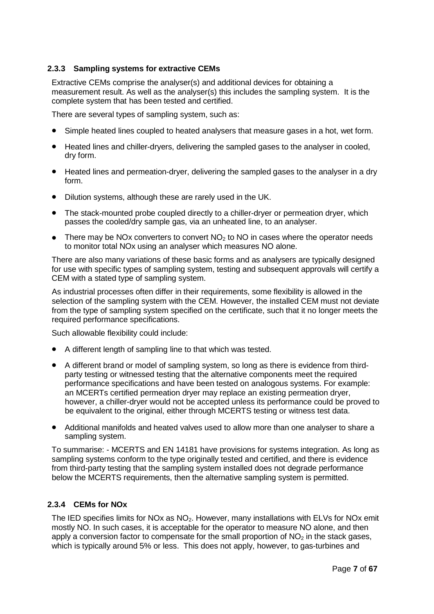## **2.3.3 Sampling systems for extractive CEMs**

Extractive CEMs comprise the analyser(s) and additional devices for obtaining a measurement result. As well as the analyser(s) this includes the sampling system. It is the complete system that has been tested and certified.

There are several types of sampling system, such as:

- Simple heated lines coupled to heated analysers that measure gases in a hot, wet form.
- Heated lines and chiller-dryers, delivering the sampled gases to the analyser in cooled, dry form.
- Heated lines and permeation-dryer, delivering the sampled gases to the analyser in a dry form.
- Dilution systems, although these are rarely used in the UK.
- The stack-mounted probe coupled directly to a chiller-dryer or permeation dryer, which passes the cooled/dry sample gas, via an unheated line, to an analyser.
- There may be NOx converters to convert  $NO<sub>2</sub>$  to NO in cases where the operator needs to monitor total NOx using an analyser which measures NO alone.

There are also many variations of these basic forms and as analysers are typically designed for use with specific types of sampling system, testing and subsequent approvals will certify a CEM with a stated type of sampling system.

As industrial processes often differ in their requirements, some flexibility is allowed in the selection of the sampling system with the CEM. However, the installed CEM must not deviate from the type of sampling system specified on the certificate, such that it no longer meets the required performance specifications.

Such allowable flexibility could include:

- A different length of sampling line to that which was tested.
- A different brand or model of sampling system, so long as there is evidence from thirdparty testing or witnessed testing that the alternative components meet the required performance specifications and have been tested on analogous systems. For example: an MCERTs certified permeation dryer may replace an existing permeation dryer, however, a chiller-dryer would not be accepted unless its performance could be proved to be equivalent to the original, either through MCERTS testing or witness test data.
- Additional manifolds and heated valves used to allow more than one analyser to share a sampling system.

To summarise: - MCERTS and EN 14181 have provisions for systems integration. As long as sampling systems conform to the type originally tested and certified, and there is evidence from third-party testing that the sampling system installed does not degrade performance below the MCERTS requirements, then the alternative sampling system is permitted.

#### **2.3.4 CEMs for NOx**

The IED specifies limits for NOx as NO<sub>2</sub>. However, many installations with ELVs for NOx emit mostly NO. In such cases, it is acceptable for the operator to measure NO alone, and then apply a conversion factor to compensate for the small proportion of  $NO<sub>2</sub>$  in the stack gases, which is typically around 5% or less. This does not apply, however, to gas-turbines and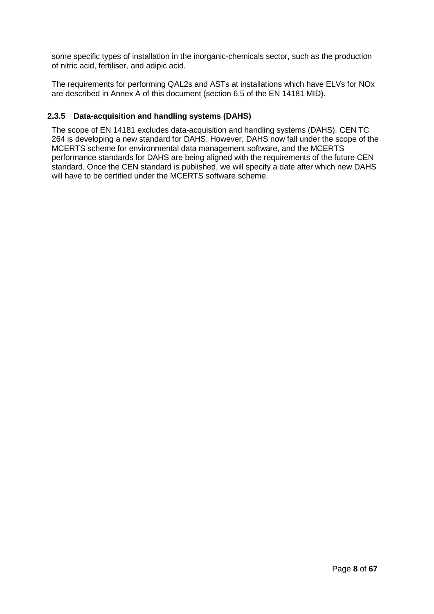some specific types of installation in the inorganic-chemicals sector, such as the production of nitric acid, fertiliser, and adipic acid.

The requirements for performing QAL2s and ASTs at installations which have ELVs for NOx are described in Annex A of this document (section 6.5 of the EN 14181 MID).

### **2.3.5 Data-acquisition and handling systems (DAHS)**

The scope of EN 14181 excludes data-acquisition and handling systems (DAHS). CEN TC 264 is developing a new standard for DAHS. However, DAHS now fall under the scope of the MCERTS scheme for environmental data management software, and the MCERTS performance standards for DAHS are being aligned with the requirements of the future CEN standard. Once the CEN standard is published, we will specify a date after which new DAHS will have to be certified under the MCERTS software scheme.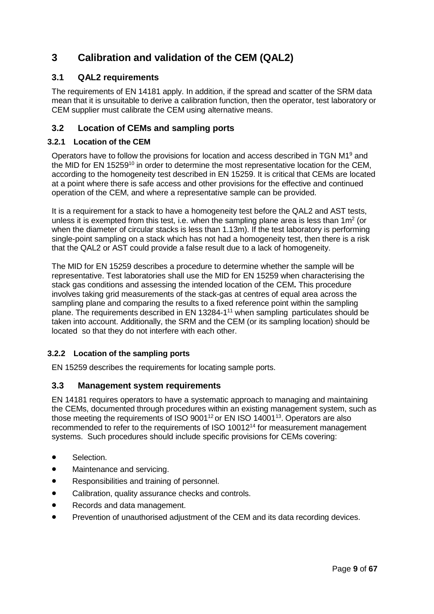# <span id="page-13-0"></span>**3 Calibration and validation of the CEM (QAL2)**

# <span id="page-13-1"></span>**3.1 QAL2 requirements**

The requirements of EN 14181 apply. In addition, if the spread and scatter of the SRM data mean that it is unsuitable to derive a calibration function, then the operator, test laboratory or CEM supplier must calibrate the CEM using alternative means.

# <span id="page-13-2"></span>**3.2 Location of CEMs and sampling ports**

## **3.2.1 Location of the CEM**

Operators have to follow the provisions for location and access described in TGN  $M1<sup>9</sup>$  and the MID for EN 15259<sup>10</sup> in order to determine the most representative location for the CEM, according to the homogeneity test described in EN 15259. It is critical that CEMs are located at a point where there is safe access and other provisions for the effective and continued operation of the CEM, and where a representative sample can be provided.

It is a requirement for a stack to have a homogeneity test before the QAL2 and AST tests, unless it is exempted from this test, i.e. when the sampling plane area is less than  $1m^2$  (or when the diameter of circular stacks is less than 1.13m). If the test laboratory is performing single-point sampling on a stack which has not had a homogeneity test, then there is a risk that the QAL2 or AST could provide a false result due to a lack of homogeneity.

The MID for EN 15259 describes a procedure to determine whether the sample will be representative. Test laboratories shall use the MID for EN 15259 when characterising the stack gas conditions and assessing the intended location of the CEM**.** This procedure involves taking grid measurements of the stack-gas at centres of equal area across the sampling plane and comparing the results to a fixed reference point within the sampling plane. The requirements described in EN 13284-1<sup>11</sup> when sampling particulates should be taken into account. Additionally, the SRM and the CEM (or its sampling location) should be located so that they do not interfere with each other.

# **3.2.2 Location of the sampling ports**

EN 15259 describes the requirements for locating sample ports.

# <span id="page-13-3"></span>**3.3 Management system requirements**

EN 14181 requires operators to have a systematic approach to managing and maintaining the CEMs, documented through procedures within an existing management system, such as those meeting the requirements of ISO  $9001^{12}$  or EN ISO 14001<sup>13</sup>. Operators are also recommended to refer to the requirements of ISO 1001214 for measurement management systems. Such procedures should include specific provisions for CEMs covering:

- Selection.
- Maintenance and servicing.
- Responsibilities and training of personnel.
- Calibration, quality assurance checks and controls.
- Records and data management.
- Prevention of unauthorised adjustment of the CEM and its data recording devices.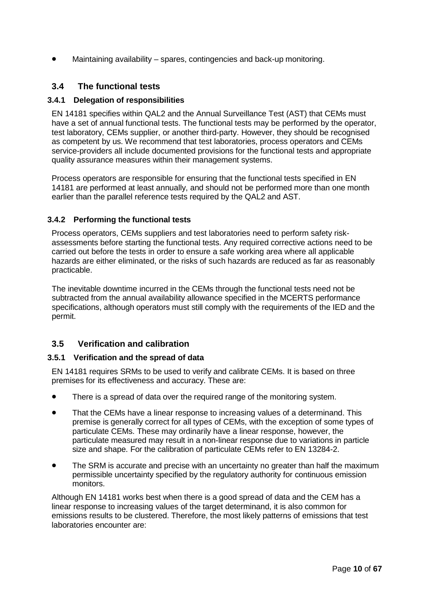Maintaining availability – spares, contingencies and back-up monitoring.

# <span id="page-14-0"></span>**3.4 The functional tests**

#### **3.4.1 Delegation of responsibilities**

EN 14181 specifies within QAL2 and the Annual Surveillance Test (AST) that CEMs must have a set of annual functional tests. The functional tests may be performed by the operator, test laboratory, CEMs supplier, or another third-party. However, they should be recognised as competent by us. We recommend that test laboratories, process operators and CEMs service-providers all include documented provisions for the functional tests and appropriate quality assurance measures within their management systems.

Process operators are responsible for ensuring that the functional tests specified in EN 14181 are performed at least annually, and should not be performed more than one month earlier than the parallel reference tests required by the QAL2 and AST.

### **3.4.2 Performing the functional tests**

Process operators, CEMs suppliers and test laboratories need to perform safety riskassessments before starting the functional tests. Any required corrective actions need to be carried out before the tests in order to ensure a safe working area where all applicable hazards are either eliminated, or the risks of such hazards are reduced as far as reasonably practicable.

The inevitable downtime incurred in the CEMs through the functional tests need not be subtracted from the annual availability allowance specified in the MCERTS performance specifications, although operators must still comply with the requirements of the IED and the permit.

# <span id="page-14-1"></span>**3.5 Verification and calibration**

#### **3.5.1 Verification and the spread of data**

EN 14181 requires SRMs to be used to verify and calibrate CEMs. It is based on three premises for its effectiveness and accuracy. These are:

- There is a spread of data over the required range of the monitoring system.
- That the CEMs have a linear response to increasing values of a determinand. This premise is generally correct for all types of CEMs, with the exception of some types of particulate CEMs. These may ordinarily have a linear response, however, the particulate measured may result in a non-linear response due to variations in particle size and shape. For the calibration of particulate CEMs refer to EN 13284-2.
- The SRM is accurate and precise with an uncertainty no greater than half the maximum permissible uncertainty specified by the regulatory authority for continuous emission monitors.

Although EN 14181 works best when there is a good spread of data and the CEM has a linear response to increasing values of the target determinand, it is also common for emissions results to be clustered. Therefore, the most likely patterns of emissions that test laboratories encounter are: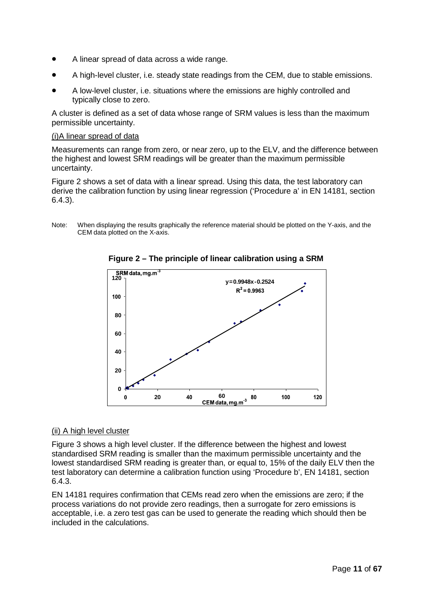- A linear spread of data across a wide range.
- A high-level cluster, i.e. steady state readings from the CEM, due to stable emissions.
- A low-level cluster, i.e. situations where the emissions are highly controlled and typically close to zero.

A cluster is defined as a set of data whose range of SRM values is less than the maximum permissible uncertainty.

#### (i)A linear spread of data

Measurements can range from zero, or near zero, up to the ELV, and the difference between the highest and lowest SRM readings will be greater than the maximum permissible uncertainty.

Figure 2 shows a set of data with a linear spread. Using this data, the test laboratory can derive the calibration function by using linear regression ('Procedure a' in EN 14181, section 6.4.3).

Note: When displaying the results graphically the reference material should be plotted on the Y-axis, and the CEM data plotted on the X-axis.



**Figure 2 – The principle of linear calibration using a SRM**

#### (ii) A high level cluster

Figure 3 shows a high level cluster. If the difference between the highest and lowest standardised SRM reading is smaller than the maximum permissible uncertainty and the lowest standardised SRM reading is greater than, or equal to, 15% of the daily ELV then the test laboratory can determine a calibration function using 'Procedure b', EN 14181, section 6.4.3.

EN 14181 requires confirmation that CEMs read zero when the emissions are zero; if the process variations do not provide zero readings, then a surrogate for zero emissions is acceptable, i.e. a zero test gas can be used to generate the reading which should then be included in the calculations.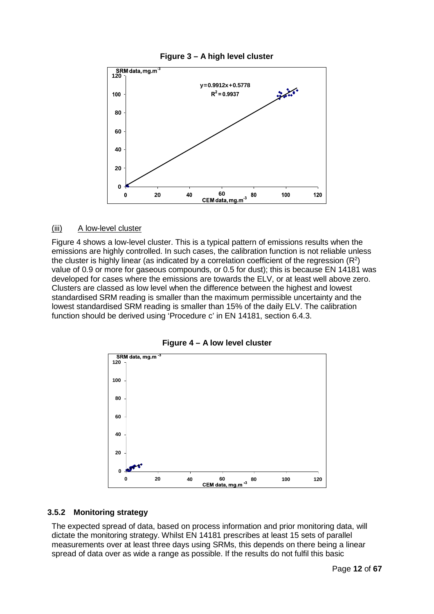



#### (iii) A low-level cluster

Figure 4 shows a low-level cluster. This is a typical pattern of emissions results when the emissions are highly controlled. In such cases, the calibration function is not reliable unless the cluster is highly linear (as indicated by a correlation coefficient of the regression  $(\mathsf{R}^2)$ value of 0.9 or more for gaseous compounds, or 0.5 for dust); this is because EN 14181 was developed for cases where the emissions are towards the ELV, or at least well above zero. Clusters are classed as low level when the difference between the highest and lowest standardised SRM reading is smaller than the maximum permissible uncertainty and the lowest standardised SRM reading is smaller than 15% of the daily ELV. The calibration function should be derived using 'Procedure c' in EN 14181, section 6.4.3.



**Figure 4 – A low level cluster**

#### **3.5.2 Monitoring strategy**

The expected spread of data, based on process information and prior monitoring data, will dictate the monitoring strategy. Whilst EN 14181 prescribes at least 15 sets of parallel measurements over at least three days using SRMs, this depends on there being a linear spread of data over as wide a range as possible. If the results do not fulfil this basic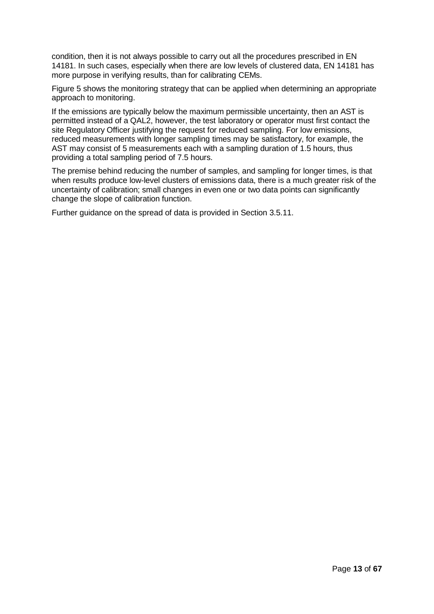condition, then it is not always possible to carry out all the procedures prescribed in EN 14181. In such cases, especially when there are low levels of clustered data, EN 14181 has more purpose in verifying results, than for calibrating CEMs.

Figure 5 shows the monitoring strategy that can be applied when determining an appropriate approach to monitoring.

If the emissions are typically below the maximum permissible uncertainty, then an AST is permitted instead of a QAL2, however, the test laboratory or operator must first contact the site Regulatory Officer justifying the request for reduced sampling. For low emissions, reduced measurements with longer sampling times may be satisfactory, for example, the AST may consist of 5 measurements each with a sampling duration of 1.5 hours, thus providing a total sampling period of 7.5 hours.

The premise behind reducing the number of samples, and sampling for longer times, is that when results produce low-level clusters of emissions data, there is a much greater risk of the uncertainty of calibration; small changes in even one or two data points can significantly change the slope of calibration function.

Further guidance on the spread of data is provided in Section 3.5.11.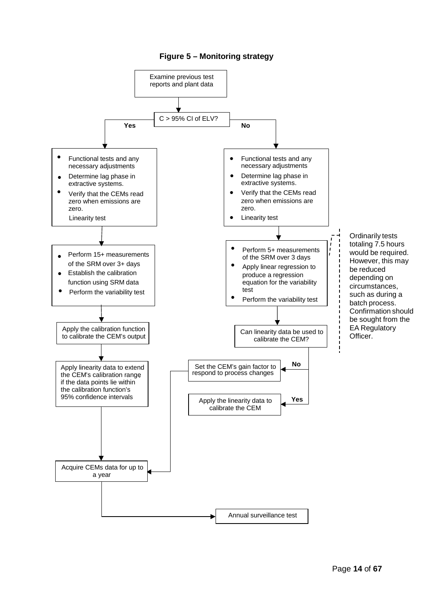#### **Figure 5 – Monitoring strategy**

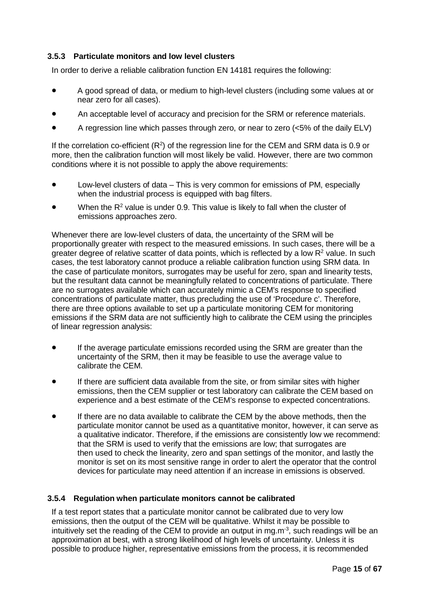### **3.5.3 Particulate monitors and low level clusters**

In order to derive a reliable calibration function EN 14181 requires the following:

- A good spread of data, or medium to high-level clusters (including some values at or near zero for all cases).
- An acceptable level of accuracy and precision for the SRM or reference materials.
- A regression line which passes through zero, or near to zero (<5% of the daily ELV)

If the correlation co-efficient (R<sup>2</sup>) of the regression line for the CEM and SRM data is 0.9 or more, then the calibration function will most likely be valid. However, there are two common conditions where it is not possible to apply the above requirements:

- Low-level clusters of data This is very common for emissions of PM, especially when the industrial process is equipped with bag filters.
- When the  $R^2$  value is under 0.9. This value is likely to fall when the cluster of emissions approaches zero.

Whenever there are low-level clusters of data, the uncertainty of the SRM will be proportionally greater with respect to the measured emissions. In such cases, there will be a greater degree of relative scatter of data points, which is reflected by a low  $R<sup>2</sup>$  value. In such cases, the test laboratory cannot produce a reliable calibration function using SRM data. In the case of particulate monitors, surrogates may be useful for zero, span and linearity tests, but the resultant data cannot be meaningfully related to concentrations of particulate. There are no surrogates available which can accurately mimic a CEM's response to specified concentrations of particulate matter, thus precluding the use of 'Procedure c'. Therefore, there are three options available to set up a particulate monitoring CEM for monitoring emissions if the SRM data are not sufficiently high to calibrate the CEM using the principles of linear regression analysis:

- If the average particulate emissions recorded using the SRM are greater than the uncertainty of the SRM, then it may be feasible to use the average value to calibrate the CEM.
- If there are sufficient data available from the site, or from similar sites with higher emissions, then the CEM supplier or test laboratory can calibrate the CEM based on experience and a best estimate of the CEM's response to expected concentrations.
- If there are no data available to calibrate the CEM by the above methods, then the particulate monitor cannot be used as a quantitative monitor, however, it can serve as a qualitative indicator. Therefore, if the emissions are consistently low we recommend: that the SRM is used to verify that the emissions are low; that surrogates are then used to check the linearity, zero and span settings of the monitor, and lastly the monitor is set on its most sensitive range in order to alert the operator that the control devices for particulate may need attention if an increase in emissions is observed.

#### **3.5.4 Regulation when particulate monitors cannot be calibrated**

If a test report states that a particulate monitor cannot be calibrated due to very low emissions, then the output of the CEM will be qualitative. Whilst it may be possible to intuitively set the reading of the CEM to provide an output in mg.m<sup>-3</sup>, such readings will be an approximation at best, with a strong likelihood of high levels of uncertainty. Unless it is possible to produce higher, representative emissions from the process, it is recommended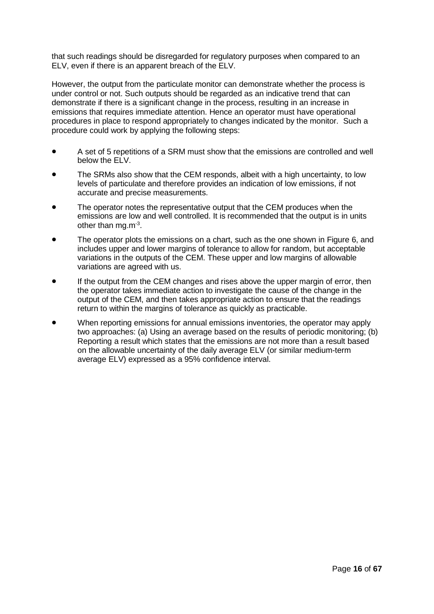that such readings should be disregarded for regulatory purposes when compared to an ELV, even if there is an apparent breach of the ELV.

However, the output from the particulate monitor can demonstrate whether the process is under control or not. Such outputs should be regarded as an indicative trend that can demonstrate if there is a significant change in the process, resulting in an increase in emissions that requires immediate attention. Hence an operator must have operational procedures in place to respond appropriately to changes indicated by the monitor. Such a procedure could work by applying the following steps:

- A set of 5 repetitions of a SRM must show that the emissions are controlled and well below the FLV.
- The SRMs also show that the CEM responds, albeit with a high uncertainty, to low levels of particulate and therefore provides an indication of low emissions, if not accurate and precise measurements.
- The operator notes the representative output that the CEM produces when the emissions are low and well controlled. It is recommended that the output is in units other than mg.m<sup>-3</sup>.
- The operator plots the emissions on a chart, such as the one shown in Figure 6, and includes upper and lower margins of tolerance to allow for random, but acceptable variations in the outputs of the CEM. These upper and low margins of allowable variations are agreed with us.
- If the output from the CEM changes and rises above the upper margin of error, then the operator takes immediate action to investigate the cause of the change in the output of the CEM, and then takes appropriate action to ensure that the readings return to within the margins of tolerance as quickly as practicable.
- When reporting emissions for annual emissions inventories, the operator may apply two approaches: (a) Using an average based on the results of periodic monitoring; (b) Reporting a result which states that the emissions are not more than a result based on the allowable uncertainty of the daily average ELV (or similar medium-term average ELV) expressed as a 95% confidence interval.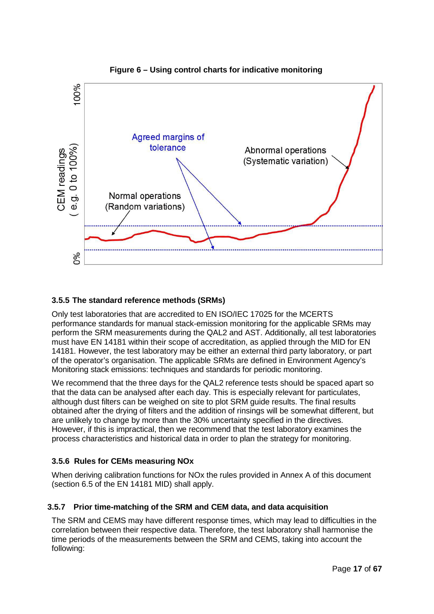



# **3.5.5 The standard reference methods (SRMs)**

Only test laboratories that are accredited to EN ISO/IEC 17025 for the MCERTS performance standards for manual stack-emission monitoring for the applicable SRMs may perform the SRM measurements during the QAL2 and AST. Additionally, all test laboratories must have EN 14181 within their scope of accreditation, as applied through the MID for EN 14181. However, the test laboratory may be either an external third party laboratory, or part of the operator's organisation. The applicable SRMs are defined in Environment Agency's Monitoring stack emissions: techniques and standards for periodic monitoring.

We recommend that the three days for the QAL2 reference tests should be spaced apart so that the data can be analysed after each day. This is especially relevant for particulates, although dust filters can be weighed on site to plot SRM guide results. The final results obtained after the drying of filters and the addition of rinsings will be somewhat different, but are unlikely to change by more than the 30% uncertainty specified in the directives. However, if this is impractical, then we recommend that the test laboratory examines the process characteristics and historical data in order to plan the strategy for monitoring.

# **3.5.6 Rules for CEMs measuring NOx**

When deriving calibration functions for NOx the rules provided in Annex A of this document (section 6.5 of the EN 14181 MID) shall apply.

# **3.5.7 Prior time-matching of the SRM and CEM data, and data acquisition**

The SRM and CEMS may have different response times, which may lead to difficulties in the correlation between their respective data. Therefore, the test laboratory shall harmonise the time periods of the measurements between the SRM and CEMS, taking into account the following: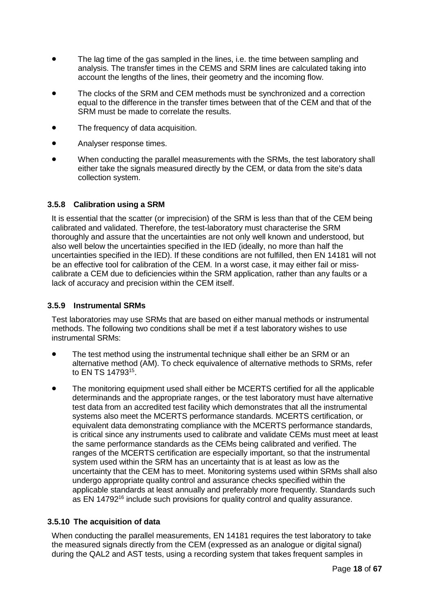- The lag time of the gas sampled in the lines, i.e. the time between sampling and analysis. The transfer times in the CEMS and SRM lines are calculated taking into account the lengths of the lines, their geometry and the incoming flow.
- The clocks of the SRM and CEM methods must be synchronized and a correction equal to the difference in the transfer times between that of the CEM and that of the SRM must be made to correlate the results.
- The frequency of data acquisition.
- Analyser response times.
- When conducting the parallel measurements with the SRMs, the test laboratory shall either take the signals measured directly by the CEM, or data from the site's data collection system.

#### **3.5.8 Calibration using a SRM**

It is essential that the scatter (or imprecision) of the SRM is less than that of the CEM being calibrated and validated. Therefore, the test-laboratory must characterise the SRM thoroughly and assure that the uncertainties are not only well known and understood, but also well below the uncertainties specified in the IED (ideally, no more than half the uncertainties specified in the IED). If these conditions are not fulfilled, then EN 14181 will not be an effective tool for calibration of the CEM. In a worst case, it may either fail or misscalibrate a CEM due to deficiencies within the SRM application, rather than any faults or a lack of accuracy and precision within the CEM itself.

#### **3.5.9 Instrumental SRMs**

Test laboratories may use SRMs that are based on either manual methods or instrumental methods. The following two conditions shall be met if a test laboratory wishes to use instrumental SRMs:

- The test method using the instrumental technique shall either be an SRM or an alternative method (AM). To check equivalence of alternative methods to SRMs, refer to EN TS 1479315.
- The monitoring equipment used shall either be MCERTS certified for all the applicable determinands and the appropriate ranges, or the test laboratory must have alternative test data from an accredited test facility which demonstrates that all the instrumental systems also meet the MCERTS performance standards. MCERTS certification, or equivalent data demonstrating compliance with the MCERTS performance standards, is critical since any instruments used to calibrate and validate CEMs must meet at least the same performance standards as the CEMs being calibrated and verified. The ranges of the MCERTS certification are especially important, so that the instrumental system used within the SRM has an uncertainty that is at least as low as the uncertainty that the CEM has to meet. Monitoring systems used within SRMs shall also undergo appropriate quality control and assurance checks specified within the applicable standards at least annually and preferably more frequently. Standards such as EN 14792<sup>16</sup> include such provisions for quality control and quality assurance.

#### **3.5.10 The acquisition of data**

When conducting the parallel measurements, EN 14181 requires the test laboratory to take the measured signals directly from the CEM (expressed as an analogue or digital signal) during the QAL2 and AST tests, using a recording system that takes frequent samples in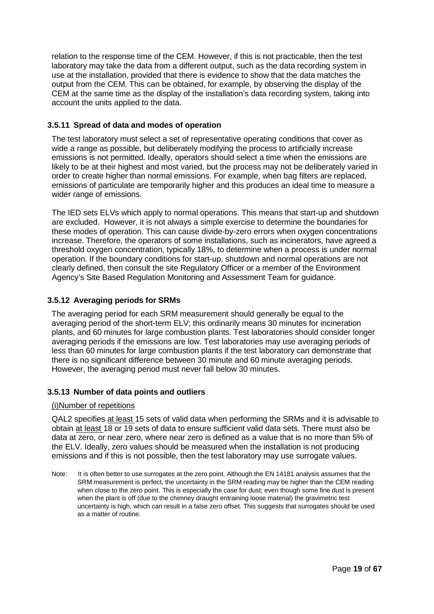relation to the response time of the CEM. However, if this is not practicable, then the test laboratory may take the data from a different output, such as the data recording system in use at the installation, provided that there is evidence to show that the data matches the output from the CEM. This can be obtained, for example, by observing the display of the CEM at the same time as the display of the installation's data recording system, taking into account the units applied to the data.

#### **3.5.11 Spread of data and modes of operation**

The test laboratory must select a set of representative operating conditions that cover as wide a range as possible, but deliberately modifying the process to artificially increase emissions is not permitted. Ideally, operators should select a time when the emissions are likely to be at their highest and most varied, but the process may not be deliberately varied in order to create higher than normal emissions. For example, when bag filters are replaced, emissions of particulate are temporarily higher and this produces an ideal time to measure a wider range of emissions.

The IED sets ELVs which apply to normal operations. This means that start-up and shutdown are excluded. However, it is not always a simple exercise to determine the boundaries for these modes of operation. This can cause divide-by-zero errors when oxygen concentrations increase. Therefore, the operators of some installations, such as incinerators, have agreed a threshold oxygen concentration, typically 18%, to determine when a process is under normal operation. If the boundary conditions for start-up, shutdown and normal operations are not clearly defined, then consult the site Regulatory Officer or a member of the Environment Agency's Site Based Regulation Monitoring and Assessment Team for guidance.

### **3.5.12 Averaging periods for SRMs**

The averaging period for each SRM measurement should generally be equal to the averaging period of the short-term ELV; this ordinarily means 30 minutes for incineration plants, and 60 minutes for large combustion plants. Test laboratories should consider longer averaging periods if the emissions are low. Test laboratories may use averaging periods of less than 60 minutes for large combustion plants if the test laboratory can demonstrate that there is no significant difference between 30 minute and 60 minute averaging periods. However, the averaging period must never fall below 30 minutes.

#### **3.5.13 Number of data points and outliers**

#### (i)Number of repetitions

QAL2 specifies at least 15 sets of valid data when performing the SRMs and it is advisable to obtain at least 18 or 19 sets of data to ensure sufficient valid data sets. There must also be data at zero, or near zero, where near zero is defined as a value that is no more than 5% of the ELV. Ideally, zero values should be measured when the installation is not producing emissions and if this is not possible, then the test laboratory may use surrogate values.

Note: It is often better to use surrogates at the zero point. Although the EN 14181 analysis assumes that the SRM measurement is perfect, the uncertainty in the SRM reading may be higher than the CEM reading when close to the zero point. This is especially the case for dust; even though some fine dust is present when the plant is off (due to the chimney draught entraining loose material) the gravimetric test uncertainty is high, which can result in a false zero offset. This suggests that surrogates should be used as a matter of routine.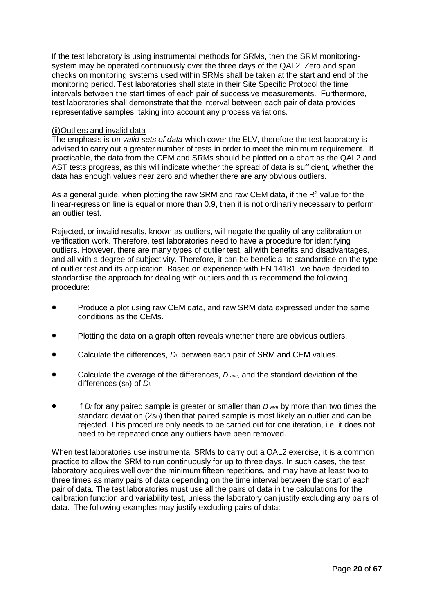If the test laboratory is using instrumental methods for SRMs, then the SRM monitoringsystem may be operated continuously over the three days of the QAL2. Zero and span checks on monitoring systems used within SRMs shall be taken at the start and end of the monitoring period. Test laboratories shall state in their Site Specific Protocol the time intervals between the start times of each pair of successive measurements. Furthermore, test laboratories shall demonstrate that the interval between each pair of data provides representative samples, taking into account any process variations.

#### (ii)Outliers and invalid data

The emphasis is on *valid sets of data* which cover the ELV, therefore the test laboratory is advised to carry out a greater number of tests in order to meet the minimum requirement. If practicable, the data from the CEM and SRMs should be plotted on a chart as the QAL2 and AST tests progress, as this will indicate whether the spread of data is sufficient, whether the data has enough values near zero and whether there are any obvious outliers.

As a general guide, when plotting the raw SRM and raw CEM data, if the  $R<sup>2</sup>$  value for the linear-regression line is equal or more than 0.9, then it is not ordinarily necessary to perform an outlier test.

Rejected, or invalid results, known as outliers, will negate the quality of any calibration or verification work. Therefore, test laboratories need to have a procedure for identifying outliers. However, there are many types of outlier test, all with benefits and disadvantages, and all with a degree of subjectivity. Therefore, it can be beneficial to standardise on the type of outlier test and its application. Based on experience with EN 14181, we have decided to standardise the approach for dealing with outliers and thus recommend the following procedure:

- Produce a plot using raw CEM data, and raw SRM data expressed under the same conditions as the CEMs.
- Plotting the data on a graph often reveals whether there are obvious outliers.
- Calculate the differences, *Di*, between each pair of SRM and CEM values.
- Calculate the average of the differences, *D ave,* and the standard deviation of the differences (SD) of *Di*.
- If *Di* for any paired sample is greater or smaller than *D ave* by more than two times the standard deviation  $(2s_D)$  then that paired sample is most likely an outlier and can be rejected. This procedure only needs to be carried out for one iteration, i.e. it does not need to be repeated once any outliers have been removed.

When test laboratories use instrumental SRMs to carry out a QAL2 exercise, it is a common practice to allow the SRM to run continuously for up to three days. In such cases, the test laboratory acquires well over the minimum fifteen repetitions, and may have at least two to three times as many pairs of data depending on the time interval between the start of each pair of data. The test laboratories must use all the pairs of data in the calculations for the calibration function and variability test, unless the laboratory can justify excluding any pairs of data. The following examples may justify excluding pairs of data: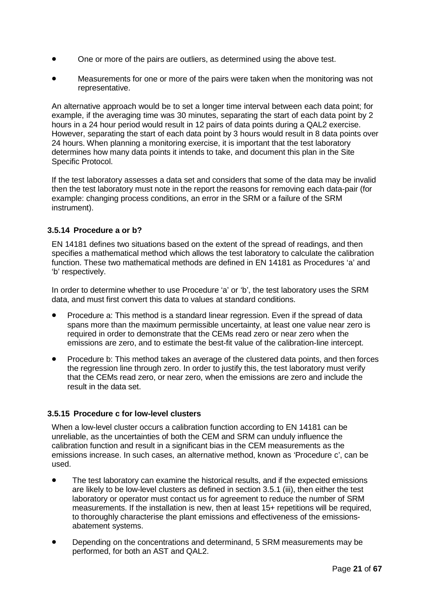- One or more of the pairs are outliers, as determined using the above test.
- Measurements for one or more of the pairs were taken when the monitoring was not representative.

An alternative approach would be to set a longer time interval between each data point; for example, if the averaging time was 30 minutes, separating the start of each data point by 2 hours in a 24 hour period would result in 12 pairs of data points during a QAL2 exercise. However, separating the start of each data point by 3 hours would result in 8 data points over 24 hours. When planning a monitoring exercise, it is important that the test laboratory determines how many data points it intends to take, and document this plan in the Site Specific Protocol.

If the test laboratory assesses a data set and considers that some of the data may be invalid then the test laboratory must note in the report the reasons for removing each data-pair (for example: changing process conditions, an error in the SRM or a failure of the SRM instrument).

#### **3.5.14 Procedure a or b?**

EN 14181 defines two situations based on the extent of the spread of readings, and then specifies a mathematical method which allows the test laboratory to calculate the calibration function. These two mathematical methods are defined in EN 14181 as Procedures 'a' and 'b' respectively.

In order to determine whether to use Procedure 'a' or 'b', the test laboratory uses the SRM data, and must first convert this data to values at standard conditions.

- Procedure a: This method is a standard linear regression. Even if the spread of data spans more than the maximum permissible uncertainty, at least one value near zero is required in order to demonstrate that the CEMs read zero or near zero when the emissions are zero, and to estimate the best-fit value of the calibration-line intercept.
- Procedure b: This method takes an average of the clustered data points, and then forces the regression line through zero. In order to justify this, the test laboratory must verify that the CEMs read zero, or near zero, when the emissions are zero and include the result in the data set.

#### **3.5.15 Procedure c for low-level clusters**

When a low-level cluster occurs a calibration function according to EN 14181 can be unreliable, as the uncertainties of both the CEM and SRM can unduly influence the calibration function and result in a significant bias in the CEM measurements as the emissions increase. In such cases, an alternative method, known as 'Procedure c', can be used.

- The test laboratory can examine the historical results, and if the expected emissions are likely to be low-level clusters as defined in section 3.5.1 (iii), then either the test laboratory or operator must contact us for agreement to reduce the number of SRM measurements. If the installation is new, then at least 15+ repetitions will be required, to thoroughly characterise the plant emissions and effectiveness of the emissionsabatement systems.
- Depending on the concentrations and determinand, 5 SRM measurements may be performed, for both an AST and QAL2.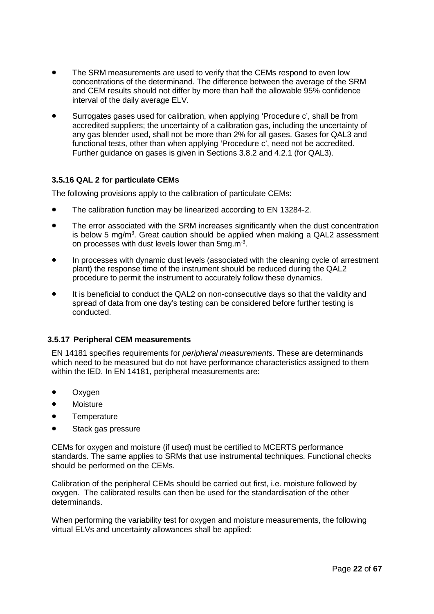- The SRM measurements are used to verify that the CEMs respond to even low concentrations of the determinand. The difference between the average of the SRM and CEM results should not differ by more than half the allowable 95% confidence interval of the daily average ELV.
- Surrogates gases used for calibration, when applying 'Procedure c', shall be from accredited suppliers; the uncertainty of a calibration gas, including the uncertainty of any gas blender used, shall not be more than 2% for all gases. Gases for QAL3 and functional tests, other than when applying 'Procedure c', need not be accredited. Further guidance on gases is given in Sections 3.8.2 and 4.2.1 (for QAL3).

### **3.5.16 QAL 2 for particulate CEMs**

The following provisions apply to the calibration of particulate CEMs:

- The calibration function may be linearized according to EN 13284-2.
- The error associated with the SRM increases significantly when the dust concentration is below 5 mg/m<sup>3</sup>. Great caution should be applied when making a QAL2 assessment on processes with dust levels lower than 5mg m<sup>3</sup>.
- In processes with dynamic dust levels (associated with the cleaning cycle of arrestment plant) the response time of the instrument should be reduced during the QAL2 procedure to permit the instrument to accurately follow these dynamics.
- It is beneficial to conduct the QAL2 on non-consecutive days so that the validity and spread of data from one day's testing can be considered before further testing is conducted.

#### **3.5.17 Peripheral CEM measurements**

EN 14181 specifies requirements for *peripheral measurements*. These are determinands which need to be measured but do not have performance characteristics assigned to them within the IED. In EN 14181, peripheral measurements are:

- Oxygen
- Moisture
- Temperature
- Stack gas pressure

CEMs for oxygen and moisture (if used) must be certified to MCERTS performance standards. The same applies to SRMs that use instrumental techniques. Functional checks should be performed on the CEMs.

Calibration of the peripheral CEMs should be carried out first, i.e. moisture followed by oxygen. The calibrated results can then be used for the standardisation of the other determinands.

When performing the variability test for oxygen and moisture measurements, the following virtual ELVs and uncertainty allowances shall be applied: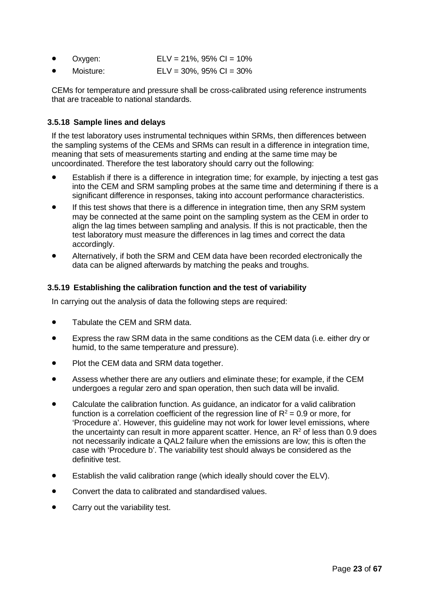| Oxygen: | $ELV = 21\%, 95\% CI = 10\%$ |
|---------|------------------------------|
|         |                              |

• Moisture: ELV = 30%, 95% CI = 30%

CEMs for temperature and pressure shall be cross-calibrated using reference instruments that are traceable to national standards.

#### **3.5.18 Sample lines and delays**

If the test laboratory uses instrumental techniques within SRMs, then differences between the sampling systems of the CEMs and SRMs can result in a difference in integration time, meaning that sets of measurements starting and ending at the same time may be uncoordinated. Therefore the test laboratory should carry out the following:

- Establish if there is a difference in integration time; for example, by injecting a test gas into the CEM and SRM sampling probes at the same time and determining if there is a significant difference in responses, taking into account performance characteristics.
- If this test shows that there is a difference in integration time, then any SRM system may be connected at the same point on the sampling system as the CEM in order to align the lag times between sampling and analysis. If this is not practicable, then the test laboratory must measure the differences in lag times and correct the data accordingly.
- Alternatively, if both the SRM and CEM data have been recorded electronically the data can be aligned afterwards by matching the peaks and troughs.

### **3.5.19 Establishing the calibration function and the test of variability**

In carrying out the analysis of data the following steps are required:

- Tabulate the CEM and SRM data.
- Express the raw SRM data in the same conditions as the CEM data (i.e. either dry or humid, to the same temperature and pressure).
- Plot the CEM data and SRM data together.
- Assess whether there are any outliers and eliminate these; for example, if the CEM undergoes a regular zero and span operation, then such data will be invalid.
- Calculate the calibration function. As guidance, an indicator for a valid calibration function is a correlation coefficient of the regression line of  $R^2 = 0.9$  or more, for 'Procedure a'. However, this guideline may not work for lower level emissions, where the uncertainty can result in more apparent scatter. Hence, an  $R<sup>2</sup>$  of less than 0.9 does not necessarily indicate a QAL2 failure when the emissions are low; this is often the case with 'Procedure b'. The variability test should always be considered as the definitive test.
- Establish the valid calibration range (which ideally should cover the ELV).
- Convert the data to calibrated and standardised values.
- Carry out the variability test.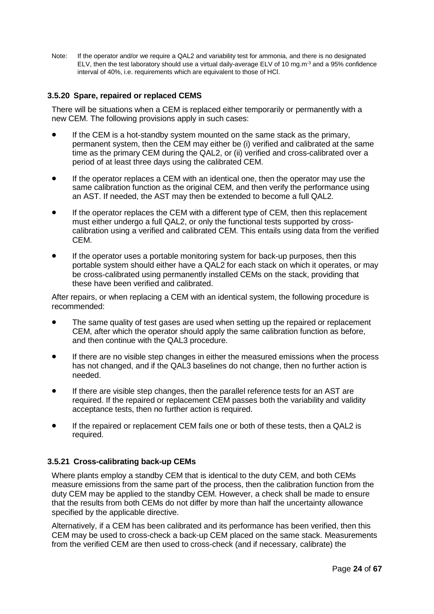Note: If the operator and/or we require a QAL2 and variability test for ammonia, and there is no designated ELV, then the test laboratory should use a virtual daily-average ELV of 10 mg.m<sup>-3</sup> and a 95% confidence interval of 40%, i.e. requirements which are equivalent to those of HCl.

#### **3.5.20 Spare, repaired or replaced CEMS**

There will be situations when a CEM is replaced either temporarily or permanently with a new CEM. The following provisions apply in such cases:

- If the CEM is a hot-standby system mounted on the same stack as the primary, permanent system, then the CEM may either be (i) verified and calibrated at the same time as the primary CEM during the QAL2, or (ii) verified and cross-calibrated over a period of at least three days using the calibrated CEM.
- If the operator replaces a CEM with an identical one, then the operator may use the same calibration function as the original CEM, and then verify the performance using an AST. If needed, the AST may then be extended to become a full QAL2.
- If the operator replaces the CEM with a different type of CEM, then this replacement must either undergo a full QAL2, or only the functional tests supported by crosscalibration using a verified and calibrated CEM. This entails using data from the verified CEM.
- If the operator uses a portable monitoring system for back-up purposes, then this portable system should either have a QAL2 for each stack on which it operates, or may be cross-calibrated using permanently installed CEMs on the stack, providing that these have been verified and calibrated.

After repairs, or when replacing a CEM with an identical system, the following procedure is recommended:

- The same quality of test gases are used when setting up the repaired or replacement CEM, after which the operator should apply the same calibration function as before, and then continue with the QAL3 procedure.
- If there are no visible step changes in either the measured emissions when the process has not changed, and if the QAL3 baselines do not change, then no further action is needed.
- If there are visible step changes, then the parallel reference tests for an AST are required. If the repaired or replacement CEM passes both the variability and validity acceptance tests, then no further action is required.
- If the repaired or replacement CEM fails one or both of these tests, then a QAL2 is required.

#### **3.5.21 Cross-calibrating back-up CEMs**

Where plants employ a standby CEM that is identical to the duty CEM, and both CEMs measure emissions from the same part of the process, then the calibration function from the duty CEM may be applied to the standby CEM. However, a check shall be made to ensure that the results from both CEMs do not differ by more than half the uncertainty allowance specified by the applicable directive.

Alternatively, if a CEM has been calibrated and its performance has been verified, then this CEM may be used to cross-check a back-up CEM placed on the same stack. Measurements from the verified CEM are then used to cross-check (and if necessary, calibrate) the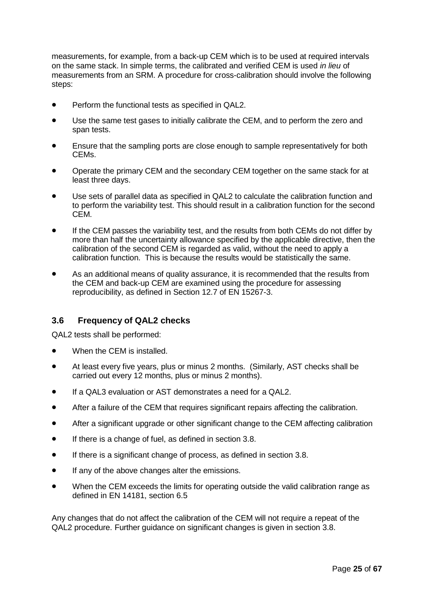measurements, for example, from a back-up CEM which is to be used at required intervals on the same stack. In simple terms, the calibrated and verified CEM is used *in lieu* of measurements from an SRM. A procedure for cross-calibration should involve the following steps:

- Perform the functional tests as specified in QAL2.
- Use the same test gases to initially calibrate the CEM, and to perform the zero and span tests.
- Ensure that the sampling ports are close enough to sample representatively for both CEMs.
- Operate the primary CEM and the secondary CEM together on the same stack for at least three days.
- Use sets of parallel data as specified in QAL2 to calculate the calibration function and to perform the variability test. This should result in a calibration function for the second CEM.
- If the CEM passes the variability test, and the results from both CEMs do not differ by more than half the uncertainty allowance specified by the applicable directive, then the calibration of the second CEM is regarded as valid, without the need to apply a calibration function. This is because the results would be statistically the same.
- As an additional means of quality assurance, it is recommended that the results from the CEM and back-up CEM are examined using the procedure for assessing reproducibility, as defined in Section 12.7 of EN 15267-3.

# <span id="page-29-0"></span>**3.6 Frequency of QAL2 checks**

QAL2 tests shall be performed:

- When the CEM is installed.
- At least every five years, plus or minus 2 months. (Similarly, AST checks shall be carried out every 12 months, plus or minus 2 months).
- If a QAL3 evaluation or AST demonstrates a need for a QAL2.
- After a failure of the CEM that requires significant repairs affecting the calibration.
- After a significant upgrade or other significant change to the CEM affecting calibration
- If there is a change of fuel, as defined in section 3.8.
- If there is a significant change of process, as defined in section 3.8.
- If any of the above changes alter the emissions.
- When the CEM exceeds the limits for operating outside the valid calibration range as defined in EN 14181, section 6.5

Any changes that do not affect the calibration of the CEM will not require a repeat of the QAL2 procedure. Further guidance on significant changes is given in section 3.8.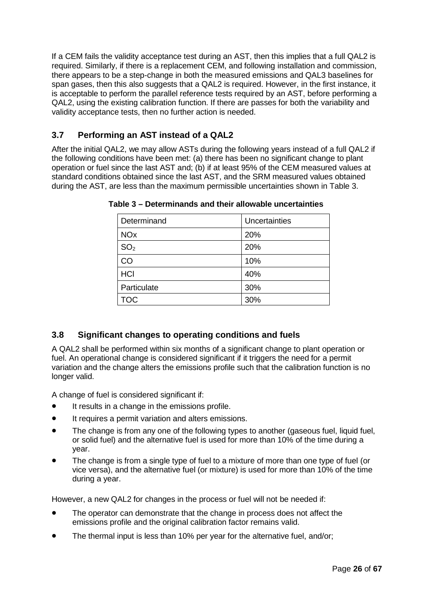If a CEM fails the validity acceptance test during an AST, then this implies that a full QAL2 is required. Similarly, if there is a replacement CEM, and following installation and commission, there appears to be a step-change in both the measured emissions and QAL3 baselines for span gases, then this also suggests that a QAL2 is required. However, in the first instance, it is acceptable to perform the parallel reference tests required by an AST, before performing a QAL2, using the existing calibration function. If there are passes for both the variability and validity acceptance tests, then no further action is needed.

# <span id="page-30-0"></span>**3.7 Performing an AST instead of a QAL2**

After the initial QAL2, we may allow ASTs during the following years instead of a full QAL2 if the following conditions have been met: (a) there has been no significant change to plant operation or fuel since the last AST and; (b) if at least 95% of the CEM measured values at standard conditions obtained since the last AST, and the SRM measured values obtained during the AST, are less than the maximum permissible uncertainties shown in Table 3.

| Determinand           | Uncertainties |
|-----------------------|---------------|
| <b>NO<sub>x</sub></b> | 20%           |
| SO <sub>2</sub>       | 20%           |
| CO                    | 10%           |
| <b>HCI</b>            | 40%           |
| Particulate           | 30%           |
| <b>TOC</b>            | 30%           |

**Table 3 – Determinands and their allowable uncertainties**

# <span id="page-30-1"></span>**3.8 Significant changes to operating conditions and fuels**

A QAL2 shall be performed within six months of a significant change to plant operation or fuel. An operational change is considered significant if it triggers the need for a permit variation and the change alters the emissions profile such that the calibration function is no longer valid.

A change of fuel is considered significant if:

- It results in a change in the emissions profile.
- It requires a permit variation and alters emissions.
- The change is from any one of the following types to another (gaseous fuel, liquid fuel, or solid fuel) and the alternative fuel is used for more than 10% of the time during a year.
- The change is from a single type of fuel to a mixture of more than one type of fuel (or vice versa), and the alternative fuel (or mixture) is used for more than 10% of the time during a year.

However, a new QAL2 for changes in the process or fuel will not be needed if:

- The operator can demonstrate that the change in process does not affect the emissions profile and the original calibration factor remains valid.
- The thermal input is less than 10% per year for the alternative fuel, and/or;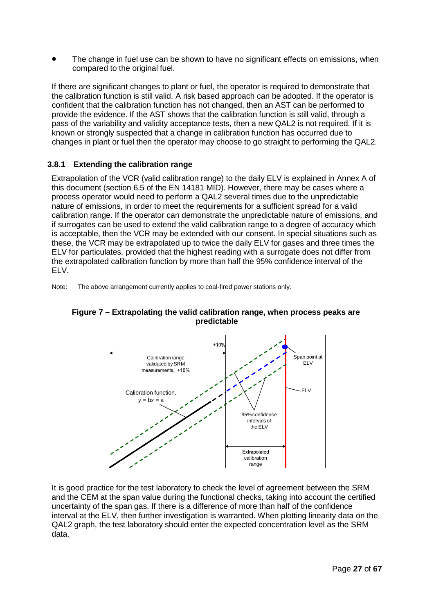The change in fuel use can be shown to have no significant effects on emissions, when compared to the original fuel.

If there are significant changes to plant or fuel, the operator is required to demonstrate that the calibration function is still valid. A risk based approach can be adopted. If the operator is confident that the calibration function has not changed, then an AST can be performed to provide the evidence. If the AST shows that the calibration function is still valid, through a pass of the variability and validity acceptance tests, then a new QAL2 is not required. If it is known or strongly suspected that a change in calibration function has occurred due to changes in plant or fuel then the operator may choose to go straight to performing the QAL2.

# **3.8.1 Extending the calibration range**

Extrapolation of the VCR (valid calibration range) to the daily ELV is explained in Annex A of this document (section 6.5 of the EN 14181 MID). However, there may be cases where a process operator would need to perform a QAL2 several times due to the unpredictable nature of emissions, in order to meet the requirements for a sufficient spread for a valid calibration range. If the operator can demonstrate the unpredictable nature of emissions, and if surrogates can be used to extend the valid calibration range to a degree of accuracy which is acceptable, then the VCR may be extended with our consent. In special situations such as these, the VCR may be extrapolated up to twice the daily ELV for gases and three times the ELV for particulates, provided that the highest reading with a surrogate does not differ from the extrapolated calibration function by more than half the 95% confidence interval of the ELV.

Note: The above arrangement currently applies to coal-fired power stations only.



# **Figure 7 – Extrapolating the valid calibration range, when process peaks are predictable**

It is good practice for the test laboratory to check the level of agreement between the SRM and the CEM at the span value during the functional checks, taking into account the certified uncertainty of the span gas. If there is a difference of more than half of the confidence interval at the ELV, then further investigation is warranted. When plotting linearity data on the QAL2 graph, the test laboratory should enter the expected concentration level as the SRM data.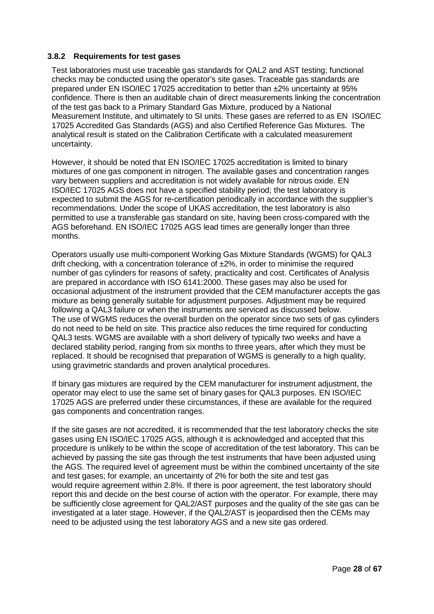#### **3.8.2 Requirements for test gases**

Test laboratories must use traceable gas standards for QAL2 and AST testing; functional checks may be conducted using the operator's site gases. Traceable gas standards are prepared under EN ISO/IEC 17025 accreditation to better than ±2% uncertainty at 95% confidence. There is then an auditable chain of direct measurements linking the concentration of the test gas back to a Primary Standard Gas Mixture, produced by a National Measurement Institute, and ultimately to SI units. These gases are referred to as EN ISO/IEC 17025 Accredited Gas Standards (AGS) and also Certified Reference Gas Mixtures. The analytical result is stated on the Calibration Certificate with a calculated measurement uncertainty.

However, it should be noted that EN ISO/IEC 17025 accreditation is limited to binary mixtures of one gas component in nitrogen. The available gases and concentration ranges vary between suppliers and accreditation is not widely available for nitrous oxide. EN ISO/IEC 17025 AGS does not have a specified stability period; the test laboratory is expected to submit the AGS for re-certification periodically in accordance with the supplier's recommendations. Under the scope of UKAS accreditation, the test laboratory is also permitted to use a transferable gas standard on site, having been cross-compared with the AGS beforehand. EN ISO/IEC 17025 AGS lead times are generally longer than three months.

Operators usually use multi-component Working Gas Mixture Standards (WGMS) for QAL3 drift checking, with a concentration tolerance of  $\pm$ 2%, in order to minimise the required number of gas cylinders for reasons of safety, practicality and cost. Certificates of Analysis are prepared in accordance with ISO 6141:2000. These gases may also be used for occasional adjustment of the instrument provided that the CEM manufacturer accepts the gas mixture as being generally suitable for adjustment purposes. Adjustment may be required following a QAL3 failure or when the instruments are serviced as discussed below. The use of WGMS reduces the overall burden on the operator since two sets of gas cylinders do not need to be held on site. This practice also reduces the time required for conducting QAL3 tests. WGMS are available with a short delivery of typically two weeks and have a declared stability period, ranging from six months to three years, after which they must be replaced. It should be recognised that preparation of WGMS is generally to a high quality, using gravimetric standards and proven analytical procedures.

If binary gas mixtures are required by the CEM manufacturer for instrument adjustment, the operator may elect to use the same set of binary gases for QAL3 purposes. EN ISO/IEC 17025 AGS are preferred under these circumstances, if these are available for the required gas components and concentration ranges.

If the site gases are not accredited, it is recommended that the test laboratory checks the site gases using EN ISO/IEC 17025 AGS, although it is acknowledged and accepted that this procedure is unlikely to be within the scope of accreditation of the test laboratory. This can be achieved by passing the site gas through the test instruments that have been adjusted using the AGS. The required level of agreement must be within the combined uncertainty of the site and test gases; for example, an uncertainty of 2% for both the site and test gas would require agreement within 2.8%. If there is poor agreement, the test laboratory should report this and decide on the best course of action with the operator. For example, there may be sufficiently close agreement for QAL2/AST purposes and the quality of the site gas can be investigated at a later stage. However, if the QAL2/AST is jeopardised then the CEMs may need to be adjusted using the test laboratory AGS and a new site gas ordered.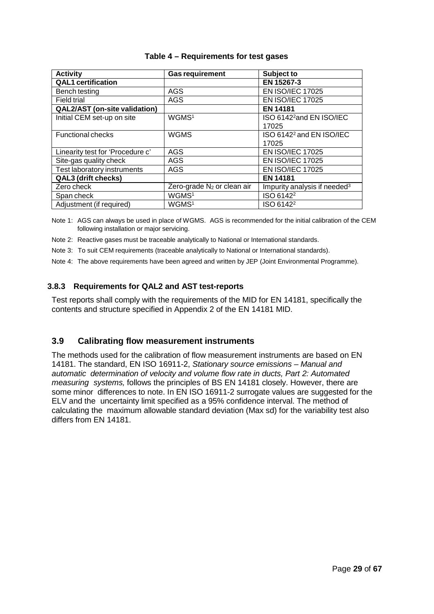| <b>Activity</b>                      | <b>Gas requirement</b>                              | Subject to                               |
|--------------------------------------|-----------------------------------------------------|------------------------------------------|
| <b>QAL1</b> certification            |                                                     | EN 15267-3                               |
| Bench testing                        | AGS                                                 | <b>EN ISO/IEC 17025</b>                  |
| <b>Field trial</b>                   | AGS                                                 | <b>EN ISO/IEC 17025</b>                  |
| <b>QAL2/AST</b> (on-site validation) |                                                     | <b>EN 14181</b>                          |
| Initial CEM set-up on site           | WGMS <sup>1</sup>                                   | ISO 6142 <sup>2</sup> and EN ISO/IEC     |
|                                      |                                                     | 17025                                    |
| <b>Functional checks</b>             | <b>WGMS</b><br>ISO 6142 <sup>2</sup> and EN ISO/IEC |                                          |
|                                      |                                                     | 17025                                    |
| Linearity test for 'Procedure c'     | <b>AGS</b>                                          | <b>EN ISO/IEC 17025</b>                  |
| Site-gas quality check               | AGS                                                 | <b>EN ISO/IEC 17025</b>                  |
| Test laboratory instruments          | <b>AGS</b>                                          | <b>EN ISO/IEC 17025</b>                  |
| QAL3 (drift checks)                  |                                                     | <b>EN 14181</b>                          |
| Zero check                           | Zero-grade N <sub>2</sub> or clean air              | Impurity analysis if needed <sup>3</sup> |
| Span check                           | WGMS <sup>1</sup>                                   | ISO 6142 <sup>2</sup>                    |
| Adjustment (if required)             | WGMS <sup>1</sup>                                   | ISO 6142 <sup>2</sup>                    |

#### **Table 4 – Requirements for test gases**

Note 1: AGS can always be used in place of WGMS. AGS is recommended for the initial calibration of the CEM following installation or major servicing.

- Note 2: Reactive gases must be traceable analytically to National or International standards.
- Note 3: To suit CEM requirements (traceable analytically to National or International standards).
- Note 4: The above requirements have been agreed and written by JEP (Joint Environmental Programme).

#### **3.8.3 Requirements for QAL2 and AST test-reports**

Test reports shall comply with the requirements of the MID for EN 14181, specifically the contents and structure specified in Appendix 2 of the EN 14181 MID.

#### <span id="page-33-0"></span>**3.9 Calibrating flow measurement instruments**

The methods used for the calibration of flow measurement instruments are based on EN 14181. The standard, EN ISO 16911-2, *Stationary source emissions – Manual and automatic determination of velocity and volume flow rate in ducts, Part 2: Automated measuring systems,* follows the principles of BS EN 14181 closely. However, there are some minor differences to note. In EN ISO 16911-2 surrogate values are suggested for the ELV and the uncertainty limit specified as a 95% confidence interval. The method of calculating the maximum allowable standard deviation (Max sd) for the variability test also differs from EN 14181.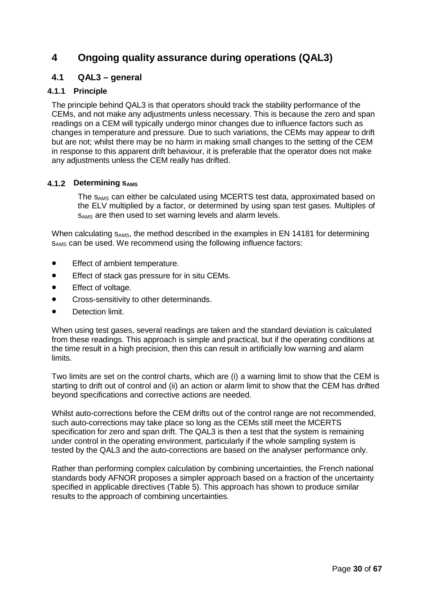# <span id="page-34-0"></span>**4 Ongoing quality assurance during operations (QAL3)**

# <span id="page-34-1"></span>**4.1 QAL3 – general**

## **4.1.1 Principle**

The principle behind QAL3 is that operators should track the stability performance of the CEMs, and not make any adjustments unless necessary. This is because the zero and span readings on a CEM will typically undergo minor changes due to influence factors such as changes in temperature and pressure. Due to such variations, the CEMs may appear to drift but are not; whilst there may be no harm in making small changes to the setting of the CEM in response to this apparent drift behaviour, it is preferable that the operator does not make any adjustments unless the CEM really has drifted.

#### **4.1.2 Determining SAMS**

The s<sub>AMS</sub> can either be calculated using MCERTS test data, approximated based on the ELV multiplied by a factor, or determined by using span test gases. Multiples of sAMS are then used to set warning levels and alarm levels.

When calculating  $s_{AMS}$ , the method described in the examples in EN 14181 for determining SAMS can be used. We recommend using the following influence factors:

- Effect of ambient temperature.
- Effect of stack gas pressure for in situ CEMs.
- Effect of voltage.
- Cross-sensitivity to other determinands.
- Detection limit.

When using test gases, several readings are taken and the standard deviation is calculated from these readings. This approach is simple and practical, but if the operating conditions at the time result in a high precision, then this can result in artificially low warning and alarm limits.

Two limits are set on the control charts, which are (i) a warning limit to show that the CEM is starting to drift out of control and (ii) an action or alarm limit to show that the CEM has drifted beyond specifications and corrective actions are needed.

Whilst auto-corrections before the CEM drifts out of the control range are not recommended, such auto-corrections may take place so long as the CEMs still meet the MCERTS specification for zero and span drift. The QAL3 is then a test that the system is remaining under control in the operating environment, particularly if the whole sampling system is tested by the QAL3 and the auto-corrections are based on the analyser performance only.

Rather than performing complex calculation by combining uncertainties, the French national standards body AFNOR proposes a simpler approach based on a fraction of the uncertainty specified in applicable directives (Table 5). This approach has shown to produce similar results to the approach of combining uncertainties.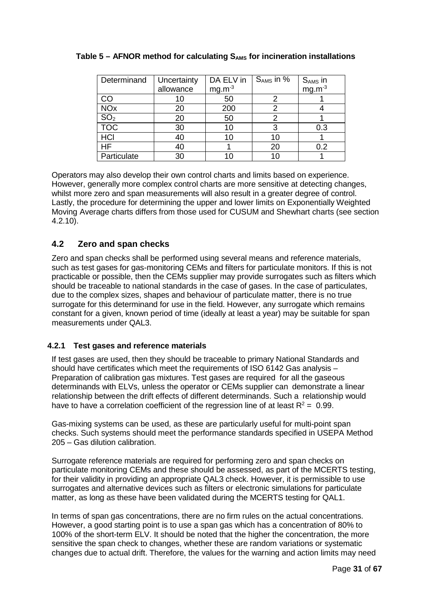| Determinand           | Uncertainty | DA ELV in | $S_{AMS}$ in $\overline{\%}$ | $S_{AMS}$ in<br>mg.m <sup>-3</sup> |
|-----------------------|-------------|-----------|------------------------------|------------------------------------|
|                       | allowance   | $mg.m-3$  |                              |                                    |
| CO                    |             | 50        |                              |                                    |
| <b>NO<sub>x</sub></b> | 20          | 200       |                              |                                    |
| SO <sub>2</sub>       | 20          | 50        |                              |                                    |
| <b>TOC</b>            | 30          | 10        |                              | 0.3                                |
| HCI                   | 40          | 10        | 10                           |                                    |
| HF                    | 40          |           | 20                           | 0.2                                |
| Particulate           | 30          | 1በ        | 10                           |                                    |

# **Table 5 – AFNOR method for calculating SAMS for incineration installations**

Operators may also develop their own control charts and limits based on experience. However, generally more complex control charts are more sensitive at detecting changes, whilst more zero and span measurements will also result in a greater degree of control. Lastly, the procedure for determining the upper and lower limits on Exponentially Weighted Moving Average charts differs from those used for CUSUM and Shewhart charts (see section 4.2.10).

# <span id="page-35-0"></span>**4.2 Zero and span checks**

Zero and span checks shall be performed using several means and reference materials, such as test gases for gas-monitoring CEMs and filters for particulate monitors. If this is not practicable or possible, then the CEMs supplier may provide surrogates such as filters which should be traceable to national standards in the case of gases. In the case of particulates, due to the complex sizes, shapes and behaviour of particulate matter, there is no true surrogate for this determinand for use in the field. However, any surrogate which remains constant for a given, known period of time (ideally at least a year) may be suitable for span measurements under QAL3.

# **4.2.1 Test gases and reference materials**

If test gases are used, then they should be traceable to primary National Standards and should have certificates which meet the requirements of ISO 6142 Gas analysis – Preparation of calibration gas mixtures. Test gases are required for all the gaseous determinands with ELVs, unless the operator or CEMs supplier can demonstrate a linear relationship between the drift effects of different determinands. Such a relationship would have to have a correlation coefficient of the regression line of at least  $R^2 = 0.99$ .

Gas-mixing systems can be used, as these are particularly useful for multi-point span checks. Such systems should meet the performance standards specified in USEPA Method 205 – Gas dilution calibration.

Surrogate reference materials are required for performing zero and span checks on particulate monitoring CEMs and these should be assessed, as part of the MCERTS testing, for their validity in providing an appropriate QAL3 check. However, it is permissible to use surrogates and alternative devices such as filters or electronic simulations for particulate matter, as long as these have been validated during the MCERTS testing for QAL1.

In terms of span gas concentrations, there are no firm rules on the actual concentrations. However, a good starting point is to use a span gas which has a concentration of 80% to 100% of the short-term ELV. It should be noted that the higher the concentration, the more sensitive the span check to changes, whether these are random variations or systematic changes due to actual drift. Therefore, the values for the warning and action limits may need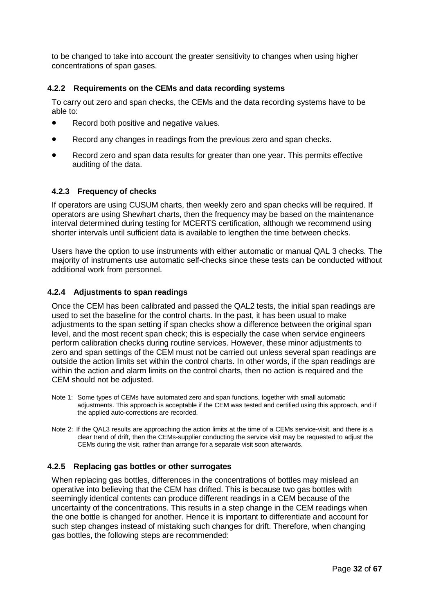to be changed to take into account the greater sensitivity to changes when using higher concentrations of span gases.

### **4.2.2 Requirements on the CEMs and data recording systems**

To carry out zero and span checks, the CEMs and the data recording systems have to be able to:

- Record both positive and negative values.
- Record any changes in readings from the previous zero and span checks.
- Record zero and span data results for greater than one year. This permits effective auditing of the data.

#### **4.2.3 Frequency of checks**

If operators are using CUSUM charts, then weekly zero and span checks will be required. If operators are using Shewhart charts, then the frequency may be based on the maintenance interval determined during testing for MCERTS certification, although we recommend using shorter intervals until sufficient data is available to lengthen the time between checks.

Users have the option to use instruments with either automatic or manual QAL 3 checks. The majority of instruments use automatic self-checks since these tests can be conducted without additional work from personnel.

#### **4.2.4 Adjustments to span readings**

Once the CEM has been calibrated and passed the QAL2 tests, the initial span readings are used to set the baseline for the control charts. In the past, it has been usual to make adjustments to the span setting if span checks show a difference between the original span level, and the most recent span check; this is especially the case when service engineers perform calibration checks during routine services. However, these minor adjustments to zero and span settings of the CEM must not be carried out unless several span readings are outside the action limits set within the control charts. In other words, if the span readings are within the action and alarm limits on the control charts, then no action is required and the CEM should not be adjusted.

- Note 1: Some types of CEMs have automated zero and span functions, together with small automatic adjustments. This approach is acceptable if the CEM was tested and certified using this approach, and if the applied auto-corrections are recorded.
- Note 2: If the QAL3 results are approaching the action limits at the time of a CEMs service-visit, and there is a clear trend of drift, then the CEMs-supplier conducting the service visit may be requested to adjust the CEMs during the visit, rather than arrange for a separate visit soon afterwards.

### **4.2.5 Replacing gas bottles or other surrogates**

When replacing gas bottles, differences in the concentrations of bottles may mislead an operative into believing that the CEM has drifted. This is because two gas bottles with seemingly identical contents can produce different readings in a CEM because of the uncertainty of the concentrations. This results in a step change in the CEM readings when the one bottle is changed for another. Hence it is important to differentiate and account for such step changes instead of mistaking such changes for drift. Therefore, when changing gas bottles, the following steps are recommended: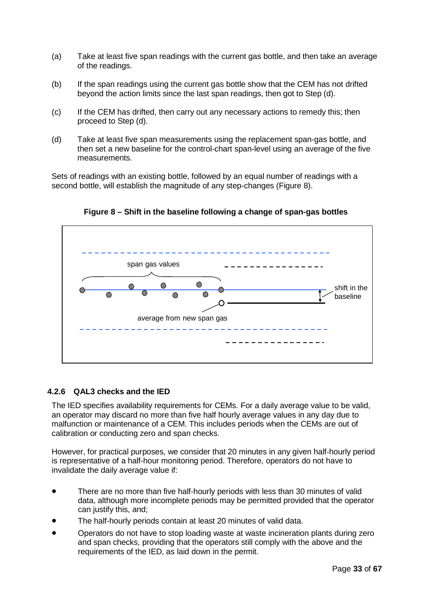- (a) Take at least five span readings with the current gas bottle, and then take an average of the readings.
- (b) If the span readings using the current gas bottle show that the CEM has not drifted beyond the action limits since the last span readings, then got to Step (d).
- (c) If the CEM has drifted, then carry out any necessary actions to remedy this; then proceed to Step (d).
- (d) Take at least five span measurements using the replacement span-gas bottle, and then set a new baseline for the control-chart span-level using an average of the five measurements.

Sets of readings with an existing bottle, followed by an equal number of readings with a second bottle, will establish the magnitude of any step-changes (Figure 8).



**Figure 8 – Shift in the baseline following a change of span-gas bottles**

## **4.2.6 QAL3 checks and the IED**

The IED specifies availability requirements for CEMs. For a daily average value to be valid, an operator may discard no more than five half hourly average values in any day due to malfunction or maintenance of a CEM. This includes periods when the CEMs are out of calibration or conducting zero and span checks.

However, for practical purposes, we consider that 20 minutes in any given half-hourly period is representative of a half-hour monitoring period. Therefore, operators do not have to invalidate the daily average value if:

- There are no more than five half-hourly periods with less than 30 minutes of valid data, although more incomplete periods may be permitted provided that the operator can justify this, and;
- The half-hourly periods contain at least 20 minutes of valid data.
- Operators do not have to stop loading waste at waste incineration plants during zero and span checks, providing that the operators still comply with the above and the requirements of the IED, as laid down in the permit.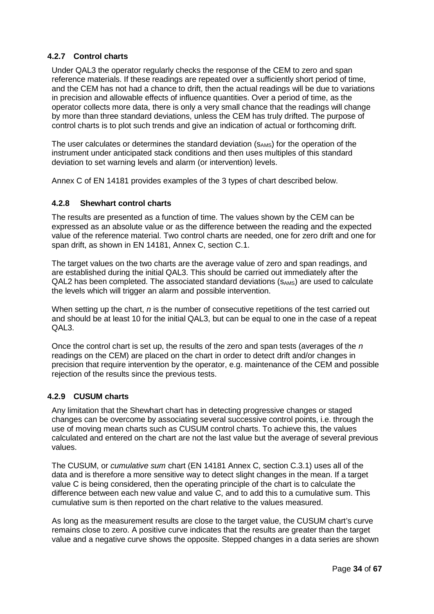## **4.2.7 Control charts**

Under QAL3 the operator regularly checks the response of the CEM to zero and span reference materials. If these readings are repeated over a sufficiently short period of time, and the CEM has not had a chance to drift, then the actual readings will be due to variations in precision and allowable effects of influence quantities. Over a period of time, as the operator collects more data, there is only a very small chance that the readings will change by more than three standard deviations, unless the CEM has truly drifted. The purpose of control charts is to plot such trends and give an indication of actual or forthcoming drift.

The user calculates or determines the standard deviation (SAMS) for the operation of the instrument under anticipated stack conditions and then uses multiples of this standard deviation to set warning levels and alarm (or intervention) levels.

Annex C of EN 14181 provides examples of the 3 types of chart described below.

### **4.2.8 Shewhart control charts**

The results are presented as a function of time. The values shown by the CEM can be expressed as an absolute value or as the difference between the reading and the expected value of the reference material. Two control charts are needed, one for zero drift and one for span drift, as shown in EN 14181, Annex C, section C.1.

The target values on the two charts are the average value of zero and span readings, and are established during the initial QAL3. This should be carried out immediately after the QAL2 has been completed. The associated standard deviations (SAMS) are used to calculate the levels which will trigger an alarm and possible intervention.

When setting up the chart, *n* is the number of consecutive repetitions of the test carried out and should be at least 10 for the initial QAL3, but can be equal to one in the case of a repeat QAL3.

Once the control chart is set up, the results of the zero and span tests (averages of the *n*  readings on the CEM) are placed on the chart in order to detect drift and/or changes in precision that require intervention by the operator, e.g. maintenance of the CEM and possible rejection of the results since the previous tests.

## **4.2.9 CUSUM charts**

Any limitation that the Shewhart chart has in detecting progressive changes or staged changes can be overcome by associating several successive control points, i.e. through the use of moving mean charts such as CUSUM control charts. To achieve this, the values calculated and entered on the chart are not the last value but the average of several previous values.

The CUSUM, or *cumulative sum* chart (EN 14181 Annex C, section C.3.1) uses all of the data and is therefore a more sensitive way to detect slight changes in the mean. If a target value C is being considered, then the operating principle of the chart is to calculate the difference between each new value and value C, and to add this to a cumulative sum. This cumulative sum is then reported on the chart relative to the values measured.

As long as the measurement results are close to the target value, the CUSUM chart's curve remains close to zero. A positive curve indicates that the results are greater than the target value and a negative curve shows the opposite. Stepped changes in a data series are shown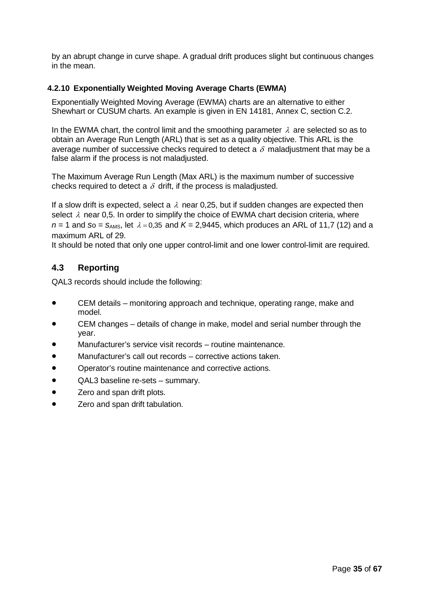by an abrupt change in curve shape. A gradual drift produces slight but continuous changes in the mean.

### **4.2.10 Exponentially Weighted Moving Average Charts (EWMA)**

Exponentially Weighted Moving Average (EWMA) charts are an alternative to either Shewhart or CUSUM charts. An example is given in EN 14181, Annex C, section C.2.

In the EWMA chart, the control limit and the smoothing parameter  $\lambda$  are selected so as to obtain an Average Run Length (ARL) that is set as a quality objective. This ARL is the average number of successive checks required to detect a  $\delta$  maladjustment that may be a false alarm if the process is not maladjusted.

The Maximum Average Run Length (Max ARL) is the maximum number of successive checks required to detect a  $\delta$  drift, if the process is maladjusted.

If a slow drift is expected, select a  $\lambda$  near 0,25, but if sudden changes are expected then select  $\lambda$  near 0.5. In order to simplify the choice of EWMA chart decision criteria, where  $n = 1$  and so =  $S_{AMS}$ , let  $\lambda = 0.35$  and  $K = 2.9445$ , which produces an ARL of 11,7 (12) and a maximum ARL of 29.

It should be noted that only one upper control-limit and one lower control-limit are required.

## **4.3 Reporting**

QAL3 records should include the following:

- CEM details monitoring approach and technique, operating range, make and model.
- CEM changes details of change in make, model and serial number through the year.
- Manufacturer's service visit records routine maintenance.
- Manufacturer's call out records corrective actions taken.
- Operator's routine maintenance and corrective actions.
- QAL3 baseline re-sets summary.
- **Zero and span drift plots.**
- Zero and span drift tabulation.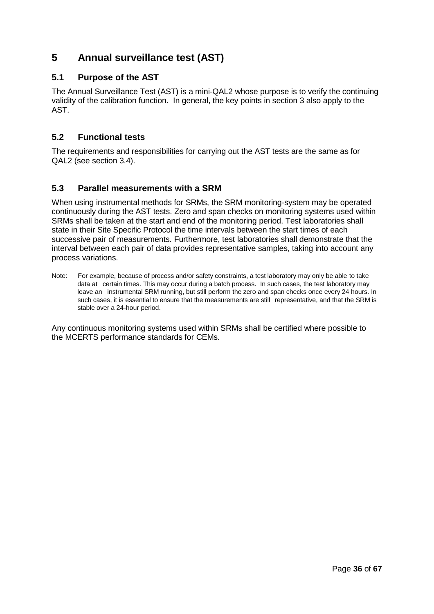# **5 Annual surveillance test (AST)**

## **5.1 Purpose of the AST**

The Annual Surveillance Test (AST) is a mini-QAL2 whose purpose is to verify the continuing validity of the calibration function. In general, the key points in section 3 also apply to the AST.

## **5.2 Functional tests**

The requirements and responsibilities for carrying out the AST tests are the same as for QAL2 (see section 3.4).

## **5.3 Parallel measurements with a SRM**

When using instrumental methods for SRMs, the SRM monitoring-system may be operated continuously during the AST tests. Zero and span checks on monitoring systems used within SRMs shall be taken at the start and end of the monitoring period. Test laboratories shall state in their Site Specific Protocol the time intervals between the start times of each successive pair of measurements. Furthermore, test laboratories shall demonstrate that the interval between each pair of data provides representative samples, taking into account any process variations.

Note: For example, because of process and/or safety constraints, a test laboratory may only be able to take data at certain times. This may occur during a batch process. In such cases, the test laboratory may leave an instrumental SRM running, but still perform the zero and span checks once every 24 hours. In such cases, it is essential to ensure that the measurements are still representative, and that the SRM is stable over a 24-hour period.

Any continuous monitoring systems used within SRMs shall be certified where possible to the MCERTS performance standards for CEMs.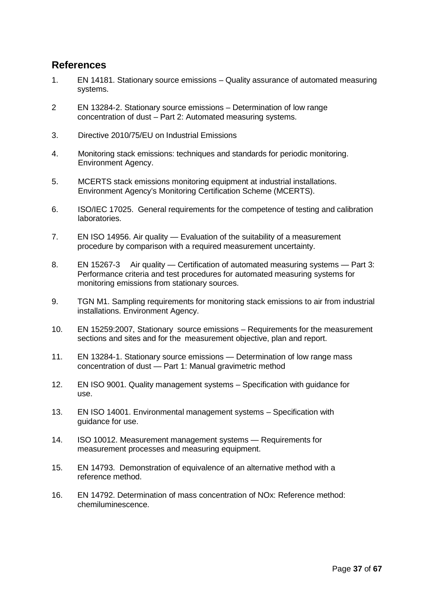# **References**

- 1. EN 14181. Stationary source emissions Quality assurance of automated measuring systems.
- 2 EN 13284-2. Stationary source emissions Determination of low range concentration of dust – Part 2: Automated measuring systems.
- 3. Directive 2010/75/EU on Industrial Emissions
- 4. Monitoring stack emissions: techniques and standards for periodic monitoring. Environment Agency.
- 5. MCERTS stack emissions monitoring equipment at industrial installations. Environment Agency's Monitoring Certification Scheme (MCERTS).
- 6. ISO/IEC 17025. General requirements for the competence of testing and calibration laboratories.
- 7. EN ISO 14956. Air quality Evaluation of the suitability of a measurement procedure by comparison with a required measurement uncertainty.
- 8. EN 15267-3 Air quality Certification of automated measuring systems Part 3: Performance criteria and test procedures for automated measuring systems for monitoring emissions from stationary sources.
- 9. TGN M1. Sampling requirements for monitoring stack emissions to air from industrial installations. Environment Agency.
- 10. EN 15259:2007, Stationary source emissions Requirements for the measurement sections and sites and for the measurement objective, plan and report.
- 11. EN 13284-1. Stationary source emissions Determination of low range mass concentration of dust — Part 1: Manual gravimetric method
- 12. EN ISO 9001. Quality management systems Specification with guidance for use.
- 13. EN ISO 14001. Environmental management systems Specification with guidance for use.
- 14. ISO 10012. Measurement management systems Requirements for measurement processes and measuring equipment.
- 15. EN 14793. Demonstration of equivalence of an alternative method with a reference method.
- 16. EN 14792. Determination of mass concentration of NOx: Reference method: chemiluminescence.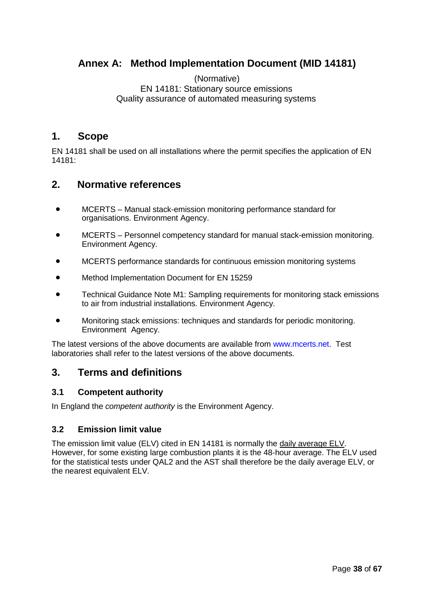# **Annex A: Method Implementation Document (MID 14181)**

### (Normative) EN 14181: Stationary source emissions Quality assurance of automated measuring systems

# **1. Scope**

EN 14181 shall be used on all installations where the permit specifies the application of EN 14181:

# **2. Normative references**

- MCERTS Manual stack-emission monitoring performance standard for organisations. Environment Agency.
- MCERTS Personnel competency standard for manual stack-emission monitoring. Environment Agency.
- MCERTS performance standards for continuous emission monitoring systems
- Method Implementation Document for EN 15259
- Technical Guidance Note M1: Sampling requirements for monitoring stack emissions to air from industrial installations. Environment Agency.
- Monitoring stack emissions: techniques and standards for periodic monitoring. Environment Agency.

The latest versions of the above documents are available from [www.mcerts.net.](http://www.mcerts.net/) Test laboratories shall refer to the latest versions of the above documents.

# **3. Terms and definitions**

### **3.1 Competent authority**

In England the *competent authority* is the Environment Agency.

## **3.2 Emission limit value**

The emission limit value (ELV) cited in EN 14181 is normally the daily average ELV. However, for some existing large combustion plants it is the 48-hour average. The ELV used for the statistical tests under QAL2 and the AST shall therefore be the daily average ELV, or the nearest equivalent ELV.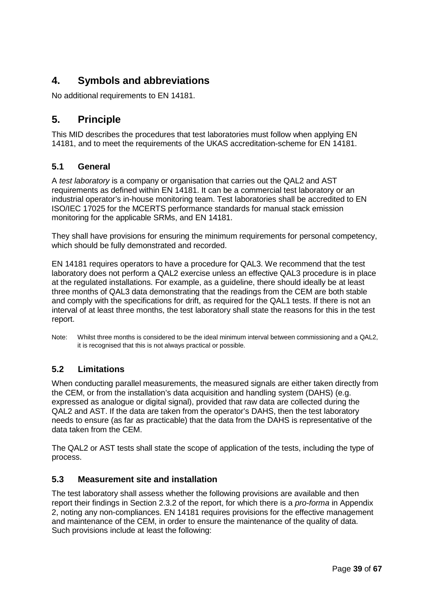# **4. Symbols and abbreviations**

No additional requirements to EN 14181.

# **5. Principle**

This MID describes the procedures that test laboratories must follow when applying EN 14181, and to meet the requirements of the UKAS accreditation-scheme for EN 14181.

## **5.1 General**

A *test laboratory* is a company or organisation that carries out the QAL2 and AST requirements as defined within EN 14181. It can be a commercial test laboratory or an industrial operator's in-house monitoring team. Test laboratories shall be accredited to EN ISO/IEC 17025 for the MCERTS performance standards for manual stack emission monitoring for the applicable SRMs, and EN 14181.

They shall have provisions for ensuring the minimum requirements for personal competency, which should be fully demonstrated and recorded.

EN 14181 requires operators to have a procedure for QAL3. We recommend that the test laboratory does not perform a QAL2 exercise unless an effective QAL3 procedure is in place at the regulated installations. For example, as a guideline, there should ideally be at least three months of QAL3 data demonstrating that the readings from the CEM are both stable and comply with the specifications for drift, as required for the QAL1 tests. If there is not an interval of at least three months, the test laboratory shall state the reasons for this in the test report.

Note: Whilst three months is considered to be the ideal minimum interval between commissioning and a QAL2, it is recognised that this is not always practical or possible.

# **5.2 Limitations**

When conducting parallel measurements, the measured signals are either taken directly from the CEM, or from the installation's data acquisition and handling system (DAHS) (e.g. expressed as analogue or digital signal), provided that raw data are collected during the QAL2 and AST. If the data are taken from the operator's DAHS, then the test laboratory needs to ensure (as far as practicable) that the data from the DAHS is representative of the data taken from the CEM.

The QAL2 or AST tests shall state the scope of application of the tests, including the type of process.

## **5.3 Measurement site and installation**

The test laboratory shall assess whether the following provisions are available and then report their findings in Section 2.3.2 of the report, for which there is a *pro-forma* in Appendix 2, noting any non-compliances. EN 14181 requires provisions for the effective management and maintenance of the CEM, in order to ensure the maintenance of the quality of data. Such provisions include at least the following: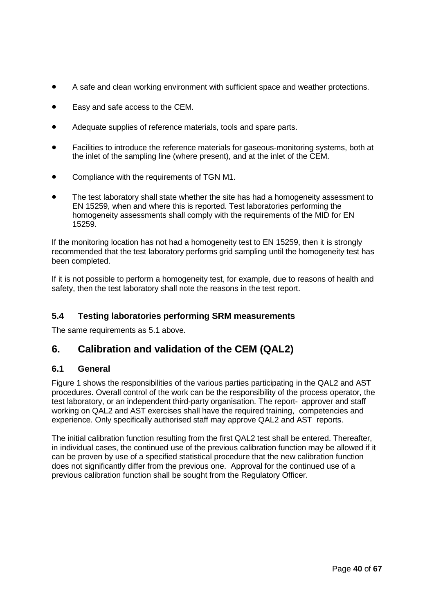- A safe and clean working environment with sufficient space and weather protections.
- Easy and safe access to the CEM.
- Adequate supplies of reference materials, tools and spare parts.
- Facilities to introduce the reference materials for gaseous-monitoring systems, both at the inlet of the sampling line (where present), and at the inlet of the CEM.
- Compliance with the requirements of TGN M1.
- The test laboratory shall state whether the site has had a homogeneity assessment to EN 15259, when and where this is reported. Test laboratories performing the homogeneity assessments shall comply with the requirements of the MID for EN 15259.

If the monitoring location has not had a homogeneity test to EN 15259, then it is strongly recommended that the test laboratory performs grid sampling until the homogeneity test has been completed.

If it is not possible to perform a homogeneity test, for example, due to reasons of health and safety, then the test laboratory shall note the reasons in the test report.

## **5.4 Testing laboratories performing SRM measurements**

The same requirements as 5.1 above.

# **6. Calibration and validation of the CEM (QAL2)**

### **6.1 General**

Figure 1 shows the responsibilities of the various parties participating in the QAL2 and AST procedures. Overall control of the work can be the responsibility of the process operator, the test laboratory, or an independent third-party organisation. The report- approver and staff working on QAL2 and AST exercises shall have the required training, competencies and experience. Only specifically authorised staff may approve QAL2 and AST reports.

The initial calibration function resulting from the first QAL2 test shall be entered. Thereafter, in individual cases, the continued use of the previous calibration function may be allowed if it can be proven by use of a specified statistical procedure that the new calibration function does not significantly differ from the previous one. Approval for the continued use of a previous calibration function shall be sought from the Regulatory Officer.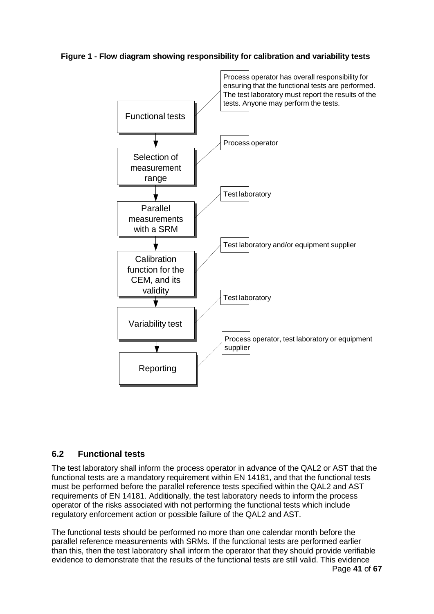## **Figure 1 - Flow diagram showing responsibility for calibration and variability tests**



## **6.2 Functional tests**

The test laboratory shall inform the process operator in advance of the QAL2 or AST that the functional tests are a mandatory requirement within EN 14181, and that the functional tests must be performed before the parallel reference tests specified within the QAL2 and AST requirements of EN 14181. Additionally, the test laboratory needs to inform the process operator of the risks associated with not performing the functional tests which include regulatory enforcement action or possible failure of the QAL2 and AST.

The functional tests should be performed no more than one calendar month before the parallel reference measurements with SRMs. If the functional tests are performed earlier than this, then the test laboratory shall inform the operator that they should provide verifiable evidence to demonstrate that the results of the functional tests are still valid. This evidence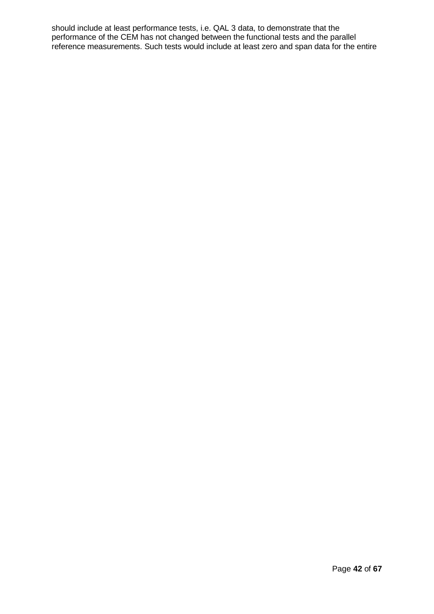should include at least performance tests, i.e. QAL 3 data, to demonstrate that the performance of the CEM has not changed between the functional tests and the parallel reference measurements. Such tests would include at least zero and span data for the entire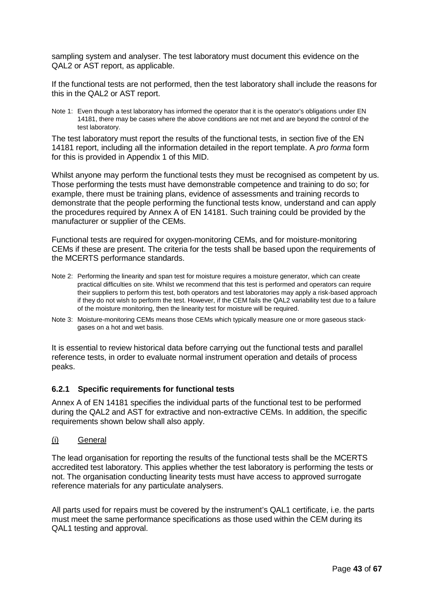sampling system and analyser. The test laboratory must document this evidence on the QAL2 or AST report, as applicable.

If the functional tests are not performed, then the test laboratory shall include the reasons for this in the QAL2 or AST report.

Note 1: Even though a test laboratory has informed the operator that it is the operator's obligations under EN 14181, there may be cases where the above conditions are not met and are beyond the control of the test laboratory.

The test laboratory must report the results of the functional tests, in section five of the EN 14181 report, including all the information detailed in the report template. A *pro forma* form for this is provided in Appendix 1 of this MID.

Whilst anyone may perform the functional tests they must be recognised as competent by us. Those performing the tests must have demonstrable competence and training to do so; for example, there must be training plans, evidence of assessments and training records to demonstrate that the people performing the functional tests know, understand and can apply the procedures required by Annex A of EN 14181. Such training could be provided by the manufacturer or supplier of the CEMs.

Functional tests are required for oxygen-monitoring CEMs, and for moisture-monitoring CEMs if these are present. The criteria for the tests shall be based upon the requirements of the MCERTS performance standards.

- Note 2: Performing the linearity and span test for moisture requires a moisture generator, which can create practical difficulties on site. Whilst we recommend that this test is performed and operators can require their suppliers to perform this test, both operators and test laboratories may apply a risk-based approach if they do not wish to perform the test. However, if the CEM fails the QAL2 variability test due to a failure of the moisture monitoring, then the linearity test for moisture will be required.
- Note 3: Moisture-monitoring CEMs means those CEMs which typically measure one or more gaseous stackgases on a hot and wet basis.

It is essential to review historical data before carrying out the functional tests and parallel reference tests, in order to evaluate normal instrument operation and details of process peaks.

#### **6.2.1 Specific requirements for functional tests**

Annex A of EN 14181 specifies the individual parts of the functional test to be performed during the QAL2 and AST for extractive and non-extractive CEMs. In addition, the specific requirements shown below shall also apply.

#### (i) General

The lead organisation for reporting the results of the functional tests shall be the MCERTS accredited test laboratory. This applies whether the test laboratory is performing the tests or not. The organisation conducting linearity tests must have access to approved surrogate reference materials for any particulate analysers.

All parts used for repairs must be covered by the instrument's QAL1 certificate, i.e. the parts must meet the same performance specifications as those used within the CEM during its QAL1 testing and approval.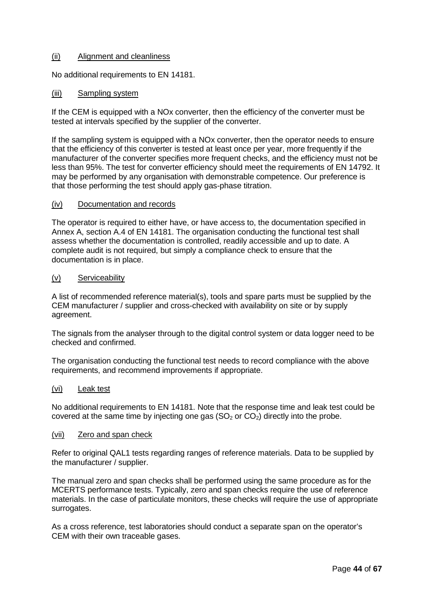#### (ii) Alignment and cleanliness

No additional requirements to EN 14181.

#### (iii) Sampling system

If the CEM is equipped with a NOx converter, then the efficiency of the converter must be tested at intervals specified by the supplier of the converter.

If the sampling system is equipped with a NOx converter, then the operator needs to ensure that the efficiency of this converter is tested at least once per year, more frequently if the manufacturer of the converter specifies more frequent checks, and the efficiency must not be less than 95%. The test for converter efficiency should meet the requirements of EN 14792. It may be performed by any organisation with demonstrable competence. Our preference is that those performing the test should apply gas-phase titration.

#### (iv) Documentation and records

The operator is required to either have, or have access to, the documentation specified in Annex A, section A.4 of EN 14181. The organisation conducting the functional test shall assess whether the documentation is controlled, readily accessible and up to date. A complete audit is not required, but simply a compliance check to ensure that the documentation is in place.

#### (v) Serviceability

A list of recommended reference material(s), tools and spare parts must be supplied by the CEM manufacturer / supplier and cross-checked with availability on site or by supply agreement.

The signals from the analyser through to the digital control system or data logger need to be checked and confirmed.

The organisation conducting the functional test needs to record compliance with the above requirements, and recommend improvements if appropriate.

#### (vi) Leak test

No additional requirements to EN 14181. Note that the response time and leak test could be covered at the same time by injecting one gas  $(SO<sub>2</sub>)$  or  $CO<sub>2</sub>$ ) directly into the probe.

#### (vii) Zero and span check

Refer to original QAL1 tests regarding ranges of reference materials. Data to be supplied by the manufacturer / supplier.

The manual zero and span checks shall be performed using the same procedure as for the MCERTS performance tests. Typically, zero and span checks require the use of reference materials. In the case of particulate monitors, these checks will require the use of appropriate surrogates.

As a cross reference, test laboratories should conduct a separate span on the operator's CEM with their own traceable gases.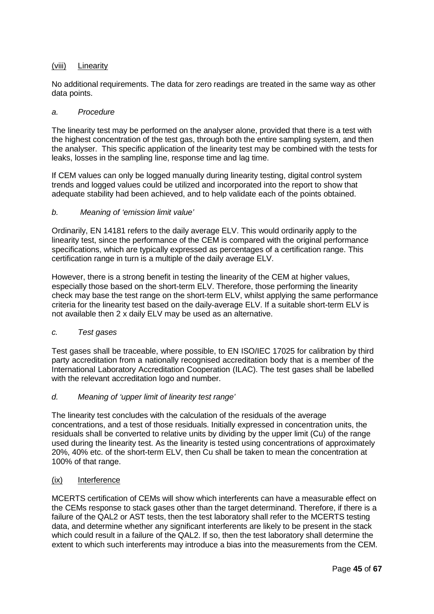### (viii) Linearity

No additional requirements. The data for zero readings are treated in the same way as other data points.

#### *a. Procedure*

The linearity test may be performed on the analyser alone, provided that there is a test with the highest concentration of the test gas, through both the entire sampling system, and then the analyser. This specific application of the linearity test may be combined with the tests for leaks, losses in the sampling line, response time and lag time.

If CEM values can only be logged manually during linearity testing, digital control system trends and logged values could be utilized and incorporated into the report to show that adequate stability had been achieved, and to help validate each of the points obtained.

#### *b. Meaning of 'emission limit value'*

Ordinarily, EN 14181 refers to the daily average ELV. This would ordinarily apply to the linearity test, since the performance of the CEM is compared with the original performance specifications, which are typically expressed as percentages of a certification range. This certification range in turn is a multiple of the daily average ELV.

However, there is a strong benefit in testing the linearity of the CEM at higher values, especially those based on the short-term ELV. Therefore, those performing the linearity check may base the test range on the short-term ELV, whilst applying the same performance criteria for the linearity test based on the daily-average ELV. If a suitable short-term ELV is not available then 2 x daily ELV may be used as an alternative.

#### *c. Test gases*

Test gases shall be traceable, where possible, to EN ISO/IEC 17025 for calibration by third party accreditation from a nationally recognised accreditation body that is a member of the International Laboratory Accreditation Cooperation (ILAC). The test gases shall be labelled with the relevant accreditation logo and number.

#### *d. Meaning of 'upper limit of linearity test range'*

The linearity test concludes with the calculation of the residuals of the average concentrations, and a test of those residuals. Initially expressed in concentration units, the residuals shall be converted to relative units by dividing by the upper limit (Cu) of the range used during the linearity test. As the linearity is tested using concentrations of approximately 20%, 40% etc. of the short-term ELV, then Cu shall be taken to mean the concentration at 100% of that range.

#### (ix) Interference

MCERTS certification of CEMs will show which interferents can have a measurable effect on the CEMs response to stack gases other than the target determinand. Therefore, if there is a failure of the QAL2 or AST tests, then the test laboratory shall refer to the MCERTS testing data, and determine whether any significant interferents are likely to be present in the stack which could result in a failure of the QAL2. If so, then the test laboratory shall determine the extent to which such interferents may introduce a bias into the measurements from the CEM.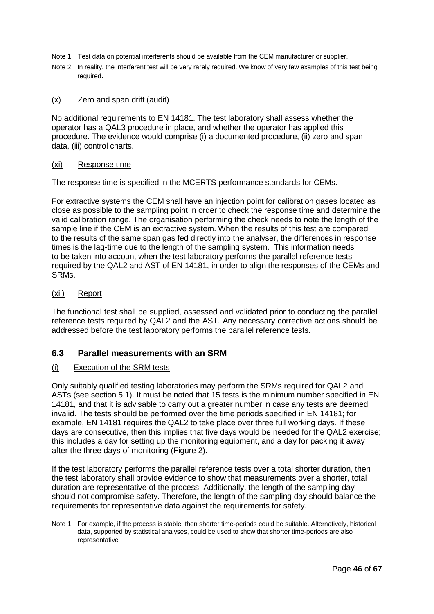- Note 1: Test data on potential interferents should be available from the CEM manufacturer or supplier.
- Note 2: In reality, the interferent test will be very rarely required. We know of very few examples of this test being required.

#### (x) Zero and span drift (audit)

No additional requirements to EN 14181. The test laboratory shall assess whether the operator has a QAL3 procedure in place, and whether the operator has applied this procedure. The evidence would comprise (i) a documented procedure, (ii) zero and span data, (iii) control charts.

#### (xi) Response time

The response time is specified in the MCERTS performance standards for CEMs.

For extractive systems the CEM shall have an injection point for calibration gases located as close as possible to the sampling point in order to check the response time and determine the valid calibration range. The organisation performing the check needs to note the length of the sample line if the CEM is an extractive system. When the results of this test are compared to the results of the same span gas fed directly into the analyser, the differences in response times is the lag-time due to the length of the sampling system. This information needs to be taken into account when the test laboratory performs the parallel reference tests required by the QAL2 and AST of EN 14181, in order to align the responses of the CEMs and SRMs.

#### (xii) Report

The functional test shall be supplied, assessed and validated prior to conducting the parallel reference tests required by QAL2 and the AST. Any necessary corrective actions should be addressed before the test laboratory performs the parallel reference tests.

### **6.3 Parallel measurements with an SRM**

#### (i) Execution of the SRM tests

Only suitably qualified testing laboratories may perform the SRMs required for QAL2 and ASTs (see section 5.1). It must be noted that 15 tests is the minimum number specified in EN 14181, and that it is advisable to carry out a greater number in case any tests are deemed invalid. The tests should be performed over the time periods specified in EN 14181; for example, EN 14181 requires the QAL2 to take place over three full working days. If these days are consecutive, then this implies that five days would be needed for the QAL2 exercise; this includes a day for setting up the monitoring equipment, and a day for packing it away after the three days of monitoring (Figure 2).

If the test laboratory performs the parallel reference tests over a total shorter duration, then the test laboratory shall provide evidence to show that measurements over a shorter, total duration are representative of the process. Additionally, the length of the sampling day should not compromise safety. Therefore, the length of the sampling day should balance the requirements for representative data against the requirements for safety.

Note 1: For example, if the process is stable, then shorter time-periods could be suitable. Alternatively, historical data, supported by statistical analyses, could be used to show that shorter time-periods are also representative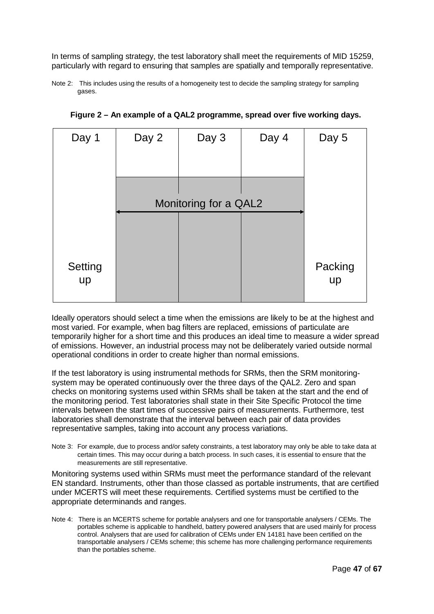In terms of sampling strategy, the test laboratory shall meet the requirements of MID 15259, particularly with regard to ensuring that samples are spatially and temporally representative.

Note 2: This includes using the results of a homogeneity test to decide the sampling strategy for sampling gases.

| Day 1         | Day 2 | Day 3                 | Day 4 | Day 5         |
|---------------|-------|-----------------------|-------|---------------|
|               |       |                       |       |               |
|               |       | Monitoring for a QAL2 |       |               |
| Setting<br>up |       |                       |       | Packing<br>up |

**Figure 2 – An example of a QAL2 programme, spread over five working days.**

Ideally operators should select a time when the emissions are likely to be at the highest and most varied. For example, when bag filters are replaced, emissions of particulate are temporarily higher for a short time and this produces an ideal time to measure a wider spread of emissions. However, an industrial process may not be deliberately varied outside normal operational conditions in order to create higher than normal emissions.

If the test laboratory is using instrumental methods for SRMs, then the SRM monitoringsystem may be operated continuously over the three days of the QAL2. Zero and span checks on monitoring systems used within SRMs shall be taken at the start and the end of the monitoring period. Test laboratories shall state in their Site Specific Protocol the time intervals between the start times of successive pairs of measurements. Furthermore, test laboratories shall demonstrate that the interval between each pair of data provides representative samples, taking into account any process variations.

Note 3: For example, due to process and/or safety constraints, a test laboratory may only be able to take data at certain times. This may occur during a batch process. In such cases, it is essential to ensure that the measurements are still representative.

Monitoring systems used within SRMs must meet the performance standard of the relevant EN standard. Instruments, other than those classed as portable instruments, that are certified under MCERTS will meet these requirements. Certified systems must be certified to the appropriate determinands and ranges.

Note 4: There is an MCERTS scheme for portable analysers and one for transportable analysers / CEMs. The portables scheme is applicable to handheld, battery powered analysers that are used mainly for process control. Analysers that are used for calibration of CEMs under EN 14181 have been certified on the transportable analysers / CEMs scheme; this scheme has more challenging performance requirements than the portables scheme.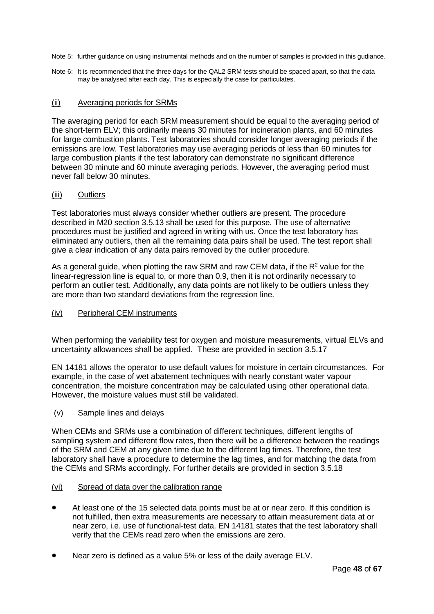Note 5: further guidance on using instrumental methods and on the number of samples is provided in this gudiance.

Note 6: It is recommended that the three days for the QAL2 SRM tests should be spaced apart, so that the data may be analysed after each day. This is especially the case for particulates.

### (ii) Averaging periods for SRMs

The averaging period for each SRM measurement should be equal to the averaging period of the short-term ELV; this ordinarily means 30 minutes for incineration plants, and 60 minutes for large combustion plants. Test laboratories should consider longer averaging periods if the emissions are low. Test laboratories may use averaging periods of less than 60 minutes for large combustion plants if the test laboratory can demonstrate no significant difference between 30 minute and 60 minute averaging periods. However, the averaging period must never fall below 30 minutes.

#### (iii) Outliers

Test laboratories must always consider whether outliers are present. The procedure described in M20 section 3.5.13 shall be used for this purpose. The use of alternative procedures must be justified and agreed in writing with us. Once the test laboratory has eliminated any outliers, then all the remaining data pairs shall be used. The test report shall give a clear indication of any data pairs removed by the outlier procedure.

As a general guide, when plotting the raw SRM and raw CEM data, if the  $R<sup>2</sup>$  value for the linear-regression line is equal to, or more than 0.9, then it is not ordinarily necessary to perform an outlier test. Additionally, any data points are not likely to be outliers unless they are more than two standard deviations from the regression line.

#### (iv) Peripheral CEM instruments

When performing the variability test for oxygen and moisture measurements, virtual ELVs and uncertainty allowances shall be applied. These are provided in section 3.5.17

EN 14181 allows the operator to use default values for moisture in certain circumstances. For example, in the case of wet abatement techniques with nearly constant water vapour concentration, the moisture concentration may be calculated using other operational data. However, the moisture values must still be validated.

#### (v) Sample lines and delays

When CEMs and SRMs use a combination of different techniques, different lengths of sampling system and different flow rates, then there will be a difference between the readings of the SRM and CEM at any given time due to the different lag times. Therefore, the test laboratory shall have a procedure to determine the lag times, and for matching the data from the CEMs and SRMs accordingly. For further details are provided in section 3.5.18

#### (vi) Spread of data over the calibration range

- At least one of the 15 selected data points must be at or near zero. If this condition is not fulfilled, then extra measurements are necessary to attain measurement data at or near zero, i.e. use of functional-test data. EN 14181 states that the test laboratory shall verify that the CEMs read zero when the emissions are zero.
- Near zero is defined as a value 5% or less of the daily average ELV.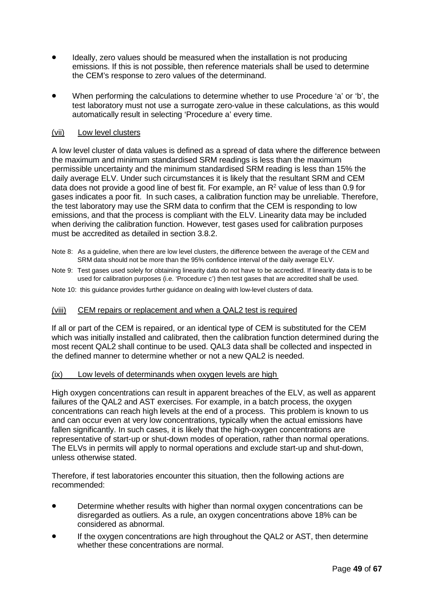- Ideally, zero values should be measured when the installation is not producing emissions. If this is not possible, then reference materials shall be used to determine the CEM's response to zero values of the determinand.
- When performing the calculations to determine whether to use Procedure 'a' or 'b', the test laboratory must not use a surrogate zero-value in these calculations, as this would automatically result in selecting 'Procedure a' every time.

#### (vii) Low level clusters

A low level cluster of data values is defined as a spread of data where the difference between the maximum and minimum standardised SRM readings is less than the maximum permissible uncertainty and the minimum standardised SRM reading is less than 15% the daily average ELV. Under such circumstances it is likely that the resultant SRM and CEM data does not provide a good line of best fit. For example, an  $R<sup>2</sup>$  value of less than 0.9 for gases indicates a poor fit. In such cases, a calibration function may be unreliable. Therefore, the test laboratory may use the SRM data to confirm that the CEM is responding to low emissions, and that the process is compliant with the ELV. Linearity data may be included when deriving the calibration function. However, test gases used for calibration purposes must be accredited as detailed in section 3.8.2.

- Note 8: As a guideline, when there are low level clusters, the difference between the average of the CEM and SRM data should not be more than the 95% confidence interval of the daily average ELV.
- Note 9: Test gases used solely for obtaining linearity data do not have to be accredited. If linearity data is to be used for calibration purposes (i.e. 'Procedure c') then test gases that are accredited shall be used.
- Note 10: this guidance provides further guidance on dealing with low-level clusters of data.

#### (viii) CEM repairs or replacement and when a QAL2 test is required

If all or part of the CEM is repaired, or an identical type of CEM is substituted for the CEM which was initially installed and calibrated, then the calibration function determined during the most recent QAL2 shall continue to be used. QAL3 data shall be collected and inspected in the defined manner to determine whether or not a new QAL2 is needed.

#### (ix) Low levels of determinands when oxygen levels are high

High oxygen concentrations can result in apparent breaches of the ELV, as well as apparent failures of the QAL2 and AST exercises. For example, in a batch process, the oxygen concentrations can reach high levels at the end of a process. This problem is known to us and can occur even at very low concentrations, typically when the actual emissions have fallen significantly. In such cases, it is likely that the high-oxygen concentrations are representative of start-up or shut-down modes of operation, rather than normal operations. The ELVs in permits will apply to normal operations and exclude start-up and shut-down, unless otherwise stated.

Therefore, if test laboratories encounter this situation, then the following actions are recommended:

- Determine whether results with higher than normal oxygen concentrations can be disregarded as outliers. As a rule, an oxygen concentrations above 18% can be considered as abnormal.
- If the oxygen concentrations are high throughout the QAL2 or AST, then determine whether these concentrations are normal.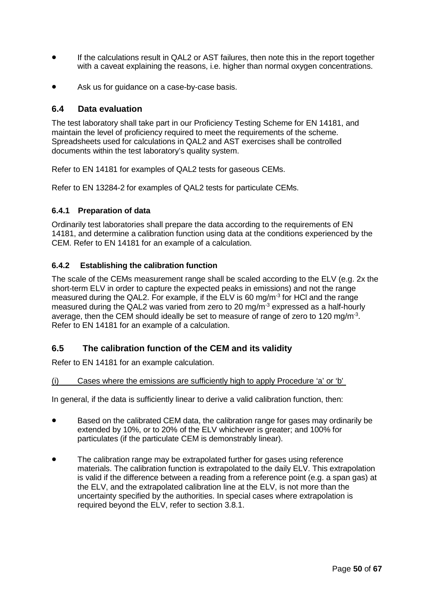- If the calculations result in QAL2 or AST failures, then note this in the report together with a caveat explaining the reasons, i.e. higher than normal oxygen concentrations.
- Ask us for guidance on a case-by-case basis.

## **6.4 Data evaluation**

The test laboratory shall take part in our Proficiency Testing Scheme for EN 14181, and maintain the level of proficiency required to meet the requirements of the scheme. Spreadsheets used for calculations in QAL2 and AST exercises shall be controlled documents within the test laboratory's quality system.

Refer to EN 14181 for examples of QAL2 tests for gaseous CEMs.

Refer to EN 13284-2 for examples of QAL2 tests for particulate CEMs.

### **6.4.1 Preparation of data**

Ordinarily test laboratories shall prepare the data according to the requirements of EN 14181, and determine a calibration function using data at the conditions experienced by the CEM. Refer to EN 14181 for an example of a calculation.

## **6.4.2 Establishing the calibration function**

The scale of the CEMs measurement range shall be scaled according to the ELV (e.g. 2x the short-term ELV in order to capture the expected peaks in emissions) and not the range measured during the QAL2. For example, if the ELV is 60 mg/m<sup>-3</sup> for HCl and the range measured during the QAL2 was varied from zero to 20 mg/m<sup>-3</sup> expressed as a half-hourly average, then the CEM should ideally be set to measure of range of zero to 120 mg/m<sup>-3</sup>. Refer to EN 14181 for an example of a calculation.

## **6.5 The calibration function of the CEM and its validity**

Refer to EN 14181 for an example calculation.

(i) Cases where the emissions are sufficiently high to apply Procedure 'a' or 'b'

In general, if the data is sufficiently linear to derive a valid calibration function, then:

- Based on the calibrated CEM data, the calibration range for gases may ordinarily be extended by 10%, or to 20% of the ELV whichever is greater; and 100% for particulates (if the particulate CEM is demonstrably linear).
- The calibration range may be extrapolated further for gases using reference materials. The calibration function is extrapolated to the daily ELV. This extrapolation is valid if the difference between a reading from a reference point (e.g. a span gas) at the ELV, and the extrapolated calibration line at the ELV, is not more than the uncertainty specified by the authorities. In special cases where extrapolation is required beyond the ELV, refer to section 3.8.1.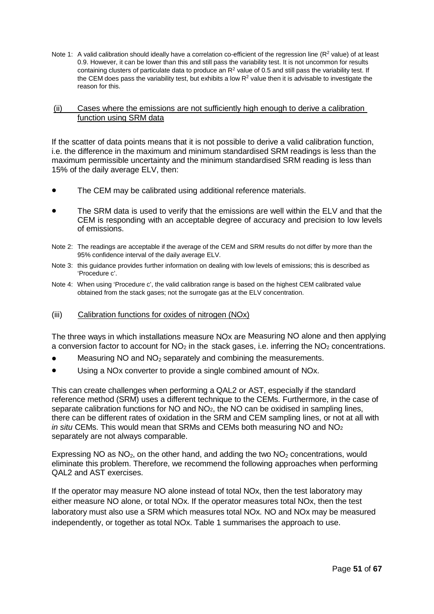Note 1: A valid calibration should ideally have a correlation co-efficient of the regression line  $(R^2 \text{ value})$  of at least 0.9. However, it can be lower than this and still pass the variability test. It is not uncommon for results containing clusters of particulate data to produce an  $R<sup>2</sup>$  value of 0.5 and still pass the variability test. If the CEM does pass the variability test, but exhibits a low  $R<sup>2</sup>$  value then it is advisable to investigate the reason for this.

#### (ii) Cases where the emissions are not sufficiently high enough to derive a calibration function using SRM data

If the scatter of data points means that it is not possible to derive a valid calibration function, i.e. the difference in the maximum and minimum standardised SRM readings is less than the maximum permissible uncertainty and the minimum standardised SRM reading is less than 15% of the daily average ELV, then:

- The CEM may be calibrated using additional reference materials.
- The SRM data is used to verify that the emissions are well within the ELV and that the CEM is responding with an acceptable degree of accuracy and precision to low levels of emissions.
- Note 2: The readings are acceptable if the average of the CEM and SRM results do not differ by more than the 95% confidence interval of the daily average ELV.
- Note 3: this guidance provides further information on dealing with low levels of emissions; this is described as 'Procedure c'.
- Note 4: When using 'Procedure c', the valid calibration range is based on the highest CEM calibrated value obtained from the stack gases; not the surrogate gas at the ELV concentration.
- (iii) Calibration functions for oxides of nitrogen (NOx)

The three ways in which installations measure NOx are Measuring NO alone and then applying a conversion factor to account for  $NO<sub>2</sub>$  in the stack gases, i.e. inferring the  $NO<sub>2</sub>$  concentrations.

- Measuring NO and  $NO<sub>2</sub>$  separately and combining the measurements.
- Using a NO<sub>x</sub> converter to provide a single combined amount of NO<sub>x</sub>.

This can create challenges when performing a QAL2 or AST, especially if the standard reference method (SRM) uses a different technique to the CEMs. Furthermore, in the case of separate calibration functions for NO and NO<sub>2</sub>, the NO can be oxidised in sampling lines, there can be different rates of oxidation in the SRM and CEM sampling lines, or not at all with *in situ* CEMs. This would mean that SRMs and CEMs both measuring NO and NO2 separately are not always comparable.

Expressing NO as  $NO<sub>2</sub>$ , on the other hand, and adding the two  $NO<sub>2</sub>$  concentrations, would eliminate this problem. Therefore, we recommend the following approaches when performing QAL2 and AST exercises.

If the operator may measure NO alone instead of total NOx, then the test laboratory may either measure NO alone, or total NOx. If the operator measures total NOx, then the test laboratory must also use a SRM which measures total NOx. NO and NOx may be measured independently, or together as total NOx. Table 1 summarises the approach to use.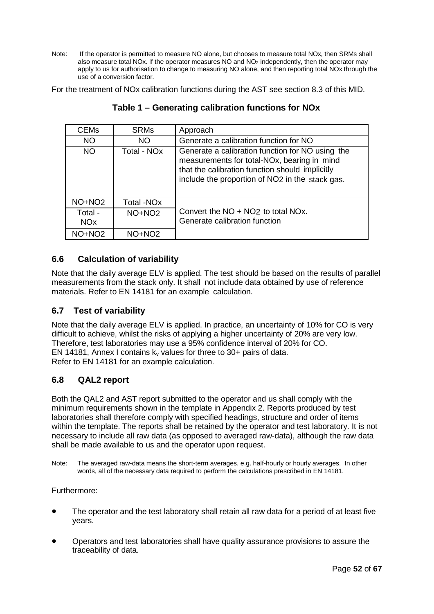Note: If the operator is permitted to measure NO alone, but chooses to measure total NOx, then SRMs shall also measure total NOx. If the operator measures NO and NO2 independently, then the operator may apply to us for authorisation to change to measuring NO alone, and then reporting total NOx through the use of a conversion factor.

For the treatment of NOx calibration functions during the AST see section 8.3 of this MID.

| <b>CEMs</b>                      | <b>SRMs</b>             | Approach                                                                                                                                                                                              |
|----------------------------------|-------------------------|-------------------------------------------------------------------------------------------------------------------------------------------------------------------------------------------------------|
| <b>NO</b>                        | <b>NO</b>               | Generate a calibration function for NO                                                                                                                                                                |
| <b>NO</b>                        | Total - NO <sub>x</sub> | Generate a calibration function for NO using the<br>measurements for total-NOx, bearing in mind<br>that the calibration function should implicitly<br>include the proportion of NO2 in the stack gas. |
| NO+NO <sub>2</sub>               | Total -NO <sub>x</sub>  |                                                                                                                                                                                                       |
| Total -<br><b>NO<sub>x</sub></b> | NO+NO <sub>2</sub>      | Convert the NO + NO2 to total NOx.<br>Generate calibration function                                                                                                                                   |
| NO+NO <sub>2</sub>               | NO+NO <sub>2</sub>      |                                                                                                                                                                                                       |

**Table 1 – Generating calibration functions for NOx**

# **6.6 Calculation of variability**

Note that the daily average ELV is applied. The test should be based on the results of parallel measurements from the stack only. It shall not include data obtained by use of reference materials. Refer to EN 14181 for an example calculation.

# **6.7 Test of variability**

Note that the daily average ELV is applied. In practice, an uncertainty of 10% for CO is very difficult to achieve, whilst the risks of applying a higher uncertainty of 20% are very low. Therefore, test laboratories may use a 95% confidence interval of 20% for CO. EN 14181, Annex I contains  $k_v$  values for three to 30+ pairs of data. Refer to EN 14181 for an example calculation.

# **6.8 QAL2 report**

Both the QAL2 and AST report submitted to the operator and us shall comply with the minimum requirements shown in the template in Appendix 2. Reports produced by test laboratories shall therefore comply with specified headings, structure and order of items within the template. The reports shall be retained by the operator and test laboratory. It is not necessary to include all raw data (as opposed to averaged raw-data), although the raw data shall be made available to us and the operator upon request.

Note: The averaged raw-data means the short-term averages, e.g. half-hourly or hourly averages. In other words, all of the necessary data required to perform the calculations prescribed in EN 14181.

Furthermore:

- The operator and the test laboratory shall retain all raw data for a period of at least five years.
- Operators and test laboratories shall have quality assurance provisions to assure the traceability of data.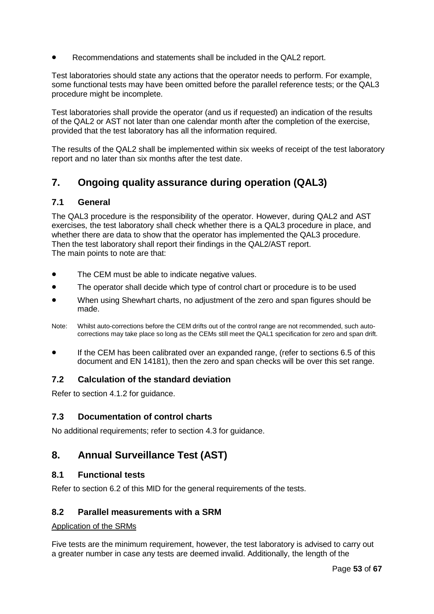• Recommendations and statements shall be included in the QAL2 report.

Test laboratories should state any actions that the operator needs to perform. For example, some functional tests may have been omitted before the parallel reference tests; or the QAL3 procedure might be incomplete.

Test laboratories shall provide the operator (and us if requested) an indication of the results of the QAL2 or AST not later than one calendar month after the completion of the exercise, provided that the test laboratory has all the information required.

The results of the QAL2 shall be implemented within six weeks of receipt of the test laboratory report and no later than six months after the test date.

# **7. Ongoing quality assurance during operation (QAL3)**

## **7.1 General**

The QAL3 procedure is the responsibility of the operator. However, during QAL2 and AST exercises, the test laboratory shall check whether there is a QAL3 procedure in place, and whether there are data to show that the operator has implemented the QAL3 procedure. Then the test laboratory shall report their findings in the QAL2/AST report. The main points to note are that:

- The CEM must be able to indicate negative values.
- The operator shall decide which type of control chart or procedure is to be used
- When using Shewhart charts, no adjustment of the zero and span figures should be made.
- Note: Whilst auto-corrections before the CEM drifts out of the control range are not recommended, such autocorrections may take place so long as the CEMs still meet the QAL1 specification for zero and span drift.
- If the CEM has been calibrated over an expanded range, (refer to sections 6.5 of this document and EN 14181), then the zero and span checks will be over this set range.

## **7.2 Calculation of the standard deviation**

Refer to section 4.1.2 for guidance.

## **7.3 Documentation of control charts**

No additional requirements; refer to section 4.3 for guidance.

# **8. Annual Surveillance Test (AST)**

## **8.1 Functional tests**

Refer to section 6.2 of this MID for the general requirements of the tests.

### **8.2 Parallel measurements with a SRM**

#### Application of the SRMs

Five tests are the minimum requirement, however, the test laboratory is advised to carry out a greater number in case any tests are deemed invalid. Additionally, the length of the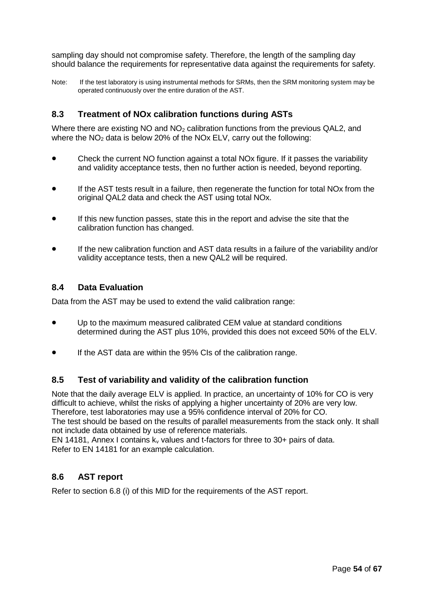sampling day should not compromise safety. Therefore, the length of the sampling day should balance the requirements for representative data against the requirements for safety.

Note: If the test laboratory is using instrumental methods for SRMs, then the SRM monitoring system may be operated continuously over the entire duration of the AST.

## **8.3 Treatment of NOx calibration functions during ASTs**

Where there are existing NO and  $NO<sub>2</sub>$  calibration functions from the previous QAL2, and where the  $NO<sub>2</sub>$  data is below 20% of the NOx ELV, carry out the following:

- Check the current NO function against a total NOx figure. If it passes the variability and validity acceptance tests, then no further action is needed, beyond reporting.
- If the AST tests result in a failure, then regenerate the function for total NO<sub>x</sub> from the original QAL2 data and check the AST using total NOx.
- If this new function passes, state this in the report and advise the site that the calibration function has changed.
- If the new calibration function and AST data results in a failure of the variability and/or validity acceptance tests, then a new QAL2 will be required.

### **8.4 Data Evaluation**

Data from the AST may be used to extend the valid calibration range:

- Up to the maximum measured calibrated CEM value at standard conditions determined during the AST plus 10%, provided this does not exceed 50% of the ELV.
- If the AST data are within the 95% CIs of the calibration range.

### **8.5 Test of variability and validity of the calibration function**

Note that the daily average ELV is applied. In practice, an uncertainty of 10% for CO is very difficult to achieve, whilst the risks of applying a higher uncertainty of 20% are very low. Therefore, test laboratories may use a 95% confidence interval of 20% for CO. The test should be based on the results of parallel measurements from the stack only. It shall not include data obtained by use of reference materials.

EN 14181, Annex I contains  $k_v$  values and t-factors for three to 30+ pairs of data. Refer to EN 14181 for an example calculation.

## **8.6 AST report**

Refer to section 6.8 (i) of this MID for the requirements of the AST report.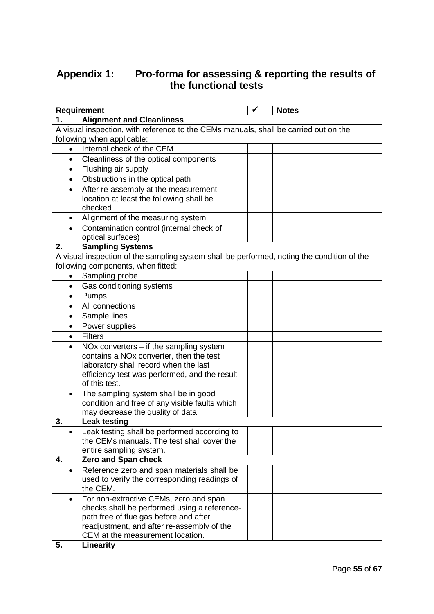# **Appendix 1: Pro-forma for assessing & reporting the results of the functional tests**

|           | <b>Requirement</b>                                                                                                               | ✓ | <b>Notes</b> |
|-----------|----------------------------------------------------------------------------------------------------------------------------------|---|--------------|
| 1.        | <b>Alignment and Cleanliness</b>                                                                                                 |   |              |
|           | A visual inspection, with reference to the CEMs manuals, shall be carried out on the                                             |   |              |
|           | following when applicable:                                                                                                       |   |              |
| $\bullet$ | Internal check of the CEM                                                                                                        |   |              |
| $\bullet$ | Cleanliness of the optical components                                                                                            |   |              |
| $\bullet$ | Flushing air supply                                                                                                              |   |              |
| $\bullet$ | Obstructions in the optical path                                                                                                 |   |              |
| $\bullet$ | After re-assembly at the measurement                                                                                             |   |              |
|           | location at least the following shall be                                                                                         |   |              |
|           | checked                                                                                                                          |   |              |
| $\bullet$ | Alignment of the measuring system                                                                                                |   |              |
| $\bullet$ | Contamination control (internal check of                                                                                         |   |              |
|           | optical surfaces)                                                                                                                |   |              |
| 2.        | <b>Sampling Systems</b>                                                                                                          |   |              |
|           | A visual inspection of the sampling system shall be performed, noting the condition of the<br>following components, when fitted: |   |              |
| $\bullet$ | Sampling probe                                                                                                                   |   |              |
| $\bullet$ | Gas conditioning systems                                                                                                         |   |              |
| $\bullet$ | Pumps                                                                                                                            |   |              |
| $\bullet$ | All connections                                                                                                                  |   |              |
| $\bullet$ | Sample lines                                                                                                                     |   |              |
| $\bullet$ | Power supplies                                                                                                                   |   |              |
| $\bullet$ | <b>Filters</b>                                                                                                                   |   |              |
| $\bullet$ | NOx converters $-$ if the sampling system                                                                                        |   |              |
|           | contains a NOx converter, then the test                                                                                          |   |              |
|           | laboratory shall record when the last                                                                                            |   |              |
|           | efficiency test was performed, and the result                                                                                    |   |              |
|           | of this test.                                                                                                                    |   |              |
| $\bullet$ | The sampling system shall be in good                                                                                             |   |              |
|           | condition and free of any visible faults which                                                                                   |   |              |
|           | may decrease the quality of data                                                                                                 |   |              |
| 3.        | <b>Leak testing</b>                                                                                                              |   |              |
|           | Leak testing shall be performed according to                                                                                     |   |              |
|           | the CEMs manuals. The test shall cover the                                                                                       |   |              |
|           | entire sampling system.                                                                                                          |   |              |
| 4.        | Zero and Span check                                                                                                              |   |              |
| $\bullet$ | Reference zero and span materials shall be                                                                                       |   |              |
|           | used to verify the corresponding readings of<br>the CEM.                                                                         |   |              |
| $\bullet$ | For non-extractive CEMs, zero and span                                                                                           |   |              |
|           | checks shall be performed using a reference-                                                                                     |   |              |
|           | path free of flue gas before and after                                                                                           |   |              |
|           | readjustment, and after re-assembly of the                                                                                       |   |              |
|           | CEM at the measurement location.                                                                                                 |   |              |
| 5.        | Linearity                                                                                                                        |   |              |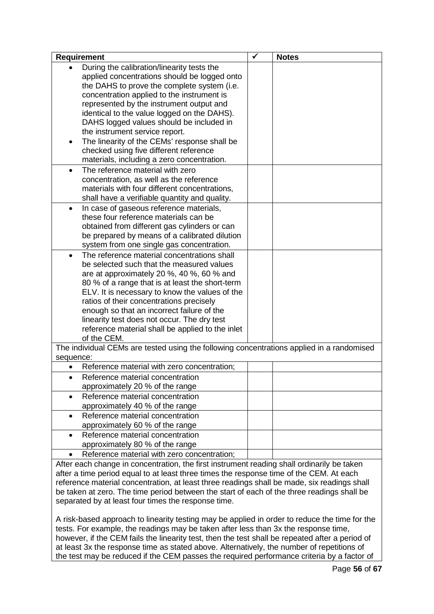| <b>Requirement</b>                                                                                                                                                                    |  | <b>Notes</b> |
|---------------------------------------------------------------------------------------------------------------------------------------------------------------------------------------|--|--------------|
| During the calibration/linearity tests the                                                                                                                                            |  |              |
| applied concentrations should be logged onto                                                                                                                                          |  |              |
| the DAHS to prove the complete system (i.e.                                                                                                                                           |  |              |
| concentration applied to the instrument is                                                                                                                                            |  |              |
| represented by the instrument output and                                                                                                                                              |  |              |
| identical to the value logged on the DAHS).                                                                                                                                           |  |              |
| DAHS logged values should be included in                                                                                                                                              |  |              |
| the instrument service report.                                                                                                                                                        |  |              |
| The linearity of the CEMs' response shall be<br>٠                                                                                                                                     |  |              |
| checked using five different reference                                                                                                                                                |  |              |
| materials, including a zero concentration.                                                                                                                                            |  |              |
| The reference material with zero<br>$\bullet$                                                                                                                                         |  |              |
| concentration, as well as the reference                                                                                                                                               |  |              |
| materials with four different concentrations,                                                                                                                                         |  |              |
| shall have a verifiable quantity and quality.                                                                                                                                         |  |              |
| In case of gaseous reference materials,<br>$\bullet$                                                                                                                                  |  |              |
| these four reference materials can be                                                                                                                                                 |  |              |
| obtained from different gas cylinders or can                                                                                                                                          |  |              |
| be prepared by means of a calibrated dilution                                                                                                                                         |  |              |
| system from one single gas concentration.                                                                                                                                             |  |              |
| The reference material concentrations shall<br>$\bullet$                                                                                                                              |  |              |
| be selected such that the measured values                                                                                                                                             |  |              |
| are at approximately 20 %, 40 %, 60 % and                                                                                                                                             |  |              |
| 80 % of a range that is at least the short-term                                                                                                                                       |  |              |
| ELV. It is necessary to know the values of the                                                                                                                                        |  |              |
| ratios of their concentrations precisely                                                                                                                                              |  |              |
| enough so that an incorrect failure of the                                                                                                                                            |  |              |
| linearity test does not occur. The dry test                                                                                                                                           |  |              |
| reference material shall be applied to the inlet                                                                                                                                      |  |              |
| of the CEM.                                                                                                                                                                           |  |              |
| The individual CEMs are tested using the following concentrations applied in a randomised                                                                                             |  |              |
| sequence:                                                                                                                                                                             |  |              |
| Reference material with zero concentration;                                                                                                                                           |  |              |
| Reference material concentration                                                                                                                                                      |  |              |
| approximately 20 % of the range                                                                                                                                                       |  |              |
| Reference material concentration                                                                                                                                                      |  |              |
| approximately 40 % of the range                                                                                                                                                       |  |              |
| Reference material concentration<br>$\bullet$                                                                                                                                         |  |              |
| approximately 60 % of the range                                                                                                                                                       |  |              |
| Reference material concentration<br>$\bullet$                                                                                                                                         |  |              |
| approximately 80 % of the range                                                                                                                                                       |  |              |
| Reference material with zero concentration;                                                                                                                                           |  |              |
| After each change in concentration, the first instrument reading shall ordinarily be taken<br>ofter a time period equal to at least three times the response time of the CEM, At each |  |              |

after a time period equal to at least three times the response time of the CEM. At each reference material concentration, at least three readings shall be made, six readings shall be taken at zero. The time period between the start of each of the three readings shall be separated by at least four times the response time.

A risk-based approach to linearity testing may be applied in order to reduce the time for the tests. For example, the readings may be taken after less than 3x the response time, however, if the CEM fails the linearity test, then the test shall be repeated after a period of at least 3x the response time as stated above. Alternatively, the number of repetitions of the test may be reduced if the CEM passes the required performance criteria by a factor of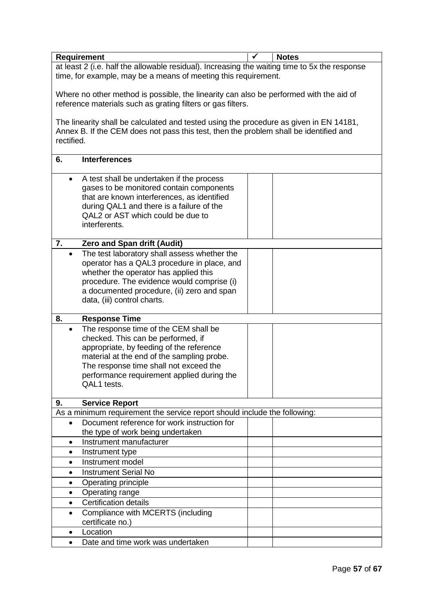|                                                                                               | <b>Requirement</b>                                                                     |  | <b>Notes</b> |  |  |  |
|-----------------------------------------------------------------------------------------------|----------------------------------------------------------------------------------------|--|--------------|--|--|--|
| at least 2 (i.e. half the allowable residual). Increasing the waiting time to 5x the response |                                                                                        |  |              |  |  |  |
|                                                                                               | time, for example, may be a means of meeting this requirement.                         |  |              |  |  |  |
|                                                                                               |                                                                                        |  |              |  |  |  |
|                                                                                               | Where no other method is possible, the linearity can also be performed with the aid of |  |              |  |  |  |
|                                                                                               | reference materials such as grating filters or gas filters.                            |  |              |  |  |  |
|                                                                                               |                                                                                        |  |              |  |  |  |
|                                                                                               | The linearity shall be calculated and tested using the procedure as given in EN 14181, |  |              |  |  |  |
| rectified.                                                                                    | Annex B. If the CEM does not pass this test, then the problem shall be identified and  |  |              |  |  |  |
|                                                                                               |                                                                                        |  |              |  |  |  |
| 6.                                                                                            | <b>Interferences</b>                                                                   |  |              |  |  |  |
|                                                                                               |                                                                                        |  |              |  |  |  |
| $\bullet$                                                                                     | A test shall be undertaken if the process                                              |  |              |  |  |  |
|                                                                                               | gases to be monitored contain components                                               |  |              |  |  |  |
|                                                                                               | that are known interferences, as identified                                            |  |              |  |  |  |
|                                                                                               | during QAL1 and there is a failure of the                                              |  |              |  |  |  |
|                                                                                               | QAL2 or AST which could be due to                                                      |  |              |  |  |  |
|                                                                                               | interferents.                                                                          |  |              |  |  |  |
|                                                                                               |                                                                                        |  |              |  |  |  |
| 7.                                                                                            | Zero and Span drift (Audit)                                                            |  |              |  |  |  |
| $\bullet$                                                                                     | The test laboratory shall assess whether the                                           |  |              |  |  |  |
|                                                                                               | operator has a QAL3 procedure in place, and                                            |  |              |  |  |  |
|                                                                                               | whether the operator has applied this                                                  |  |              |  |  |  |
|                                                                                               | procedure. The evidence would comprise (i)                                             |  |              |  |  |  |
|                                                                                               | a documented procedure, (ii) zero and span                                             |  |              |  |  |  |
|                                                                                               | data, (iii) control charts.                                                            |  |              |  |  |  |
| 8.                                                                                            | <b>Response Time</b>                                                                   |  |              |  |  |  |
| $\bullet$                                                                                     | The response time of the CEM shall be                                                  |  |              |  |  |  |
|                                                                                               | checked. This can be performed, if                                                     |  |              |  |  |  |
|                                                                                               | appropriate, by feeding of the reference                                               |  |              |  |  |  |
|                                                                                               | material at the end of the sampling probe.                                             |  |              |  |  |  |
|                                                                                               | The response time shall not exceed the                                                 |  |              |  |  |  |
|                                                                                               | performance requirement applied during the                                             |  |              |  |  |  |
|                                                                                               | QAL1 tests.                                                                            |  |              |  |  |  |
|                                                                                               |                                                                                        |  |              |  |  |  |
| 9.                                                                                            | <b>Service Report</b>                                                                  |  |              |  |  |  |
|                                                                                               | As a minimum requirement the service report should include the following:              |  |              |  |  |  |
| $\bullet$                                                                                     | Document reference for work instruction for                                            |  |              |  |  |  |
|                                                                                               | the type of work being undertaken<br>Instrument manufacturer                           |  |              |  |  |  |
| $\bullet$                                                                                     |                                                                                        |  |              |  |  |  |
| $\bullet$                                                                                     | Instrument type                                                                        |  |              |  |  |  |
| $\bullet$                                                                                     | Instrument model                                                                       |  |              |  |  |  |
| ٠                                                                                             | <b>Instrument Serial No</b>                                                            |  |              |  |  |  |
| $\bullet$                                                                                     | Operating principle                                                                    |  |              |  |  |  |
| ٠                                                                                             | Operating range                                                                        |  |              |  |  |  |
| $\bullet$                                                                                     | <b>Certification details</b>                                                           |  |              |  |  |  |
| $\bullet$                                                                                     | Compliance with MCERTS (including                                                      |  |              |  |  |  |
|                                                                                               | certificate no.)                                                                       |  |              |  |  |  |
| $\bullet$                                                                                     | Location                                                                               |  |              |  |  |  |
| $\bullet$                                                                                     | Date and time work was undertaken                                                      |  |              |  |  |  |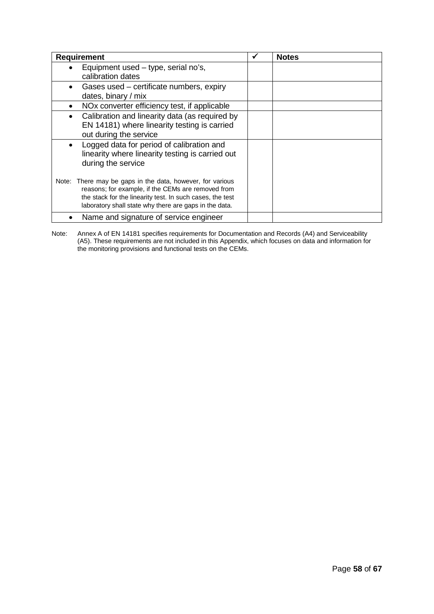| <b>Requirement</b>                                                                                                                                                                                                                     | <b>Notes</b> |
|----------------------------------------------------------------------------------------------------------------------------------------------------------------------------------------------------------------------------------------|--------------|
| Equipment used – type, serial no's,<br>calibration dates                                                                                                                                                                               |              |
| Gases used – certificate numbers, expiry<br>dates, binary / mix                                                                                                                                                                        |              |
| NO <sub>x</sub> converter efficiency test, if applicable<br>$\bullet$                                                                                                                                                                  |              |
| Calibration and linearity data (as required by<br>$\bullet$<br>EN 14181) where linearity testing is carried<br>out during the service                                                                                                  |              |
| Logged data for period of calibration and<br>$\bullet$<br>linearity where linearity testing is carried out<br>during the service                                                                                                       |              |
| Note: There may be gaps in the data, however, for various<br>reasons; for example, if the CEMs are removed from<br>the stack for the linearity test. In such cases, the test<br>laboratory shall state why there are gaps in the data. |              |
| Name and signature of service engineer                                                                                                                                                                                                 |              |

Note: Annex A of EN 14181 specifies requirements for Documentation and Records (A4) and Serviceability (A5). These requirements are not included in this Appendix, which focuses on data and information for the monitoring provisions and functional tests on the CEMs.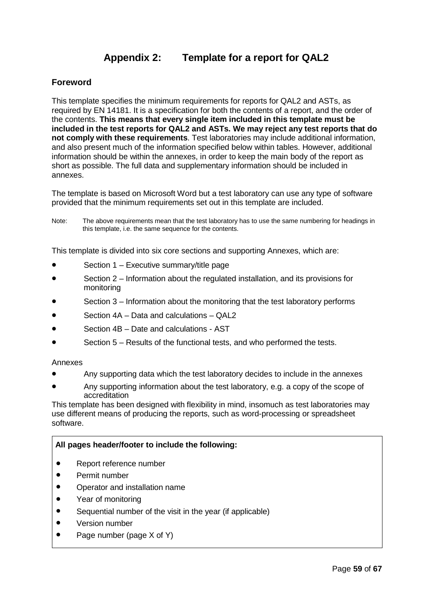# **Appendix 2: Template for a report for QAL2**

## **Foreword**

This template specifies the minimum requirements for reports for QAL2 and ASTs, as required by EN 14181. It is a specification for both the contents of a report, and the order of the contents. **This means that every single item included in this template must be included in the test reports for QAL2 and ASTs. We may reject any test reports that do not comply with these requirements**. Test laboratories may include additional information, and also present much of the information specified below within tables. However, additional information should be within the annexes, in order to keep the main body of the report as short as possible. The full data and supplementary information should be included in annexes.

The template is based on Microsoft Word but a test laboratory can use any type of software provided that the minimum requirements set out in this template are included.

Note: The above requirements mean that the test laboratory has to use the same numbering for headings in this template, i.e. the same sequence for the contents.

This template is divided into six core sections and supporting Annexes, which are:

- Section 1 Executive summary/title page
- Section 2 Information about the regulated installation, and its provisions for monitoring
- Section 3 Information about the monitoring that the test laboratory performs
- Section 4A Data and calculations QAL2
- Section 4B Date and calculations AST
- Section 5 Results of the functional tests, and who performed the tests.

#### Annexes

- Any supporting data which the test laboratory decides to include in the annexes
- Any supporting information about the test laboratory, e.g. a copy of the scope of accreditation

This template has been designed with flexibility in mind, insomuch as test laboratories may use different means of producing the reports, such as word-processing or spreadsheet software.

#### **All pages header/footer to include the following:**

- Report reference number
- Permit number
- Operator and installation name
- Year of monitoring
- Sequential number of the visit in the year (if applicable)
- Version number
- Page number (page X of Y)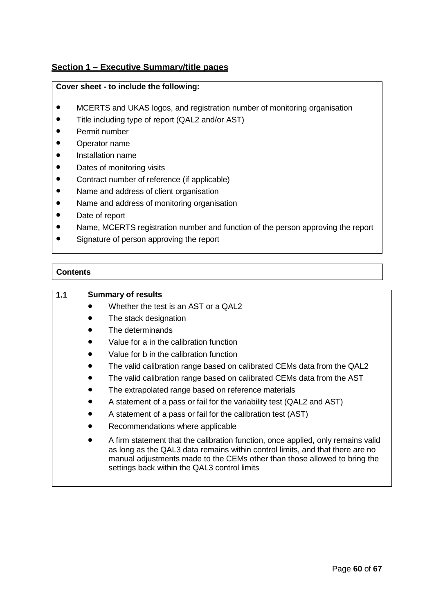# **Section 1 – Executive Summary/title pages**

### **Cover sheet - to include the following:**

- MCERTS and UKAS logos, and registration number of monitoring organisation
- Title including type of report (QAL2 and/or AST)
- Permit number
- Operator name
- Installation name
- Dates of monitoring visits
- Contract number of reference (if applicable)
- Name and address of client organisation
- Name and address of monitoring organisation
- Date of report
- Name, MCERTS registration number and function of the person approving the report
- Signature of person approving the report

## **Contents**

| 1.1 | <b>Summary of results</b>                                                                                                                                                                                                                                                                      |
|-----|------------------------------------------------------------------------------------------------------------------------------------------------------------------------------------------------------------------------------------------------------------------------------------------------|
|     | Whether the test is an AST or a QAL2                                                                                                                                                                                                                                                           |
|     | The stack designation<br>$\bullet$                                                                                                                                                                                                                                                             |
|     | The determinands<br>$\bullet$                                                                                                                                                                                                                                                                  |
|     | Value for a in the calibration function<br>$\bullet$                                                                                                                                                                                                                                           |
|     | Value for b in the calibration function<br>$\bullet$                                                                                                                                                                                                                                           |
|     | The valid calibration range based on calibrated CEMs data from the QAL2<br>$\bullet$                                                                                                                                                                                                           |
|     | The valid calibration range based on calibrated CEMs data from the AST<br>$\bullet$                                                                                                                                                                                                            |
|     | The extrapolated range based on reference materials<br>$\bullet$                                                                                                                                                                                                                               |
|     | A statement of a pass or fail for the variability test (QAL2 and AST)<br>$\bullet$                                                                                                                                                                                                             |
|     | A statement of a pass or fail for the calibration test (AST)<br>$\bullet$                                                                                                                                                                                                                      |
|     | Recommendations where applicable<br>$\bullet$                                                                                                                                                                                                                                                  |
|     | A firm statement that the calibration function, once applied, only remains valid<br>as long as the QAL3 data remains within control limits, and that there are no<br>manual adjustments made to the CEMs other than those allowed to bring the<br>settings back within the QAL3 control limits |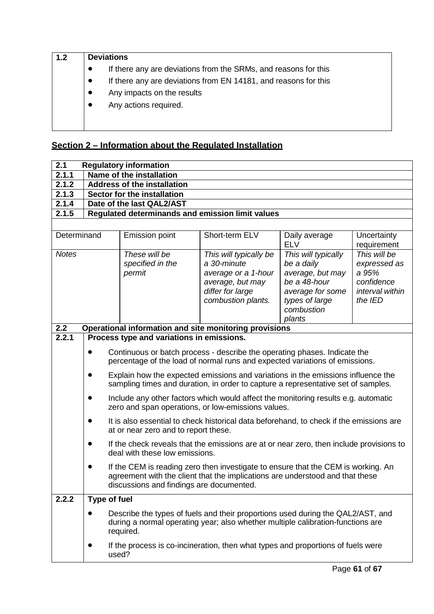| 1.2 | <b>Deviations</b>                                                            |  |  |  |  |  |
|-----|------------------------------------------------------------------------------|--|--|--|--|--|
|     | If there any are deviations from the SRMs, and reasons for this<br>$\bullet$ |  |  |  |  |  |
|     | If there any are deviations from EN 14181, and reasons for this<br>$\bullet$ |  |  |  |  |  |
|     | Any impacts on the results<br>$\bullet$                                      |  |  |  |  |  |
|     | Any actions required.<br>$\bullet$                                           |  |  |  |  |  |
|     |                                                                              |  |  |  |  |  |
|     |                                                                              |  |  |  |  |  |

# **Section 2 – Information about the Regulated Installation**

| 2.1          | <b>Regulatory information</b>                                                                                                                                                                                                                                                                                                                               |                                             |                                                                                                                                          |                                                                                                                                     |                                                                                   |  |
|--------------|-------------------------------------------------------------------------------------------------------------------------------------------------------------------------------------------------------------------------------------------------------------------------------------------------------------------------------------------------------------|---------------------------------------------|------------------------------------------------------------------------------------------------------------------------------------------|-------------------------------------------------------------------------------------------------------------------------------------|-----------------------------------------------------------------------------------|--|
| 2.1.1        | Name of the installation                                                                                                                                                                                                                                                                                                                                    |                                             |                                                                                                                                          |                                                                                                                                     |                                                                                   |  |
| 2.1.2        |                                                                                                                                                                                                                                                                                                                                                             | <b>Address of the installation</b>          |                                                                                                                                          |                                                                                                                                     |                                                                                   |  |
| 2.1.3        |                                                                                                                                                                                                                                                                                                                                                             | Sector for the installation                 |                                                                                                                                          |                                                                                                                                     |                                                                                   |  |
| 2.1.4        |                                                                                                                                                                                                                                                                                                                                                             | Date of the last QAL2/AST                   |                                                                                                                                          |                                                                                                                                     |                                                                                   |  |
| 2.1.5        | Regulated determinands and emission limit values                                                                                                                                                                                                                                                                                                            |                                             |                                                                                                                                          |                                                                                                                                     |                                                                                   |  |
|              |                                                                                                                                                                                                                                                                                                                                                             |                                             |                                                                                                                                          |                                                                                                                                     |                                                                                   |  |
| Determinand  |                                                                                                                                                                                                                                                                                                                                                             | <b>Emission point</b>                       | Short-term ELV                                                                                                                           | Daily average<br><b>ELV</b>                                                                                                         | Uncertainty<br>requirement                                                        |  |
| <b>Notes</b> |                                                                                                                                                                                                                                                                                                                                                             | These will be<br>specified in the<br>permit | This will typically be<br>a 30-minute<br>average or a 1-hour<br>average, but may<br>differ for large<br>combustion plants.               | This will typically<br>be a daily<br>average, but may<br>be a 48-hour<br>average for some<br>types of large<br>combustion<br>plants | This will be<br>expressed as<br>a 95%<br>confidence<br>interval within<br>the IED |  |
| 2.2          |                                                                                                                                                                                                                                                                                                                                                             |                                             | Operational information and site monitoring provisions                                                                                   |                                                                                                                                     |                                                                                   |  |
| 2.2.1        |                                                                                                                                                                                                                                                                                                                                                             | Process type and variations in emissions.   |                                                                                                                                          |                                                                                                                                     |                                                                                   |  |
|              | Continuous or batch process - describe the operating phases. Indicate the<br>$\bullet$<br>percentage of the load of normal runs and expected variations of emissions.<br>Explain how the expected emissions and variations in the emissions influence the<br>$\bullet$<br>sampling times and duration, in order to capture a representative set of samples. |                                             |                                                                                                                                          |                                                                                                                                     |                                                                                   |  |
|              |                                                                                                                                                                                                                                                                                                                                                             |                                             | Include any other factors which would affect the monitoring results e.g. automatic<br>zero and span operations, or low-emissions values. |                                                                                                                                     |                                                                                   |  |
|              |                                                                                                                                                                                                                                                                                                                                                             | at or near zero and to report these.        | It is also essential to check historical data beforehand, to check if the emissions are                                                  |                                                                                                                                     |                                                                                   |  |
|              | $\bullet$                                                                                                                                                                                                                                                                                                                                                   | deal with these low emissions.              | If the check reveals that the emissions are at or near zero, then include provisions to                                                  |                                                                                                                                     |                                                                                   |  |
|              | If the CEM is reading zero then investigate to ensure that the CEM is working. An<br>agreement with the client that the implications are understood and that these<br>discussions and findings are documented.                                                                                                                                              |                                             |                                                                                                                                          |                                                                                                                                     |                                                                                   |  |
| 2.2.2        | Type of fuel                                                                                                                                                                                                                                                                                                                                                |                                             |                                                                                                                                          |                                                                                                                                     |                                                                                   |  |
|              | Describe the types of fuels and their proportions used during the QAL2/AST, and<br>during a normal operating year; also whether multiple calibration-functions are<br>required.                                                                                                                                                                             |                                             |                                                                                                                                          |                                                                                                                                     |                                                                                   |  |
|              | If the process is co-incineration, then what types and proportions of fuels were<br>used?                                                                                                                                                                                                                                                                   |                                             |                                                                                                                                          |                                                                                                                                     |                                                                                   |  |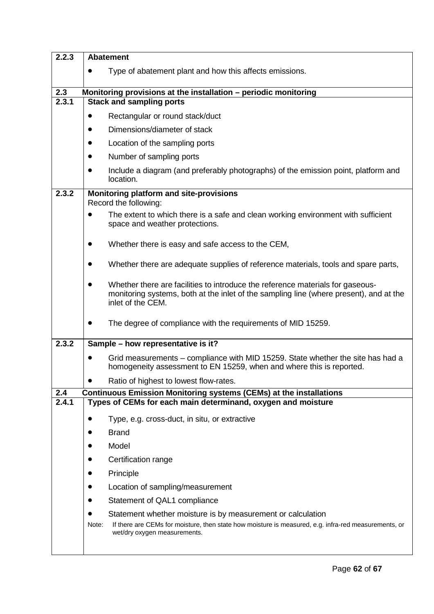| 2.2.3 | <b>Abatement</b>                                                                                                                                                                                           |  |  |  |
|-------|------------------------------------------------------------------------------------------------------------------------------------------------------------------------------------------------------------|--|--|--|
|       | Type of abatement plant and how this affects emissions.                                                                                                                                                    |  |  |  |
| 2.3   | Monitoring provisions at the installation - periodic monitoring                                                                                                                                            |  |  |  |
| 2.3.1 | <b>Stack and sampling ports</b>                                                                                                                                                                            |  |  |  |
|       | Rectangular or round stack/duct<br>$\bullet$                                                                                                                                                               |  |  |  |
|       | Dimensions/diameter of stack<br>$\bullet$                                                                                                                                                                  |  |  |  |
|       | Location of the sampling ports<br>$\bullet$                                                                                                                                                                |  |  |  |
|       | Number of sampling ports<br>$\bullet$                                                                                                                                                                      |  |  |  |
|       | Include a diagram (and preferably photographs) of the emission point, platform and<br>$\bullet$<br>location.                                                                                               |  |  |  |
| 2.3.2 | Monitoring platform and site-provisions<br>Record the following:                                                                                                                                           |  |  |  |
|       | The extent to which there is a safe and clean working environment with sufficient<br>space and weather protections.                                                                                        |  |  |  |
|       | Whether there is easy and safe access to the CEM,<br>$\bullet$                                                                                                                                             |  |  |  |
|       | Whether there are adequate supplies of reference materials, tools and spare parts,<br>$\bullet$                                                                                                            |  |  |  |
|       | Whether there are facilities to introduce the reference materials for gaseous-<br>$\bullet$<br>monitoring systems, both at the inlet of the sampling line (where present), and at the<br>inlet of the CEM. |  |  |  |
|       | The degree of compliance with the requirements of MID 15259.<br>$\bullet$                                                                                                                                  |  |  |  |
| 2.3.2 | Sample - how representative is it?                                                                                                                                                                         |  |  |  |
|       | Grid measurements – compliance with MID 15259. State whether the site has had a<br>$\bullet$<br>homogeneity assessment to EN 15259, when and where this is reported.                                       |  |  |  |
|       | Ratio of highest to lowest flow-rates.                                                                                                                                                                     |  |  |  |
| 2.4   | <b>Continuous Emission Monitoring systems (CEMs) at the installations</b>                                                                                                                                  |  |  |  |
| 2.4.1 | Types of CEMs for each main determinand, oxygen and moisture                                                                                                                                               |  |  |  |
|       | Type, e.g. cross-duct, in situ, or extractive<br>$\bullet$                                                                                                                                                 |  |  |  |
|       | <b>Brand</b>                                                                                                                                                                                               |  |  |  |
|       | Model                                                                                                                                                                                                      |  |  |  |
|       | Certification range                                                                                                                                                                                        |  |  |  |
|       | Principle                                                                                                                                                                                                  |  |  |  |
|       | Location of sampling/measurement                                                                                                                                                                           |  |  |  |
|       | Statement of QAL1 compliance<br>$\bullet$                                                                                                                                                                  |  |  |  |
|       | Statement whether moisture is by measurement or calculation                                                                                                                                                |  |  |  |
|       | If there are CEMs for moisture, then state how moisture is measured, e.g. infra-red measurements, or<br>Note:<br>wet/dry oxygen measurements.                                                              |  |  |  |
|       |                                                                                                                                                                                                            |  |  |  |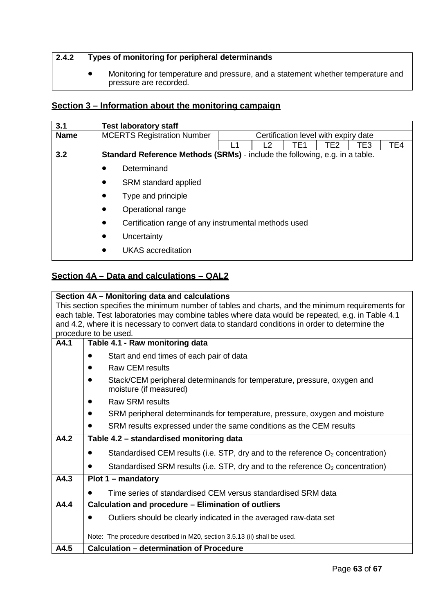| 2.4.2 | Types of monitoring for peripheral determinands                                                            |  |  |  |  |
|-------|------------------------------------------------------------------------------------------------------------|--|--|--|--|
|       | Monitoring for temperature and pressure, and a statement whether temperature and<br>pressure are recorded. |  |  |  |  |

# **Section 3 – Information about the monitoring campaign**

| 3.1         | <b>Test laboratory staff</b>                                                       |                                      |  |     |     |     |     |
|-------------|------------------------------------------------------------------------------------|--------------------------------------|--|-----|-----|-----|-----|
| <b>Name</b> | <b>MCERTS Registration Number</b>                                                  | Certification level with expiry date |  |     |     |     |     |
|             |                                                                                    |                                      |  | TE1 | TE2 | TE3 | TE4 |
| 3.2         | <b>Standard Reference Methods (SRMs)</b> - include the following, e.g. in a table. |                                      |  |     |     |     |     |
|             | Determinand                                                                        |                                      |  |     |     |     |     |
|             | SRM standard applied                                                               |                                      |  |     |     |     |     |
|             | Type and principle                                                                 |                                      |  |     |     |     |     |
|             | Operational range<br>$\bullet$                                                     |                                      |  |     |     |     |     |
|             | Certification range of any instrumental methods used<br>$\bullet$                  |                                      |  |     |     |     |     |
|             | Uncertainty<br>$\bullet$                                                           |                                      |  |     |     |     |     |
|             | <b>UKAS</b> accreditation                                                          |                                      |  |     |     |     |     |

# **Section 4A – Data and calculations – QAL2**

|                                                                                                  | Section 4A - Monitoring data and calculations                                                     |  |  |  |
|--------------------------------------------------------------------------------------------------|---------------------------------------------------------------------------------------------------|--|--|--|
| This section specifies the minimum number of tables and charts, and the minimum requirements for |                                                                                                   |  |  |  |
| each table. Test laboratories may combine tables where data would be repeated, e.g. in Table 4.1 |                                                                                                   |  |  |  |
| and 4.2, where it is necessary to convert data to standard conditions in order to determine the  |                                                                                                   |  |  |  |
|                                                                                                  | procedure to be used.                                                                             |  |  |  |
| A4.1                                                                                             | Table 4.1 - Raw monitoring data                                                                   |  |  |  |
|                                                                                                  | Start and end times of each pair of data                                                          |  |  |  |
|                                                                                                  | <b>Raw CEM results</b>                                                                            |  |  |  |
|                                                                                                  | Stack/CEM peripheral determinands for temperature, pressure, oxygen and<br>moisture (if measured) |  |  |  |
|                                                                                                  | <b>Raw SRM results</b>                                                                            |  |  |  |
|                                                                                                  | SRM peripheral determinands for temperature, pressure, oxygen and moisture                        |  |  |  |
|                                                                                                  | SRM results expressed under the same conditions as the CEM results                                |  |  |  |
| A4.2                                                                                             | Table 4.2 - standardised monitoring data                                                          |  |  |  |
|                                                                                                  | Standardised CEM results (i.e. STP, dry and to the reference $O_2$ concentration)                 |  |  |  |
|                                                                                                  | Standardised SRM results (i.e. STP, dry and to the reference $O_2$ concentration)                 |  |  |  |
| A4.3                                                                                             | $Plot 1 - mandatory$                                                                              |  |  |  |
|                                                                                                  | Time series of standardised CEM versus standardised SRM data                                      |  |  |  |
| A4.4                                                                                             | Calculation and procedure - Elimination of outliers                                               |  |  |  |
|                                                                                                  | Outliers should be clearly indicated in the averaged raw-data set                                 |  |  |  |
|                                                                                                  |                                                                                                   |  |  |  |
|                                                                                                  | Note: The procedure described in M20, section 3.5.13 (ii) shall be used.                          |  |  |  |
| A4.5                                                                                             | <b>Calculation - determination of Procedure</b>                                                   |  |  |  |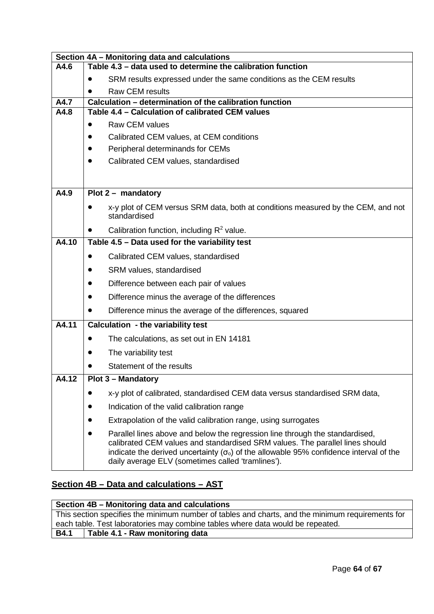|       | Section 4A - Monitoring data and calculations                                                                                                                                                                                                                                                                                   |  |
|-------|---------------------------------------------------------------------------------------------------------------------------------------------------------------------------------------------------------------------------------------------------------------------------------------------------------------------------------|--|
| A4.6  | Table 4.3 - data used to determine the calibration function                                                                                                                                                                                                                                                                     |  |
|       | SRM results expressed under the same conditions as the CEM results                                                                                                                                                                                                                                                              |  |
|       | <b>Raw CEM results</b>                                                                                                                                                                                                                                                                                                          |  |
| A4.7  | Calculation - determination of the calibration function                                                                                                                                                                                                                                                                         |  |
| A4.8  | Table 4.4 - Calculation of calibrated CEM values                                                                                                                                                                                                                                                                                |  |
|       | <b>Raw CEM values</b><br>$\bullet$                                                                                                                                                                                                                                                                                              |  |
|       | Calibrated CEM values, at CEM conditions<br>$\bullet$                                                                                                                                                                                                                                                                           |  |
|       | Peripheral determinands for CEMs<br>$\bullet$                                                                                                                                                                                                                                                                                   |  |
|       | Calibrated CEM values, standardised<br>$\bullet$                                                                                                                                                                                                                                                                                |  |
|       |                                                                                                                                                                                                                                                                                                                                 |  |
| A4.9  | Plot $2 -$ mandatory                                                                                                                                                                                                                                                                                                            |  |
|       | x-y plot of CEM versus SRM data, both at conditions measured by the CEM, and not<br>standardised                                                                                                                                                                                                                                |  |
|       | Calibration function, including $R^2$ value.                                                                                                                                                                                                                                                                                    |  |
| A4.10 | Table 4.5 - Data used for the variability test                                                                                                                                                                                                                                                                                  |  |
|       | Calibrated CEM values, standardised<br>$\bullet$                                                                                                                                                                                                                                                                                |  |
|       | SRM values, standardised                                                                                                                                                                                                                                                                                                        |  |
|       | Difference between each pair of values<br>$\bullet$                                                                                                                                                                                                                                                                             |  |
|       | Difference minus the average of the differences                                                                                                                                                                                                                                                                                 |  |
|       | Difference minus the average of the differences, squared                                                                                                                                                                                                                                                                        |  |
| A4.11 | <b>Calculation - the variability test</b>                                                                                                                                                                                                                                                                                       |  |
|       | The calculations, as set out in EN 14181<br>$\bullet$                                                                                                                                                                                                                                                                           |  |
|       | The variability test                                                                                                                                                                                                                                                                                                            |  |
|       | Statement of the results                                                                                                                                                                                                                                                                                                        |  |
| A4.12 | Plot 3 - Mandatory                                                                                                                                                                                                                                                                                                              |  |
|       | x-y plot of calibrated, standardised CEM data versus standardised SRM data,                                                                                                                                                                                                                                                     |  |
|       | Indication of the valid calibration range                                                                                                                                                                                                                                                                                       |  |
|       | Extrapolation of the valid calibration range, using surrogates<br>$\bullet$                                                                                                                                                                                                                                                     |  |
|       | Parallel lines above and below the regression line through the standardised,<br>calibrated CEM values and standardised SRM values. The parallel lines should<br>indicate the derived uncertainty ( $\sigma$ <sub>o</sub> ) of the allowable 95% confidence interval of the<br>daily average ELV (sometimes called 'tramlines'). |  |

# **Section 4B – Data and calculations – AST**

| Section 4B – Monitoring data and calculations |                                                                                                  |  |
|-----------------------------------------------|--------------------------------------------------------------------------------------------------|--|
|                                               | This section specifies the minimum number of tables and charts, and the minimum requirements for |  |
|                                               | each table. Test laboratories may combine tables where data would be repeated.                   |  |
| <b>B4.1</b>                                   | Table 4.1 - Raw monitoring data                                                                  |  |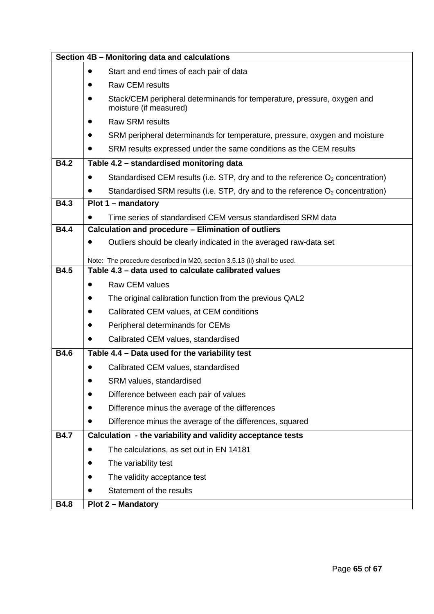| Section 4B - Monitoring data and calculations |                                                                                                   |  |  |  |
|-----------------------------------------------|---------------------------------------------------------------------------------------------------|--|--|--|
|                                               | Start and end times of each pair of data<br>$\bullet$                                             |  |  |  |
|                                               | <b>Raw CEM results</b><br>$\bullet$                                                               |  |  |  |
|                                               | Stack/CEM peripheral determinands for temperature, pressure, oxygen and<br>moisture (if measured) |  |  |  |
|                                               | <b>Raw SRM results</b>                                                                            |  |  |  |
|                                               | SRM peripheral determinands for temperature, pressure, oxygen and moisture                        |  |  |  |
|                                               | SRM results expressed under the same conditions as the CEM results                                |  |  |  |
| <b>B4.2</b>                                   | Table 4.2 - standardised monitoring data                                                          |  |  |  |
|                                               | Standardised CEM results (i.e. STP, dry and to the reference $O_2$ concentration)<br>$\bullet$    |  |  |  |
|                                               | Standardised SRM results (i.e. STP, dry and to the reference $O_2$ concentration)                 |  |  |  |
| <b>B4.3</b>                                   | $Plot 1 - mandatory$                                                                              |  |  |  |
|                                               | Time series of standardised CEM versus standardised SRM data<br>$\bullet$                         |  |  |  |
| <b>B4.4</b>                                   | Calculation and procedure - Elimination of outliers                                               |  |  |  |
|                                               | Outliers should be clearly indicated in the averaged raw-data set                                 |  |  |  |
|                                               | Note: The procedure described in M20, section 3.5.13 (ii) shall be used.                          |  |  |  |
| <b>B4.5</b>                                   | Table 4.3 - data used to calculate calibrated values                                              |  |  |  |
|                                               | <b>Raw CEM values</b>                                                                             |  |  |  |
|                                               | The original calibration function from the previous QAL2                                          |  |  |  |
|                                               | Calibrated CEM values, at CEM conditions<br>$\bullet$                                             |  |  |  |
|                                               | Peripheral determinands for CEMs<br>$\bullet$                                                     |  |  |  |
|                                               | Calibrated CEM values, standardised<br>$\bullet$                                                  |  |  |  |
| <b>B4.6</b>                                   | Table 4.4 - Data used for the variability test                                                    |  |  |  |
|                                               | Calibrated CEM values, standardised                                                               |  |  |  |
|                                               | SRM values, standardised                                                                          |  |  |  |
|                                               | Difference between each pair of values                                                            |  |  |  |
|                                               | Difference minus the average of the differences                                                   |  |  |  |
|                                               | Difference minus the average of the differences, squared                                          |  |  |  |
| <b>B4.7</b>                                   | Calculation - the variability and validity acceptance tests                                       |  |  |  |
|                                               | The calculations, as set out in EN 14181                                                          |  |  |  |
|                                               | The variability test                                                                              |  |  |  |
|                                               | The validity acceptance test                                                                      |  |  |  |
|                                               | Statement of the results                                                                          |  |  |  |
| <b>B4.8</b>                                   | <b>Plot 2 - Mandatory</b>                                                                         |  |  |  |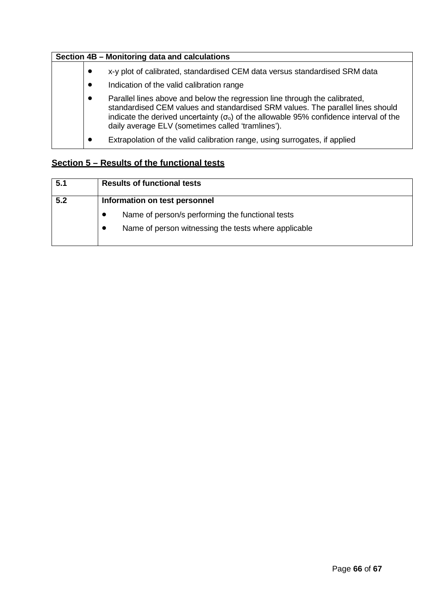| Section 4B - Monitoring data and calculations |           |                                                                                                                                                                                                                                                                                                                                 |  |  |
|-----------------------------------------------|-----------|---------------------------------------------------------------------------------------------------------------------------------------------------------------------------------------------------------------------------------------------------------------------------------------------------------------------------------|--|--|
|                                               | $\bullet$ | x-y plot of calibrated, standardised CEM data versus standardised SRM data                                                                                                                                                                                                                                                      |  |  |
|                                               | $\bullet$ | Indication of the valid calibration range                                                                                                                                                                                                                                                                                       |  |  |
|                                               | $\bullet$ | Parallel lines above and below the regression line through the calibrated,<br>standardised CEM values and standardised SRM values. The parallel lines should<br>indicate the derived uncertainty ( $\sigma$ <sub>o</sub> ) of the allowable 95% confidence interval of the<br>daily average ELV (sometimes called 'tramlines'). |  |  |
|                                               | $\bullet$ | Extrapolation of the valid calibration range, using surrogates, if applied                                                                                                                                                                                                                                                      |  |  |

# **Section 5 – Results of the functional tests**

| 5.1 | <b>Results of functional tests</b>                                |
|-----|-------------------------------------------------------------------|
| 5.2 | Information on test personnel                                     |
|     | Name of person/s performing the functional tests                  |
|     | Name of person witnessing the tests where applicable<br>$\bullet$ |
|     |                                                                   |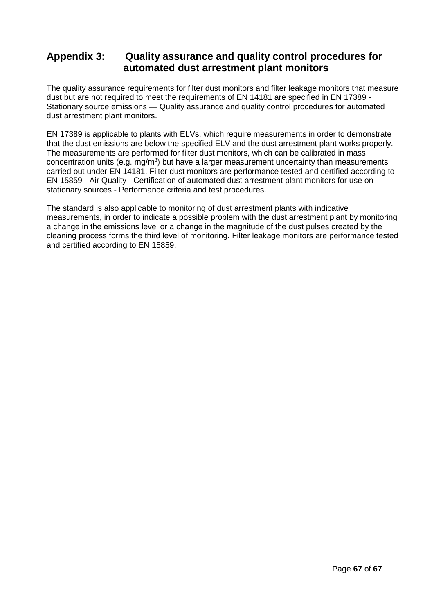# **Appendix 3: Quality assurance and quality control procedures for automated dust arrestment plant monitors**

The quality assurance requirements for filter dust monitors and filter leakage monitors that measure dust but are not required to meet the requirements of EN 14181 are specified in EN 17389 - Stationary source emissions — Quality assurance and quality control procedures for automated dust arrestment plant monitors.

EN 17389 is applicable to plants with ELVs, which require measurements in order to demonstrate that the dust emissions are below the specified ELV and the dust arrestment plant works properly. The measurements are performed for filter dust monitors, which can be calibrated in mass concentration units (e.g. mg/m<sup>3</sup>) but have a larger measurement uncertainty than measurements carried out under EN 14181. Filter dust monitors are performance tested and certified according to EN 15859 - Air Quality - Certification of automated dust arrestment plant monitors for use on stationary sources - Performance criteria and test procedures.

The standard is also applicable to monitoring of dust arrestment plants with indicative measurements, in order to indicate a possible problem with the dust arrestment plant by monitoring a change in the emissions level or a change in the magnitude of the dust pulses created by the cleaning process forms the third level of monitoring. Filter leakage monitors are performance tested and certified according to EN 15859.